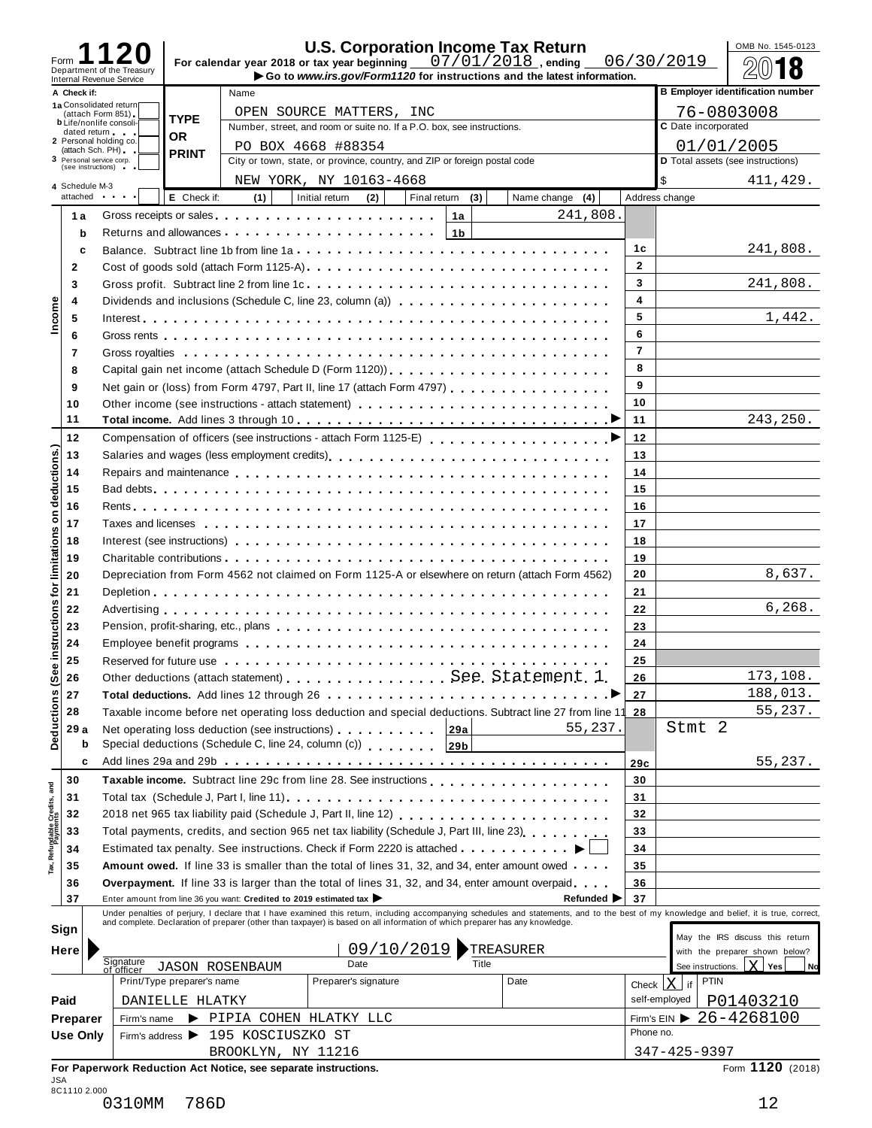| Form<br>Department of the Treasury                                                                           |                            |                           |                        |                                                                                                                |            |                  | <b>U.S. Corporation Income Tax Return</b><br>For calendar year 2018 or tax year beginning $07/01/2018$ , ending                                                                                                                | 06/30/2019   |                | OMB No. 1545-0123                                                                                                                                                                                                              |
|--------------------------------------------------------------------------------------------------------------|----------------------------|---------------------------|------------------------|----------------------------------------------------------------------------------------------------------------|------------|------------------|--------------------------------------------------------------------------------------------------------------------------------------------------------------------------------------------------------------------------------|--------------|----------------|--------------------------------------------------------------------------------------------------------------------------------------------------------------------------------------------------------------------------------|
| Internal Revenue Service                                                                                     |                            |                           |                        |                                                                                                                |            |                  | Go to www.irs.gov/Form1120 for instructions and the latest information.                                                                                                                                                        |              |                |                                                                                                                                                                                                                                |
| A Check if:<br>1a Consolidated return<br>(attach Form 851)<br><b>b</b> Life/nonlife consoli-<br>dated return |                            | <b>TYPE</b>               | Name                   | OPEN SOURCE MATTERS, INC<br>Number, street, and room or suite no. If a P.O. box, see instructions.             |            |                  |                                                                                                                                                                                                                                |              |                | <b>B Employer identification number</b><br>76-0803008<br>C Date incorporated                                                                                                                                                   |
| 2 Personal holding co.<br>(attach Sch. PH)                                                                   |                            | <b>OR</b><br><b>PRINT</b> |                        | PO BOX 4668 #88354                                                                                             |            |                  |                                                                                                                                                                                                                                |              |                | 01/01/2005                                                                                                                                                                                                                     |
| 3 Personal service corp.<br>(see instructions) =                                                             |                            |                           |                        | City or town, state, or province, country, and ZIP or foreign postal code                                      |            |                  |                                                                                                                                                                                                                                |              |                | D Total assets (see instructions)                                                                                                                                                                                              |
| 4 Schedule M-3                                                                                               |                            |                           |                        | NEW YORK, NY 10163-4668                                                                                        |            |                  |                                                                                                                                                                                                                                |              | \$             | 411,429.                                                                                                                                                                                                                       |
| attached and the state of                                                                                    |                            | E Check if:               | (1)                    | Initial return                                                                                                 | (2)        | Final return (3) | Name change (4)                                                                                                                                                                                                                |              | Address change |                                                                                                                                                                                                                                |
| 1а                                                                                                           |                            |                           |                        | Gross receipts or sales entering the state of the state of the state of the state of the state of the state of |            | 1a               | 241,808.                                                                                                                                                                                                                       |              |                |                                                                                                                                                                                                                                |
| b                                                                                                            |                            |                           |                        | Returns and allowances                                                                                         |            | 1 <sub>b</sub>   |                                                                                                                                                                                                                                |              |                |                                                                                                                                                                                                                                |
| c                                                                                                            |                            |                           |                        |                                                                                                                |            |                  |                                                                                                                                                                                                                                | 1с           |                | 241,808.                                                                                                                                                                                                                       |
| $\mathbf{2}$                                                                                                 |                            |                           |                        |                                                                                                                |            |                  | Cost of goods sold (attach Form 1125-A)                                                                                                                                                                                        | $\mathbf{2}$ |                |                                                                                                                                                                                                                                |
| 3                                                                                                            |                            |                           |                        |                                                                                                                |            |                  |                                                                                                                                                                                                                                | 3            |                | 241,808.                                                                                                                                                                                                                       |
| 4                                                                                                            |                            |                           |                        |                                                                                                                |            |                  |                                                                                                                                                                                                                                | 4            |                |                                                                                                                                                                                                                                |
| Income<br>5                                                                                                  |                            |                           |                        |                                                                                                                |            |                  |                                                                                                                                                                                                                                | 5            |                | 1,442.                                                                                                                                                                                                                         |
| 6                                                                                                            |                            |                           |                        |                                                                                                                |            |                  |                                                                                                                                                                                                                                | 6            |                |                                                                                                                                                                                                                                |
| 7                                                                                                            |                            |                           |                        |                                                                                                                |            |                  |                                                                                                                                                                                                                                | 7            |                |                                                                                                                                                                                                                                |
| 8                                                                                                            |                            |                           |                        |                                                                                                                |            |                  |                                                                                                                                                                                                                                | 8            |                |                                                                                                                                                                                                                                |
| 9                                                                                                            |                            |                           |                        |                                                                                                                |            |                  | Net gain or (loss) from Form 4797, Part II, line 17 (attach Form 4797)                                                                                                                                                         | 9            |                |                                                                                                                                                                                                                                |
| 10                                                                                                           |                            |                           |                        |                                                                                                                |            |                  | Other income (see instructions - attach statement)                                                                                                                                                                             | 10           |                |                                                                                                                                                                                                                                |
| 11                                                                                                           |                            |                           |                        |                                                                                                                |            |                  |                                                                                                                                                                                                                                | 11           |                | 243,250.                                                                                                                                                                                                                       |
| 12                                                                                                           |                            |                           |                        |                                                                                                                |            |                  | Compensation of officers (see instructions - attach Form 1125-E)                                                                                                                                                               | 12           |                |                                                                                                                                                                                                                                |
| 13                                                                                                           |                            |                           |                        |                                                                                                                |            |                  |                                                                                                                                                                                                                                | 13           |                |                                                                                                                                                                                                                                |
| deductions.)<br>14                                                                                           |                            |                           |                        |                                                                                                                |            |                  |                                                                                                                                                                                                                                | 14           |                |                                                                                                                                                                                                                                |
| 15                                                                                                           |                            |                           |                        |                                                                                                                |            |                  |                                                                                                                                                                                                                                | 15           |                |                                                                                                                                                                                                                                |
| 16                                                                                                           |                            |                           |                        |                                                                                                                |            |                  |                                                                                                                                                                                                                                | 16           |                |                                                                                                                                                                                                                                |
| δ<br>17                                                                                                      |                            |                           |                        |                                                                                                                |            |                  |                                                                                                                                                                                                                                | 17           |                |                                                                                                                                                                                                                                |
| 18                                                                                                           |                            |                           |                        |                                                                                                                |            |                  |                                                                                                                                                                                                                                | 18           |                |                                                                                                                                                                                                                                |
| limitations<br>19                                                                                            |                            |                           |                        |                                                                                                                |            |                  |                                                                                                                                                                                                                                | 19           |                |                                                                                                                                                                                                                                |
| 20                                                                                                           |                            |                           |                        |                                                                                                                |            |                  | Depreciation from Form 4562 not claimed on Form 1125-A or elsewhere on return (attach Form 4562)                                                                                                                               | 20           |                | 8,637.                                                                                                                                                                                                                         |
| 21                                                                                                           |                            |                           |                        |                                                                                                                |            |                  |                                                                                                                                                                                                                                | 21           |                |                                                                                                                                                                                                                                |
| <b>jo</b><br>22                                                                                              |                            |                           |                        |                                                                                                                |            |                  |                                                                                                                                                                                                                                | 22           |                | 6, 268.                                                                                                                                                                                                                        |
| instructions<br>23                                                                                           |                            |                           |                        |                                                                                                                |            |                  | Pension, profit-sharing, etc., plans entering the state of the state of the state of the state of the state of the state of the state of the state of the state of the state of the state of the state of the state of the sta | 23           |                |                                                                                                                                                                                                                                |
| 24                                                                                                           |                            |                           |                        |                                                                                                                |            |                  |                                                                                                                                                                                                                                | 24           |                |                                                                                                                                                                                                                                |
| 25                                                                                                           |                            |                           |                        |                                                                                                                |            |                  | Reserved for future use enterpretation of the content of the content of the content of the content of the content of the content of the content of the content of the content of the content of the content of the content of  | 25           |                |                                                                                                                                                                                                                                |
| Ф<br>26                                                                                                      |                            |                           |                        |                                                                                                                |            |                  |                                                                                                                                                                                                                                | 26           |                | 173,108.                                                                                                                                                                                                                       |
| 27                                                                                                           |                            |                           |                        |                                                                                                                |            |                  |                                                                                                                                                                                                                                | 27           |                | 188,013.                                                                                                                                                                                                                       |
| Deductions (Se<br>28                                                                                         |                            |                           |                        |                                                                                                                |            |                  | Taxable income before net operating loss deduction and special deductions. Subtract line 27 from line 11                                                                                                                       | 28           |                | 55,237.                                                                                                                                                                                                                        |
| 29 a                                                                                                         |                            |                           |                        | Net operating loss deduction (see instructions) [29a                                                           |            |                  | 55,237.                                                                                                                                                                                                                        |              |                | Stmt 2                                                                                                                                                                                                                         |
| b                                                                                                            |                            |                           |                        |                                                                                                                |            |                  |                                                                                                                                                                                                                                |              |                |                                                                                                                                                                                                                                |
| c                                                                                                            |                            |                           |                        |                                                                                                                |            |                  |                                                                                                                                                                                                                                | 29c          |                | 55,237.                                                                                                                                                                                                                        |
| 30                                                                                                           |                            |                           |                        |                                                                                                                |            |                  |                                                                                                                                                                                                                                | 30           |                |                                                                                                                                                                                                                                |
| Tax, Refundable Credits, and<br>31                                                                           |                            |                           |                        |                                                                                                                |            |                  |                                                                                                                                                                                                                                | 31           |                |                                                                                                                                                                                                                                |
| 32                                                                                                           |                            |                           |                        |                                                                                                                |            |                  | 2018 net 965 tax liability paid (Schedule J, Part II, line 12)                                                                                                                                                                 | 32           |                |                                                                                                                                                                                                                                |
| 33                                                                                                           |                            |                           |                        |                                                                                                                |            |                  | Total payments, credits, and section 965 net tax liability (Schedule J, Part III, line 23)                                                                                                                                     | 33           |                |                                                                                                                                                                                                                                |
| 34                                                                                                           |                            |                           |                        |                                                                                                                |            |                  | Estimated tax penalty. See instructions. Check if Form 2220 is attached                                                                                                                                                        | 34           |                |                                                                                                                                                                                                                                |
| 35                                                                                                           |                            |                           |                        |                                                                                                                |            |                  | Amount owed. If line 33 is smaller than the total of lines 31, 32, and 34, enter amount owed.                                                                                                                                  | 35           |                |                                                                                                                                                                                                                                |
| 36                                                                                                           |                            |                           |                        |                                                                                                                |            |                  | <b>Overpayment.</b> If line 33 is larger than the total of lines 31, 32, and 34, enter amount overpaid                                                                                                                         | 36           |                |                                                                                                                                                                                                                                |
| 37                                                                                                           |                            |                           |                        | Enter amount from line 36 you want: Credited to 2019 estimated tax                                             |            |                  | Refunded $\blacktriangleright$                                                                                                                                                                                                 | 37           |                |                                                                                                                                                                                                                                |
|                                                                                                              |                            |                           |                        |                                                                                                                |            |                  |                                                                                                                                                                                                                                |              |                | Under penalties of perjury, I declare that I have examined this return, including accompanying schedules and statements, and to the best of my knowledge and belief, it is true, correct, and complete. Declaration of prepare |
| Sign                                                                                                         |                            |                           |                        |                                                                                                                |            |                  |                                                                                                                                                                                                                                |              |                |                                                                                                                                                                                                                                |
| Here                                                                                                         |                            |                           |                        |                                                                                                                | 09/10/2019 |                  | TREASURER                                                                                                                                                                                                                      |              |                | May the IRS discuss this return<br>with the preparer shown below?                                                                                                                                                              |
|                                                                                                              | Signature<br>of officer    |                           | <b>JASON ROSENBAUM</b> | Date                                                                                                           |            | Title            |                                                                                                                                                                                                                                |              |                | See instructions. $X$ Yes<br>Nd                                                                                                                                                                                                |
|                                                                                                              | Print/Type preparer's name |                           |                        | Preparer's signature                                                                                           |            |                  | Date                                                                                                                                                                                                                           |              | Check $X$ if   | <b>PTIN</b>                                                                                                                                                                                                                    |
| Paid                                                                                                         | DANIELLE HLATKY            |                           |                        |                                                                                                                |            |                  |                                                                                                                                                                                                                                |              | self-employed  | P01403210                                                                                                                                                                                                                      |
| Preparer                                                                                                     | Firm's name                |                           |                        | PIPIA COHEN HLATKY LLC                                                                                         |            |                  |                                                                                                                                                                                                                                |              |                | Firm's EIN $\triangleright$ 26-4268100                                                                                                                                                                                         |
| <b>Use Only</b>                                                                                              |                            |                           |                        | Firm's address > 195 KOSCIUSZKO ST                                                                             |            |                  |                                                                                                                                                                                                                                | Phone no.    |                |                                                                                                                                                                                                                                |
|                                                                                                              |                            |                           |                        | BROOKLYN, NY 11216                                                                                             |            |                  |                                                                                                                                                                                                                                |              | 347-425-9397   |                                                                                                                                                                                                                                |
|                                                                                                              |                            |                           |                        |                                                                                                                |            |                  |                                                                                                                                                                                                                                |              |                |                                                                                                                                                                                                                                |

<sup>0310</sup>MM 786D 12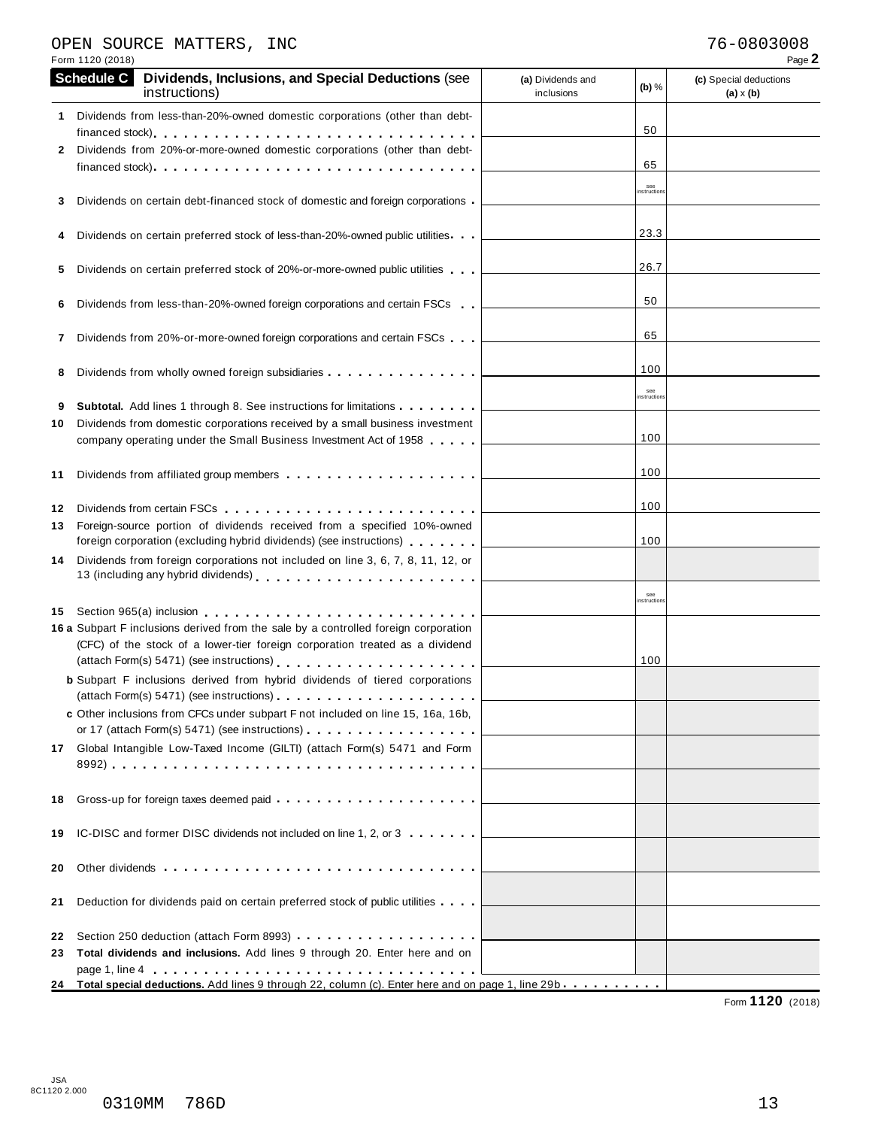# OPEN SOURCE MATTERS, INC<br>
Form 1120 (2018) Page 2

|          | Form 1120 (2018)  |                                                                                                                                                                                                                                                                                                                                                                  |                                 |                   | Page 2                                     |
|----------|-------------------|------------------------------------------------------------------------------------------------------------------------------------------------------------------------------------------------------------------------------------------------------------------------------------------------------------------------------------------------------------------|---------------------------------|-------------------|--------------------------------------------|
|          | <b>Schedule C</b> | Dividends, Inclusions, and Special Deductions (see<br>instructions)                                                                                                                                                                                                                                                                                              | (a) Dividends and<br>inclusions | $(b)$ %           | (c) Special deductions<br>$(a) \times (b)$ |
| 1.       |                   | Dividends from less-than-20%-owned domestic corporations (other than debt-                                                                                                                                                                                                                                                                                       |                                 | 50                |                                            |
| 2        |                   | Dividends from 20%-or-more-owned domestic corporations (other than debt-                                                                                                                                                                                                                                                                                         |                                 |                   |                                            |
|          |                   |                                                                                                                                                                                                                                                                                                                                                                  |                                 | 65                |                                            |
|          |                   | Dividends on certain debt-financed stock of domestic and foreign corporations                                                                                                                                                                                                                                                                                    |                                 | see<br>nstruction |                                            |
|          |                   | Dividends on certain preferred stock of less-than-20%-owned public utilities                                                                                                                                                                                                                                                                                     |                                 | 23.3              |                                            |
| 5        |                   | Dividends on certain preferred stock of 20%-or-more-owned public utilities                                                                                                                                                                                                                                                                                       |                                 | 26.7              |                                            |
| 6        |                   | Dividends from less-than-20%-owned foreign corporations and certain FSCs                                                                                                                                                                                                                                                                                         |                                 | 50                |                                            |
| 7        |                   | Dividends from 20%-or-more-owned foreign corporations and certain FSCs                                                                                                                                                                                                                                                                                           |                                 | 65                |                                            |
| 8        |                   | Dividends from wholly owned foreign subsidiaries                                                                                                                                                                                                                                                                                                                 |                                 | 100               |                                            |
| 9        |                   | <b>Subtotal.</b> Add lines 1 through 8. See instructions for limitations                                                                                                                                                                                                                                                                                         |                                 | see<br>nstruction |                                            |
| 10       |                   | Dividends from domestic corporations received by a small business investment                                                                                                                                                                                                                                                                                     |                                 |                   |                                            |
|          |                   | company operating under the Small Business Investment Act of 1958                                                                                                                                                                                                                                                                                                |                                 | 100               |                                            |
| 11       |                   |                                                                                                                                                                                                                                                                                                                                                                  |                                 | 100               |                                            |
| 12<br>13 |                   | Dividends from certain FSCs quantum property process research to providend the property of the property of the<br>Foreign-source portion of dividends received from a specified 10%-owned<br>foreign corporation (excluding hybrid dividends) (see instructions)                                                                                                 |                                 | 100<br>100        |                                            |
| 14       |                   | Dividends from foreign corporations not included on line 3, 6, 7, 8, 11, 12, or<br>13 (including any hybrid dividends) [10] [10] $\ldots$ [10] $\ldots$ [10] $\ldots$ [10] $\ldots$ [10] $\ldots$ [10] $\ldots$ [10] $\ldots$ [10] $\ldots$ [10] $\ldots$ [10] $\ldots$ [10] $\ldots$ [10] $\ldots$ [10] $\ldots$ [10] $\ldots$ [10] $\ldots$ [10] $\ldots$ [10] |                                 |                   |                                            |
|          |                   |                                                                                                                                                                                                                                                                                                                                                                  |                                 | see<br>nstruction |                                            |
| 15       |                   | 16 a Subpart F inclusions derived from the sale by a controlled foreign corporation<br>(CFC) of the stock of a lower-tier foreign corporation treated as a dividend                                                                                                                                                                                              |                                 | 100               |                                            |
|          |                   | <b>b</b> Subpart F inclusions derived from hybrid dividends of tiered corporations                                                                                                                                                                                                                                                                               |                                 |                   |                                            |
|          |                   | c Other inclusions from CFCs under subpart F not included on line 15, 16a, 16b,<br>or 17 (attach Form(s) 5471) (see instructions) example and the set of the set of the set of the set of the set of the set of the set of the set of the set of the set of the set of the set of the set of the set of the set o                                                |                                 |                   |                                            |
|          |                   | 17 Global Intangible Low-Taxed Income (GILTI) (attach Form(s) 5471 and Form                                                                                                                                                                                                                                                                                      |                                 |                   |                                            |
|          |                   |                                                                                                                                                                                                                                                                                                                                                                  |                                 |                   |                                            |
| 18       |                   |                                                                                                                                                                                                                                                                                                                                                                  |                                 |                   |                                            |
| 19       |                   | IC-DISC and former DISC dividends not included on line 1, 2, or 3                                                                                                                                                                                                                                                                                                |                                 |                   |                                            |
| 20       |                   |                                                                                                                                                                                                                                                                                                                                                                  |                                 |                   |                                            |
| 21       |                   | Deduction for dividends paid on certain preferred stock of public utilities                                                                                                                                                                                                                                                                                      |                                 |                   |                                            |
| 22       |                   |                                                                                                                                                                                                                                                                                                                                                                  |                                 |                   |                                            |
| 23       |                   | Total dividends and inclusions. Add lines 9 through 20. Enter here and on                                                                                                                                                                                                                                                                                        |                                 |                   |                                            |
|          |                   | 24 Total special deductions. Add lines 9 through 22, column (c). Enter here and on page 1, line 29b                                                                                                                                                                                                                                                              |                                 |                   |                                            |

Form **1120** (2018)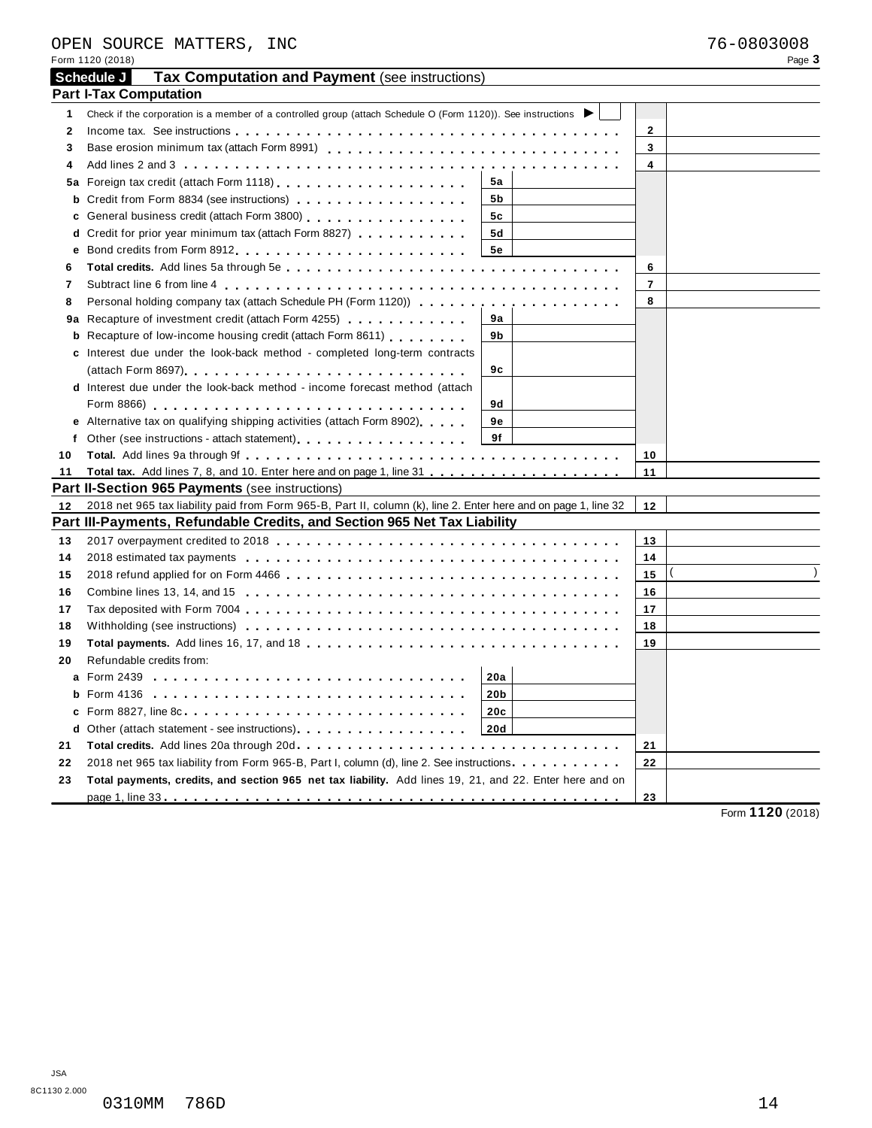JSA

| 8C1130 2.000 |        |      |
|--------------|--------|------|
|              | 0310MM | 786D |

|              | OPEN SOURCE MATTERS, INC                                                                                                   |                | 76-0803008 |
|--------------|----------------------------------------------------------------------------------------------------------------------------|----------------|------------|
|              | Form 1120 (2018)                                                                                                           |                | Page 3     |
|              | Tax Computation and Payment (see instructions)<br>Schedule J                                                               |                |            |
|              | <b>Part I-Tax Computation</b>                                                                                              |                |            |
| 1            | Check if the corporation is a member of a controlled group (attach Schedule O (Form 1120)). See instructions               |                |            |
| $\mathbf{2}$ |                                                                                                                            | $\mathbf{2}$   |            |
| 3            |                                                                                                                            | 3              |            |
| 4            |                                                                                                                            | 4              |            |
| 5а           | 5a                                                                                                                         |                |            |
| b            | Credit from Form 8834 (see instructions)<br>5b                                                                             |                |            |
| c            | General business credit (attach Form 3800) [19] [19] Ceneral business credit (attach Form 3800)<br>5c                      |                |            |
|              | <b>d</b> Credit for prior year minimum tax (attach Form 8827) $\ldots$ , , , , , , , , ,<br>5d                             |                |            |
| е            | 5е                                                                                                                         |                |            |
| 6            |                                                                                                                            | 6              |            |
| 7            |                                                                                                                            | $\overline{7}$ |            |
| 8            | Personal holding company tax (attach Schedule PH (Form 1120))                                                              | 8              |            |
|              | 9a<br><b>9a</b> Recapture of investment credit (attach Form 4255) <b></b>                                                  |                |            |
|              | <b>b</b> Recapture of low-income housing credit (attach Form 8611)<br>9b                                                   |                |            |
|              | c Interest due under the look-back method - completed long-term contracts                                                  |                |            |
|              | 9c                                                                                                                         |                |            |
|              | d Interest due under the look-back method - income forecast method (attach                                                 |                |            |
|              | 9d                                                                                                                         |                |            |
|              | e Alternative tax on qualifying shipping activities (attach Form 8902).<br>9е                                              |                |            |
| f            | 9f<br>Other (see instructions - attach statement) example and statement of the statement of the statement of the statement |                |            |
| 10           |                                                                                                                            | 10             |            |
| 11           |                                                                                                                            | 11             |            |
|              | Part II-Section 965 Payments (see instructions)                                                                            |                |            |
| 12           | 2018 net 965 tax liability paid from Form 965-B, Part II, column (k), line 2. Enter here and on page 1, line 32            | 12             |            |
|              | Part III-Payments, Refundable Credits, and Section 965 Net Tax Liability                                                   |                |            |
| 13           |                                                                                                                            | 13             |            |
| 14           |                                                                                                                            | 14             |            |
| 15           |                                                                                                                            | 15             |            |
|              |                                                                                                                            | 16             |            |
| 16           |                                                                                                                            |                |            |
| 17           |                                                                                                                            | 17             |            |
| 18           |                                                                                                                            | 18             |            |
| 19           |                                                                                                                            | 19             |            |
| 20           | Refundable credits from:                                                                                                   |                |            |
|              | 20a                                                                                                                        |                |            |
|              | 20 <sub>b</sub>                                                                                                            |                |            |
|              | 20c                                                                                                                        |                |            |
|              | d Other (attach statement - see instructions).<br>20d                                                                      |                |            |

**21 Total credits.** Add lines 20a through 20d m m m m m m m m m m m m m m m m m m m m m m m m m m m m m m m m 21 **Total credits.** Add lines 20a through 20d**.................................**<br>22 2018 net 965 tax liability from Form 965-B, Part I, column (d), line 2. See instructions...........

**23 Total payments, credits, and section 965 net tax liability.** Add lines 19, 21, and 22. Enter here and on page 1, line <sup>33</sup> m m m m m m m m m m m m m m m m m m m m m m m m m m m m m m m m m m m m m m m m m m m m m

Form **1120** (2018)

**21 22**

**23**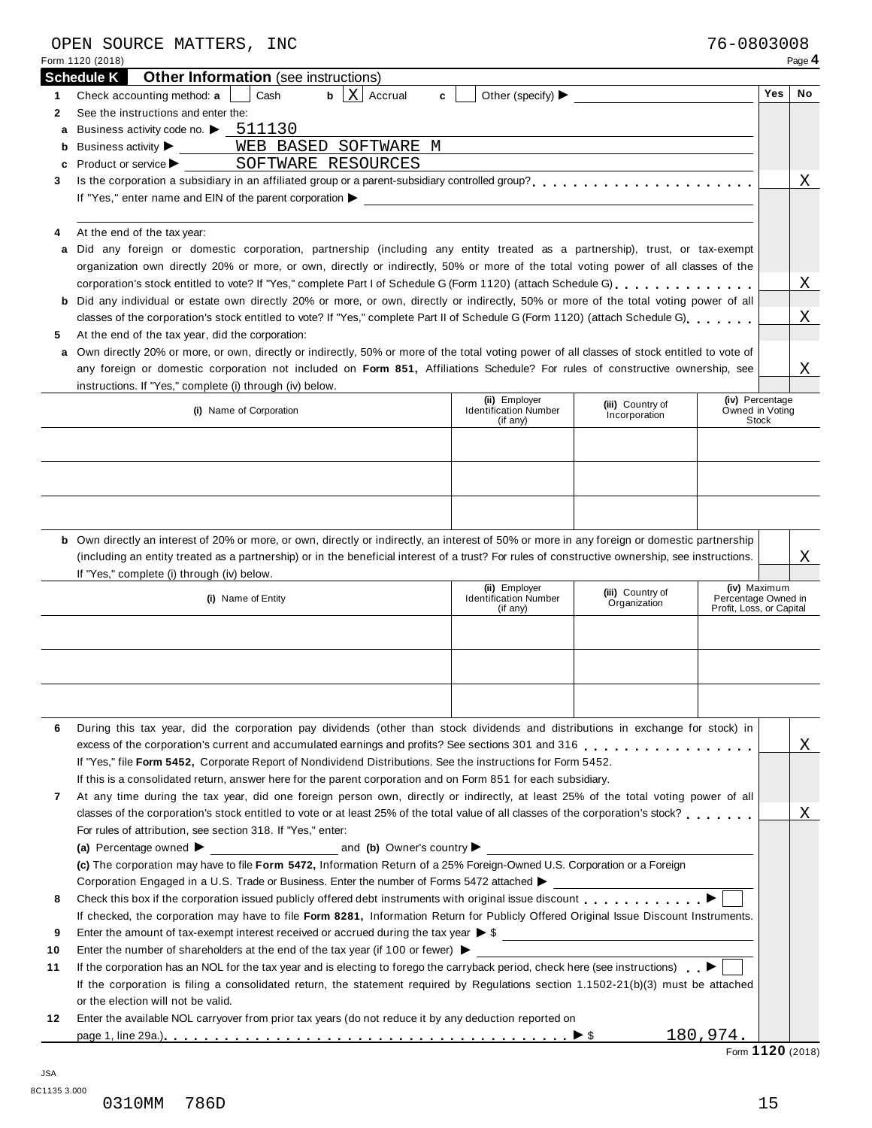|                              | OPEN SOURCE MATTERS, INC                                                                                                                                                                                                                                         |   |                                               |                                       |                                     |            |             |
|------------------------------|------------------------------------------------------------------------------------------------------------------------------------------------------------------------------------------------------------------------------------------------------------------|---|-----------------------------------------------|---------------------------------------|-------------------------------------|------------|-------------|
|                              | Form 1120 (2018)<br><b>Other Information</b> (see instructions)<br><b>Schedule K</b>                                                                                                                                                                             |   |                                               |                                       |                                     |            | Page 4      |
| 1.                           | $\mathbf{b}$   X   Accrual<br>Check accounting method: a<br>Cash                                                                                                                                                                                                 | c |                                               | Other (specify) $\blacktriangleright$ |                                     | <b>Yes</b> | No          |
| 2                            | See the instructions and enter the:                                                                                                                                                                                                                              |   |                                               |                                       |                                     |            |             |
| a                            | Business activity code no. $\blacktriangleright$ 511130                                                                                                                                                                                                          |   |                                               |                                       |                                     |            |             |
|                              | WEB BASED SOFTWARE M<br><b>b</b> Business activity $\blacktriangleright$                                                                                                                                                                                         |   |                                               |                                       |                                     |            |             |
| c                            | SOFTWARE RESOURCES<br>Product or service >                                                                                                                                                                                                                       |   |                                               |                                       |                                     |            |             |
| 3                            |                                                                                                                                                                                                                                                                  |   |                                               |                                       |                                     |            | Χ           |
|                              | If "Yes," enter name and EIN of the parent corporation > The Content of the Content of the parent corporation >                                                                                                                                                  |   |                                               |                                       |                                     |            |             |
| 4                            | At the end of the tax year:                                                                                                                                                                                                                                      |   |                                               |                                       |                                     |            |             |
| a                            | Did any foreign or domestic corporation, partnership (including any entity treated as a partnership), trust, or tax-exempt<br>organization own directly 20% or more, or own, directly or indirectly, 50% or more of the total voting power of all classes of the |   |                                               |                                       |                                     |            |             |
|                              | corporation's stock entitled to vote? If "Yes," complete Part I of Schedule G (Form 1120) (attach Schedule G).                                                                                                                                                   |   |                                               |                                       |                                     |            | Χ           |
|                              | b Did any individual or estate own directly 20% or more, or own, directly or indirectly, 50% or more of the total voting power of all                                                                                                                            |   |                                               |                                       |                                     |            |             |
|                              | classes of the corporation's stock entitled to vote? If "Yes," complete Part II of Schedule G (Form 1120) (attach Schedule G)                                                                                                                                    |   |                                               |                                       |                                     |            | Χ           |
| 5                            | At the end of the tax year, did the corporation:                                                                                                                                                                                                                 |   |                                               |                                       |                                     |            |             |
|                              | a Own directly 20% or more, or own, directly or indirectly, 50% or more of the total voting power of all classes of stock entitled to vote of                                                                                                                    |   |                                               |                                       |                                     |            |             |
|                              | any foreign or domestic corporation not included on Form 851, Affiliations Schedule? For rules of constructive ownership, see                                                                                                                                    |   |                                               |                                       |                                     |            | Χ           |
|                              | instructions. If "Yes," complete (i) through (iv) below.                                                                                                                                                                                                         |   |                                               |                                       |                                     |            |             |
|                              | (i) Name of Corporation                                                                                                                                                                                                                                          |   | (ii) Employer<br><b>Identification Number</b> | (iii) Country of<br>Incorporation     | (iv) Percentage<br>Owned in Voting  |            |             |
|                              |                                                                                                                                                                                                                                                                  |   | (if any)                                      |                                       | <b>Stock</b>                        |            |             |
|                              |                                                                                                                                                                                                                                                                  |   |                                               |                                       |                                     |            |             |
|                              |                                                                                                                                                                                                                                                                  |   |                                               |                                       |                                     |            |             |
|                              |                                                                                                                                                                                                                                                                  |   |                                               |                                       |                                     |            |             |
|                              |                                                                                                                                                                                                                                                                  |   |                                               |                                       |                                     |            |             |
|                              |                                                                                                                                                                                                                                                                  |   |                                               |                                       |                                     |            |             |
|                              |                                                                                                                                                                                                                                                                  |   |                                               |                                       |                                     |            |             |
|                              |                                                                                                                                                                                                                                                                  |   |                                               |                                       |                                     |            |             |
|                              | <b>b</b> Own directly an interest of 20% or more, or own, directly or indirectly, an interest of 50% or more in any foreign or domestic partnership                                                                                                              |   |                                               |                                       |                                     |            |             |
|                              | (including an entity treated as a partnership) or in the beneficial interest of a trust? For rules of constructive ownership, see instructions.                                                                                                                  |   |                                               |                                       |                                     |            |             |
|                              | If "Yes," complete (i) through (iv) below.                                                                                                                                                                                                                       |   |                                               |                                       |                                     |            |             |
|                              | (i) Name of Entity                                                                                                                                                                                                                                               |   | (ii) Employer<br><b>Identification Number</b> | (iii) Country of<br>Organization      | (iv) Maximum<br>Percentage Owned in |            |             |
|                              |                                                                                                                                                                                                                                                                  |   | (if any)                                      |                                       | Profit, Loss, or Capital            |            |             |
|                              |                                                                                                                                                                                                                                                                  |   |                                               |                                       |                                     |            |             |
|                              |                                                                                                                                                                                                                                                                  |   |                                               |                                       |                                     |            |             |
|                              |                                                                                                                                                                                                                                                                  |   |                                               |                                       |                                     |            |             |
|                              |                                                                                                                                                                                                                                                                  |   |                                               |                                       |                                     |            |             |
|                              |                                                                                                                                                                                                                                                                  |   |                                               |                                       |                                     |            |             |
|                              | During this tax year, did the corporation pay dividends (other than stock dividends and distributions in exchange for stock) in                                                                                                                                  |   |                                               |                                       |                                     |            |             |
|                              | excess of the corporation's current and accumulated earnings and profits? See sections 301 and 316                                                                                                                                                               |   |                                               |                                       |                                     |            |             |
|                              | If "Yes," file Form 5452, Corporate Report of Nondividend Distributions. See the instructions for Form 5452.                                                                                                                                                     |   |                                               |                                       |                                     |            |             |
|                              | If this is a consolidated return, answer here for the parent corporation and on Form 851 for each subsidiary.                                                                                                                                                    |   |                                               |                                       |                                     |            |             |
|                              | At any time during the tax year, did one foreign person own, directly or indirectly, at least 25% of the total voting power of all                                                                                                                               |   |                                               |                                       |                                     |            |             |
|                              | classes of the corporation's stock entitled to vote or at least 25% of the total value of all classes of the corporation's stock?                                                                                                                                |   |                                               |                                       |                                     |            |             |
|                              | For rules of attribution, see section 318. If "Yes," enter:                                                                                                                                                                                                      |   |                                               |                                       |                                     |            |             |
|                              | (a) Percentage owned $\blacktriangleright$ and (b) Owner's country $\blacktriangleright$                                                                                                                                                                         |   |                                               |                                       |                                     |            |             |
|                              | (c) The corporation may have to file Form 5472, Information Return of a 25% Foreign-Owned U.S. Corporation or a Foreign                                                                                                                                          |   |                                               |                                       |                                     |            |             |
|                              | Corporation Engaged in a U.S. Trade or Business. Enter the number of Forms 5472 attached >                                                                                                                                                                       |   |                                               |                                       |                                     |            |             |
|                              | Check this box if the corporation issued publicly offered debt instruments with original issue discount <b>Fig. 1.1.1.1.1.1.1.</b>                                                                                                                               |   |                                               |                                       |                                     |            |             |
|                              | If checked, the corporation may have to file Form 8281, Information Return for Publicly Offered Original Issue Discount Instruments.                                                                                                                             |   |                                               |                                       |                                     |            |             |
|                              | Enter the amount of tax-exempt interest received or accrued during the tax year $\triangleright$ \$                                                                                                                                                              |   |                                               |                                       |                                     |            |             |
| 6<br>7<br>8<br>9<br>10<br>11 | Enter the number of shareholders at the end of the tax year (if 100 or fewer) $\blacktriangleright$                                                                                                                                                              |   |                                               |                                       |                                     |            |             |
|                              | If the corporation has an NOL for the tax year and is electing to forego the carryback period, check here (see instructions)                                                                                                                                     |   |                                               |                                       |                                     |            |             |
|                              | If the corporation is filing a consolidated return, the statement required by Regulations section 1.1502-21(b)(3) must be attached                                                                                                                               |   |                                               |                                       |                                     |            |             |
| 12                           | or the election will not be valid.<br>Enter the available NOL carryover from prior tax years (do not reduce it by any deduction reported on                                                                                                                      |   |                                               |                                       |                                     |            | Χ<br>Χ<br>Χ |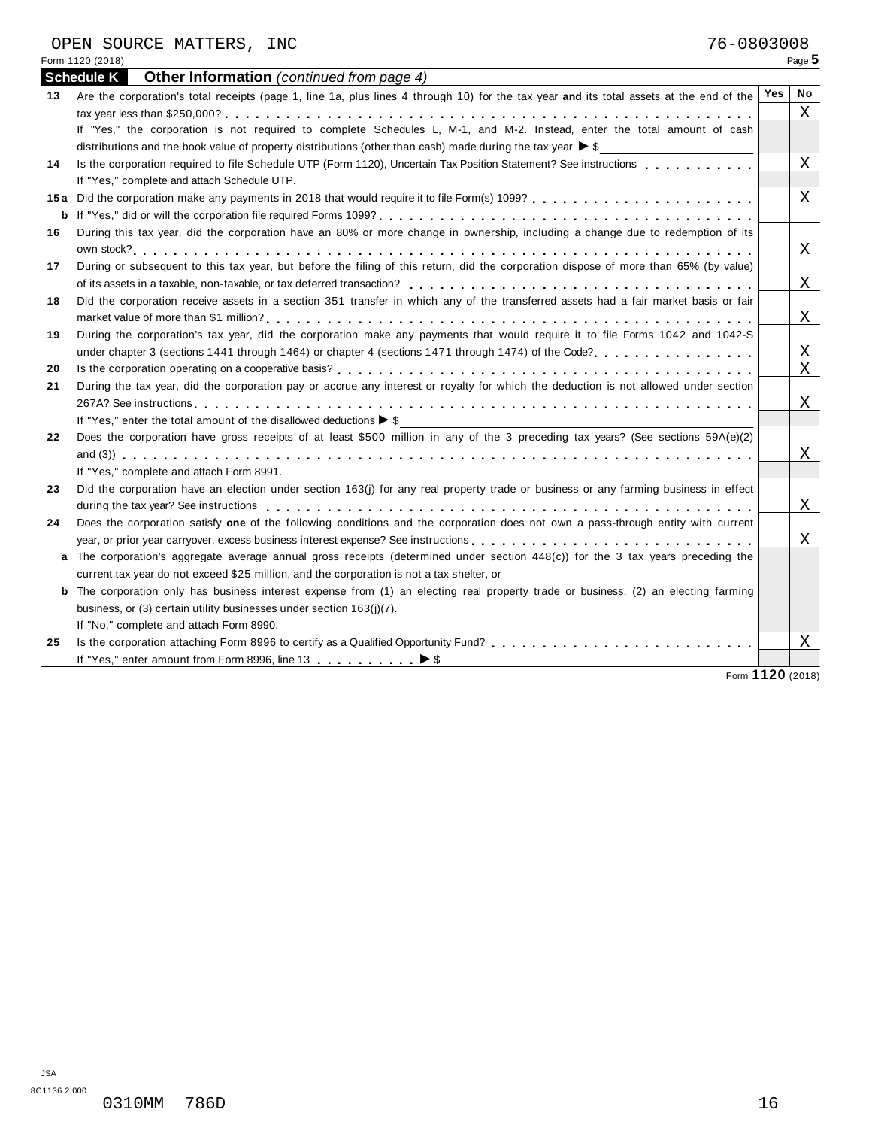|    | during the tax year? See instructions enterpreened and according to the content of the content of the content of the content of the content of the content of the content of the content of the content of the content of the                                                                                               |  |
|----|-----------------------------------------------------------------------------------------------------------------------------------------------------------------------------------------------------------------------------------------------------------------------------------------------------------------------------|--|
| 24 | Does the corporation satisfy one of the following conditions and the corporation does not own a pass-through entity with current                                                                                                                                                                                            |  |
|    |                                                                                                                                                                                                                                                                                                                             |  |
|    | a The corporation's aggregate average annual gross receipts (determined under section $448(c)$ ) for the 3 tax years preceding the                                                                                                                                                                                          |  |
|    | current tax year do not exceed \$25 million, and the corporation is not a tax shelter, or                                                                                                                                                                                                                                   |  |
|    | <b>b</b> The corporation only has business interest expense from (1) an electing real property trade or business, (2) an electing farming                                                                                                                                                                                   |  |
|    | business, or (3) certain utility businesses under section 163(i)(7).                                                                                                                                                                                                                                                        |  |
|    | $H$ $\mathbb{R}$ $\mathbb{R}$ $\mathbb{R}$ $\mathbb{R}$ $\mathbb{R}$ $\mathbb{R}$ $\mathbb{R}$ $\mathbb{R}$ $\mathbb{R}$ $\mathbb{R}$ $\mathbb{R}$ $\mathbb{R}$ $\mathbb{R}$ $\mathbb{R}$ $\mathbb{R}$ $\mathbb{R}$ $\mathbb{R}$ $\mathbb{R}$ $\mathbb{R}$ $\mathbb{R}$ $\mathbb{R}$ $\mathbb{R}$ $\mathbb{R}$ $\mathbb{R}$ |  |

If "No," complete and attach Form 8990.<br>25 Is the corporation attaching Form 8996 to certify as a Qualified Opportunity Fund? <sub>……………</sub>………………………… If "Yes," enter amount from Form 8996, line 13 ∴ ∴ ∴ ∴ ∴ ∴ ▶ \$ m m m m m m m m m m I \$ Form **1120** (2018)

| 76-0803008<br>OPEN SOURCE MATTERS, INC                                                                                                        |            |        |
|-----------------------------------------------------------------------------------------------------------------------------------------------|------------|--------|
| Form 1120 (2018)                                                                                                                              |            | Page 5 |
| <b>Schedule K</b> Other Information (continued from page 4)                                                                                   |            |        |
| Are the corporation's total receipts (page 1, line 1a, plus lines 4 through 10) for the tax year and its total assets at the end of the<br>13 | <b>Yes</b> | No     |
|                                                                                                                                               |            |        |
| If "Yes," the corporation is not required to complete Schedules L, M-1, and M-2. Instead, enter the total amount of cash                      |            |        |
| distributions and the book value of property distributions (other than cash) made during the tax year $\triangleright$ \$                     |            |        |
|                                                                                                                                               |            |        |

|    |                                                                                                                                           | X |
|----|-------------------------------------------------------------------------------------------------------------------------------------------|---|
|    | If "Yes," the corporation is not required to complete Schedules L, M-1, and M-2. Instead, enter the total amount of cash                  |   |
|    | distributions and the book value of property distributions (other than cash) made during the tax year $\triangleright$ \$                 |   |
| 14 | Is the corporation required to file Schedule UTP (Form 1120), Uncertain Tax Position Statement? See instructions                          | Χ |
|    | If "Yes," complete and attach Schedule UTP.                                                                                               |   |
|    |                                                                                                                                           | X |
|    |                                                                                                                                           |   |
| 16 | During this tax year, did the corporation have an 80% or more change in ownership, including a change due to redemption of its            |   |
|    |                                                                                                                                           | X |
| 17 | During or subsequent to this tax year, but before the filing of this return, did the corporation dispose of more than 65% (by value)      |   |
|    |                                                                                                                                           | Χ |
| 18 | Did the corporation receive assets in a section 351 transfer in which any of the transferred assets had a fair market basis or fair       |   |
|    |                                                                                                                                           | X |
| 19 | During the corporation's tax year, did the corporation make any payments that would require it to file Forms 1042 and 1042-S              |   |
|    | under chapter 3 (sections 1441 through 1464) or chapter 4 (sections 1471 through 1474) of the Code?                                       | Χ |
| 20 |                                                                                                                                           | Χ |
| 21 | During the tax year, did the corporation pay or accrue any interest or royalty for which the deduction is not allowed under section       |   |
|    |                                                                                                                                           | Χ |
|    | If "Yes," enter the total amount of the disallowed deductions $\triangleright$ \$                                                         |   |
| 22 | Does the corporation have gross receipts of at least \$500 million in any of the 3 preceding tax years? (See sections 59A(e)(2)           |   |
|    |                                                                                                                                           | X |
|    | If "Yes," complete and attach Form 8991.                                                                                                  |   |
| 23 | Did the corporation have an election under section 163(j) for any real property trade or business or any farming business in effect       |   |
|    |                                                                                                                                           | X |
| 24 | Does the corporation satisfy one of the following conditions and the corporation does not own a pass-through entity with current          |   |
|    | year, or prior year carryover, excess business interest expense? See instructions                                                         | Χ |
|    | a The corporation's aggregate average annual gross receipts (determined under section 448(c)) for the 3 tax years preceding the           |   |
|    | current tax year do not exceed \$25 million, and the corporation is not a tax shelter, or                                                 |   |
|    | <b>b</b> The corporation only has business interest expense from (1) an electing real property trade or business, (2) an electing farming |   |
|    | business, or (3) certain utility businesses under section 163(j)(7).                                                                      |   |
|    | If "No," complete and attach Form 8990.                                                                                                   |   |
| 25 |                                                                                                                                           | Χ |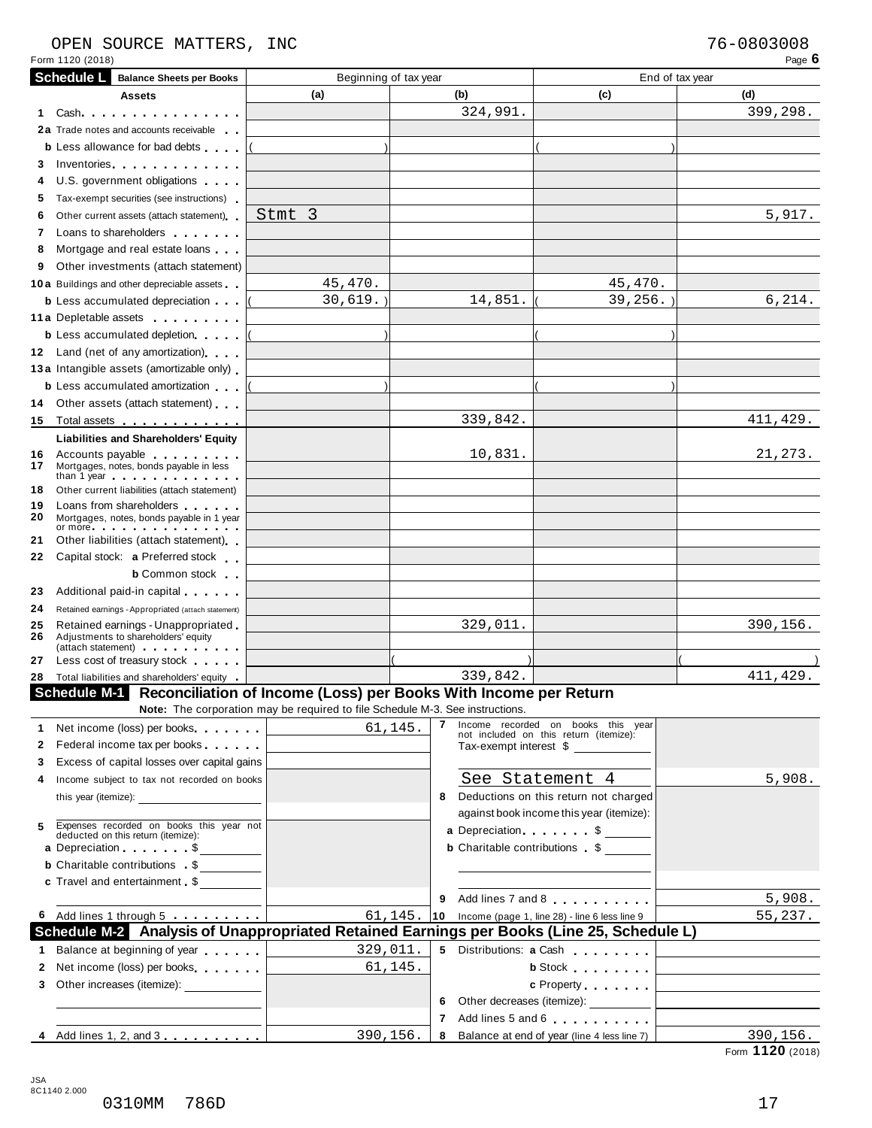## OPEN SOURCE MATTERS, INC 76-0803008

|           | Form 1120 (2018)                                                                                                                                                                                        |                                                                               |              |                                                                              | Page 6                                                                  |
|-----------|---------------------------------------------------------------------------------------------------------------------------------------------------------------------------------------------------------|-------------------------------------------------------------------------------|--------------|------------------------------------------------------------------------------|-------------------------------------------------------------------------|
|           | <b>Schedule L</b><br><b>Balance Sheets per Books</b>                                                                                                                                                    | Beginning of tax year                                                         |              |                                                                              | End of tax year                                                         |
|           | Assets                                                                                                                                                                                                  | (a)                                                                           | (b)          | (c)                                                                          | (d)                                                                     |
| 1.        | Cash                                                                                                                                                                                                    |                                                                               | 324,991.     |                                                                              | 399,298.                                                                |
|           | 2a Trade notes and accounts receivable                                                                                                                                                                  |                                                                               |              |                                                                              |                                                                         |
|           | <b>b</b> Less allowance for bad debts                                                                                                                                                                   |                                                                               |              |                                                                              |                                                                         |
| 3         | Inventories <b>All According to the Contract of the Contract of Table 1989</b>                                                                                                                          |                                                                               |              |                                                                              |                                                                         |
| 4         | U.S. government obligations                                                                                                                                                                             |                                                                               |              |                                                                              |                                                                         |
| 5         | Tax-exempt securities (see instructions)                                                                                                                                                                |                                                                               |              |                                                                              |                                                                         |
| 6         | Other current assets (attach statement)                                                                                                                                                                 | Stmt 3                                                                        |              |                                                                              | 5,917.                                                                  |
| 7         | Loans to shareholders <b>Exercise 2.1 Fig. 1.1</b>                                                                                                                                                      |                                                                               |              |                                                                              |                                                                         |
| 8         | Mortgage and real estate loans                                                                                                                                                                          |                                                                               |              |                                                                              |                                                                         |
| 9         | Other investments (attach statement)                                                                                                                                                                    |                                                                               |              |                                                                              |                                                                         |
|           | <b>10a</b> Buildings and other depreciable assets                                                                                                                                                       | 45,470.                                                                       |              | 45,470.                                                                      |                                                                         |
|           | <b>b</b> Less accumulated depreciation                                                                                                                                                                  | $30,619.$ )                                                                   | 14,851.      | $39, 256.$ )                                                                 | 6,214.                                                                  |
|           | 11 a Depletable assets                                                                                                                                                                                  |                                                                               |              |                                                                              |                                                                         |
|           | <b>b</b> Less accumulated depletion                                                                                                                                                                     |                                                                               |              |                                                                              |                                                                         |
|           | 12 Land (net of any amortization)                                                                                                                                                                       |                                                                               |              |                                                                              |                                                                         |
|           | 13 a Intangible assets (amortizable only)                                                                                                                                                               |                                                                               |              |                                                                              |                                                                         |
|           |                                                                                                                                                                                                         |                                                                               |              |                                                                              |                                                                         |
|           | <b>b</b> Less accumulated amortization                                                                                                                                                                  |                                                                               |              |                                                                              |                                                                         |
| 14        | Other assets (attach statement)                                                                                                                                                                         |                                                                               |              |                                                                              |                                                                         |
| 15        | Total assets                                                                                                                                                                                            |                                                                               | 339,842.     |                                                                              | 411,429.                                                                |
|           | <b>Liabilities and Shareholders' Equity</b>                                                                                                                                                             |                                                                               |              |                                                                              |                                                                         |
| 16.<br>17 | Accounts payable<br>Mortgages, notes, bonds payable in less                                                                                                                                             |                                                                               | 10,831.      |                                                                              | 21,273.                                                                 |
|           | than 1 year end of the state of the state of the state of the state of the state of the state of the state of                                                                                           |                                                                               |              |                                                                              |                                                                         |
| 18        | Other current liabilities (attach statement)                                                                                                                                                            |                                                                               |              |                                                                              |                                                                         |
| 19<br>20  | Loans from shareholders <b>contained</b><br>Mortgages, notes, bonds payable in 1 year<br>or more experience and the set of the set of the set of the set of the set of the set of the set of the set of |                                                                               |              |                                                                              |                                                                         |
| 21        | Other liabilities (attach statement)                                                                                                                                                                    |                                                                               |              |                                                                              |                                                                         |
| 22        | Capital stock: a Preferred stock                                                                                                                                                                        |                                                                               |              |                                                                              |                                                                         |
|           | <b>b</b> Common stock                                                                                                                                                                                   |                                                                               |              |                                                                              |                                                                         |
| 23        | Additional paid-in capital exercises                                                                                                                                                                    |                                                                               |              |                                                                              |                                                                         |
| 24        | Retained earnings - Appropriated (attach statement)                                                                                                                                                     |                                                                               |              |                                                                              |                                                                         |
| 25        | Retained earnings - Unappropriated                                                                                                                                                                      |                                                                               | 329,011.     |                                                                              | 390,156.                                                                |
| 26        | Adjustments to shareholders' equity<br>(attach statement) experience and the statement                                                                                                                  |                                                                               |              |                                                                              |                                                                         |
| 27        | Less cost of treasury stock                                                                                                                                                                             |                                                                               |              |                                                                              |                                                                         |
| 28        | Total liabilities and shareholders' equity                                                                                                                                                              |                                                                               | 339,842.     |                                                                              | 411,429.                                                                |
|           | Schedule M-1 Reconciliation of Income (Loss) per Books With Income per Return                                                                                                                           |                                                                               |              |                                                                              |                                                                         |
|           |                                                                                                                                                                                                         | Note: The corporation may be required to file Schedule M-3. See instructions. |              |                                                                              |                                                                         |
|           | 1 Net income (loss) per books                                                                                                                                                                           | 61, 145.                                                                      | 7            | Income recorded on books this year<br>not included on this return (itemize): |                                                                         |
| 2         | Federal income tax per books                                                                                                                                                                            |                                                                               |              | Tax-exempt interest \$                                                       |                                                                         |
| 3         | Excess of capital losses over capital gains                                                                                                                                                             |                                                                               |              |                                                                              |                                                                         |
| 4         | Income subject to tax not recorded on books                                                                                                                                                             |                                                                               |              | See Statement 4                                                              | 5,908.                                                                  |
|           |                                                                                                                                                                                                         |                                                                               | 8            | Deductions on this return not charged                                        |                                                                         |
|           |                                                                                                                                                                                                         |                                                                               |              | against book income this year (itemize):                                     |                                                                         |
| 5         | Expenses recorded on books this year not deducted on this return (itemize):                                                                                                                             |                                                                               |              | a Depreciation. \$                                                           |                                                                         |
|           | a Depreciation \$                                                                                                                                                                                       |                                                                               |              | <b>b</b> Charitable contributions \$                                         |                                                                         |
|           | <b>b</b> Charitable contributions \$                                                                                                                                                                    |                                                                               |              |                                                                              |                                                                         |
|           | c Travel and entertainment \$                                                                                                                                                                           |                                                                               |              |                                                                              |                                                                         |
|           |                                                                                                                                                                                                         |                                                                               | 9            | Add lines 7 and 8                                                            | 5,908.                                                                  |
|           | 6 Add lines 1 through 5                                                                                                                                                                                 | 61, 145.                                                                      | $ 10\rangle$ | Income (page 1, line 28) - line 6 less line 9                                | 55,237.                                                                 |
|           | Schedule M-2 Analysis of Unappropriated Retained Earnings per Books (Line 25, Schedule L)                                                                                                               |                                                                               |              |                                                                              |                                                                         |
|           | 1 Balance at beginning of year                                                                                                                                                                          | 329,011.                                                                      |              |                                                                              | 5 Distributions: a Cash <b>Cash Manual Manual Property Control</b> 2014 |
| 2         | Net income (loss) per books                                                                                                                                                                             | 61,145.                                                                       |              |                                                                              | b Stock <u>  _ _ _ _ _ _ _ _ _ _ _ _ _ _ _ _</u>                        |
| 3         | Other increases (itemize): ______________                                                                                                                                                               |                                                                               |              |                                                                              |                                                                         |
|           |                                                                                                                                                                                                         |                                                                               | 6            |                                                                              |                                                                         |
|           |                                                                                                                                                                                                         |                                                                               | 7            | Add lines 5 and 6                                                            |                                                                         |
|           | 4 Add lines 1, 2, and 3                                                                                                                                                                                 | 390,156.                                                                      | 8            | Balance at end of year (line 4 less line 7)                                  | 390,156.                                                                |
|           |                                                                                                                                                                                                         |                                                                               |              |                                                                              | Form 1120 (2018)                                                        |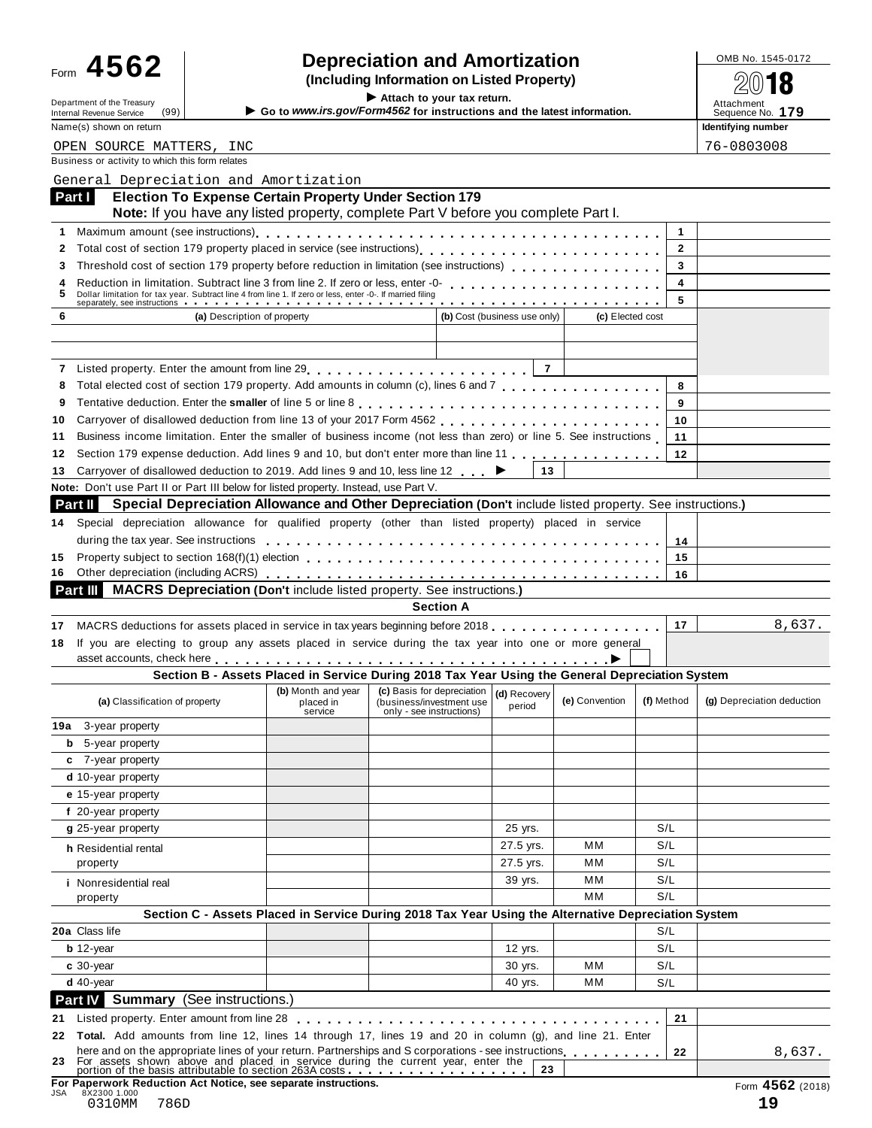| ⊦orm | 4562 |  |
|------|------|--|
|      |      |  |
|      |      |  |
|      |      |  |
|      |      |  |
|      |      |  |
|      |      |  |
|      |      |  |
|      |      |  |
|      |      |  |
|      |      |  |

# Form  $\bf 4562$  **combing information** and **Amortization combined to the SQS of**  $\bf 4562$  **(Including Information on Listed Property)**

**Example 1999** Internal Revenue Service (99) **I Co is a computer of the Treasury instructions and the latest information.** Attachment<br>
Many (a) above a setting a sequence No. 179<br>
Name of a sequence No. 179

Form **TVU∠**<br>
Department of the Treasury<br>
Internal Revenue Service (99)<br> **Extrach to your tax return.**<br>
Attach to your tax return.<br>
Attach to your tax return.<br>
Attachment Sequence No. 179 Name(s) shown on return **Identifying number Identifying number Identifying number** 

|        | OPEN SOURCE MATTERS, INC                                                                                                                                                                                                                                                           |                      |                                                      |                  |                              |                  |            |                         | 76-0803008                 |
|--------|------------------------------------------------------------------------------------------------------------------------------------------------------------------------------------------------------------------------------------------------------------------------------------|----------------------|------------------------------------------------------|------------------|------------------------------|------------------|------------|-------------------------|----------------------------|
|        | Business or activity to which this form relates                                                                                                                                                                                                                                    |                      |                                                      |                  |                              |                  |            |                         |                            |
|        | General Depreciation and Amortization                                                                                                                                                                                                                                              |                      |                                                      |                  |                              |                  |            |                         |                            |
|        | <b>Election To Expense Certain Property Under Section 179</b><br>Part I                                                                                                                                                                                                            |                      |                                                      |                  |                              |                  |            |                         |                            |
|        | Note: If you have any listed property, complete Part V before you complete Part I.                                                                                                                                                                                                 |                      |                                                      |                  |                              |                  |            |                         |                            |
| 1      |                                                                                                                                                                                                                                                                                    |                      |                                                      |                  |                              |                  |            | 1                       |                            |
| 2      |                                                                                                                                                                                                                                                                                    |                      |                                                      |                  |                              |                  |            | $\mathbf{2}$            |                            |
| 3      | Threshold cost of section 179 property before reduction in limitation (see instructions)                                                                                                                                                                                           |                      |                                                      |                  |                              |                  |            | 3                       |                            |
| 4<br>5 | Reduction in limitation. Subtract line 3 from line 2. If zero or less, enter -0-<br>Reduction in limitation. Subtract line 3 from line 2. If zero or less, enter -0-<br>Dollar limitation for tax year. Subtract line 4 from line 1. If zero or less, enter -0-. If married filing |                      |                                                      |                  |                              |                  |            | $\overline{\mathbf{4}}$ |                            |
|        |                                                                                                                                                                                                                                                                                    |                      |                                                      |                  |                              |                  |            | 5                       |                            |
| 6      | (a) Description of property                                                                                                                                                                                                                                                        |                      |                                                      |                  | (b) Cost (business use only) | (c) Elected cost |            |                         |                            |
|        |                                                                                                                                                                                                                                                                                    |                      |                                                      |                  |                              |                  |            |                         |                            |
|        |                                                                                                                                                                                                                                                                                    |                      |                                                      |                  |                              |                  |            |                         |                            |
|        |                                                                                                                                                                                                                                                                                    |                      |                                                      |                  | $\overline{7}$               |                  |            |                         |                            |
| 8      | Total elected cost of section 179 property. Add amounts in column (c), lines 6 and 7                                                                                                                                                                                               |                      |                                                      |                  |                              |                  |            | 8                       |                            |
| 9      |                                                                                                                                                                                                                                                                                    |                      |                                                      |                  |                              |                  |            | 9                       |                            |
| 10     |                                                                                                                                                                                                                                                                                    |                      |                                                      |                  |                              |                  |            | 10                      |                            |
| 11     | Business income limitation. Enter the smaller of business income (not less than zero) or line 5. See instructions                                                                                                                                                                  |                      |                                                      |                  |                              |                  |            | 11                      |                            |
| 12     | Section 179 expense deduction. Add lines 9 and 10, but don't enter more than line 11                                                                                                                                                                                               |                      |                                                      |                  |                              |                  |            | 12                      |                            |
| 13     | Carryover of disallowed deduction to 2019. Add lines 9 and 10, less line 12                                                                                                                                                                                                        |                      |                                                      |                  | 13                           |                  |            |                         |                            |
|        | Note: Don't use Part II or Part III below for listed property. Instead, use Part V.                                                                                                                                                                                                |                      |                                                      |                  |                              |                  |            |                         |                            |
|        | Special Depreciation Allowance and Other Depreciation (Don't include listed property. See instructions.)<br>Part II                                                                                                                                                                |                      |                                                      |                  |                              |                  |            |                         |                            |
| 14     | Special depreciation allowance for qualified property (other than listed property) placed in service                                                                                                                                                                               |                      |                                                      |                  |                              |                  |            |                         |                            |
|        |                                                                                                                                                                                                                                                                                    |                      |                                                      |                  |                              |                  |            | 14                      |                            |
| 15     |                                                                                                                                                                                                                                                                                    |                      |                                                      |                  |                              |                  |            | 15                      |                            |
| 16     |                                                                                                                                                                                                                                                                                    |                      |                                                      |                  |                              |                  |            | 16                      |                            |
|        | Part III MACRS Depreciation (Don't include listed property. See instructions.)                                                                                                                                                                                                     |                      |                                                      |                  |                              |                  |            |                         |                            |
|        |                                                                                                                                                                                                                                                                                    |                      |                                                      |                  |                              |                  |            |                         |                            |
|        |                                                                                                                                                                                                                                                                                    |                      |                                                      | <b>Section A</b> |                              |                  |            |                         |                            |
| 17     | MACRS deductions for assets placed in service in tax years beginning before 2018.                                                                                                                                                                                                  |                      |                                                      |                  |                              |                  |            | 17                      | 8,637.                     |
| 18     | If you are electing to group any assets placed in service during the tax year into one or more general                                                                                                                                                                             |                      |                                                      |                  |                              |                  |            |                         |                            |
|        | asset accounts, check here et al., et al., et al., et al., et al., et al., et al., et al., et al., et al., et                                                                                                                                                                      |                      |                                                      |                  |                              |                  |            |                         |                            |
|        | Section B - Assets Placed in Service During 2018 Tax Year Using the General Depreciation System                                                                                                                                                                                    | (b) Month and year   | (c) Basis for depreciation                           |                  |                              |                  |            |                         |                            |
|        | (a) Classification of property                                                                                                                                                                                                                                                     | placed in<br>service | (business/investment use<br>only - see instructions) |                  | (d) Recovery<br>period       | (e) Convention   | (f) Method |                         | (g) Depreciation deduction |
| 19а    | 3-year property                                                                                                                                                                                                                                                                    |                      |                                                      |                  |                              |                  |            |                         |                            |
| b      | 5-year property                                                                                                                                                                                                                                                                    |                      |                                                      |                  |                              |                  |            |                         |                            |
|        | c 7-year property                                                                                                                                                                                                                                                                  |                      |                                                      |                  |                              |                  |            |                         |                            |
|        | d 10-year property                                                                                                                                                                                                                                                                 |                      |                                                      |                  |                              |                  |            |                         |                            |
|        | e 15-year property                                                                                                                                                                                                                                                                 |                      |                                                      |                  |                              |                  |            |                         |                            |
|        | f 20-year property                                                                                                                                                                                                                                                                 |                      |                                                      |                  |                              |                  |            |                         |                            |
|        | g 25-year property                                                                                                                                                                                                                                                                 |                      |                                                      |                  | 25 yrs.                      |                  | S/L        |                         |                            |
|        | h Residential rental                                                                                                                                                                                                                                                               |                      |                                                      |                  | 27.5 yrs.                    | мм               | S/L        |                         |                            |
|        | property                                                                                                                                                                                                                                                                           |                      |                                                      |                  | 27.5 yrs.                    | мм               | S/L        |                         |                            |
|        | <i>i</i> Nonresidential real                                                                                                                                                                                                                                                       |                      |                                                      |                  | 39 yrs.                      | мм               | S/L        |                         |                            |
|        | property                                                                                                                                                                                                                                                                           |                      |                                                      |                  |                              | MМ               | S/L        |                         |                            |
|        | Section C - Assets Placed in Service During 2018 Tax Year Using the Alternative Depreciation System                                                                                                                                                                                |                      |                                                      |                  |                              |                  |            |                         |                            |
|        | 20a Class life                                                                                                                                                                                                                                                                     |                      |                                                      |                  |                              |                  | S/L        |                         |                            |
|        | $b$ 12-year                                                                                                                                                                                                                                                                        |                      |                                                      |                  | 12 yrs.                      |                  | S/L        |                         |                            |
|        | $c$ 30-year                                                                                                                                                                                                                                                                        |                      |                                                      |                  | 30 yrs.                      | мм               | S/L        |                         |                            |
|        | $d$ 40-year                                                                                                                                                                                                                                                                        |                      |                                                      |                  | 40 yrs.                      | мм               | S/L        |                         |                            |
|        | <b>Part IV</b> Summary (See instructions.)                                                                                                                                                                                                                                         |                      |                                                      |                  |                              |                  |            |                         |                            |
| 21     | Listed property. Enter amount from line 28                                                                                                                                                                                                                                         | .                    |                                                      |                  |                              |                  |            | 21                      |                            |
|        | 22 Total. Add amounts from line 12, lines 14 through 17, lines 19 and 20 in column (g), and line 21. Enter                                                                                                                                                                         |                      |                                                      |                  |                              |                  |            |                         |                            |
|        | here and on the appropriate lines of your return. Partnerships and S corporations - see instructions<br>23 For assets shown above and placed in service during the current year, enter the portion of the basis attributable to section 263A costs                                 |                      |                                                      |                  | 23                           |                  |            | 22                      | 8,637.                     |

**For Paperwork Reduction Act Notice, see separate instructions.** Form **4562** (2018) JSA 8X2300 1.000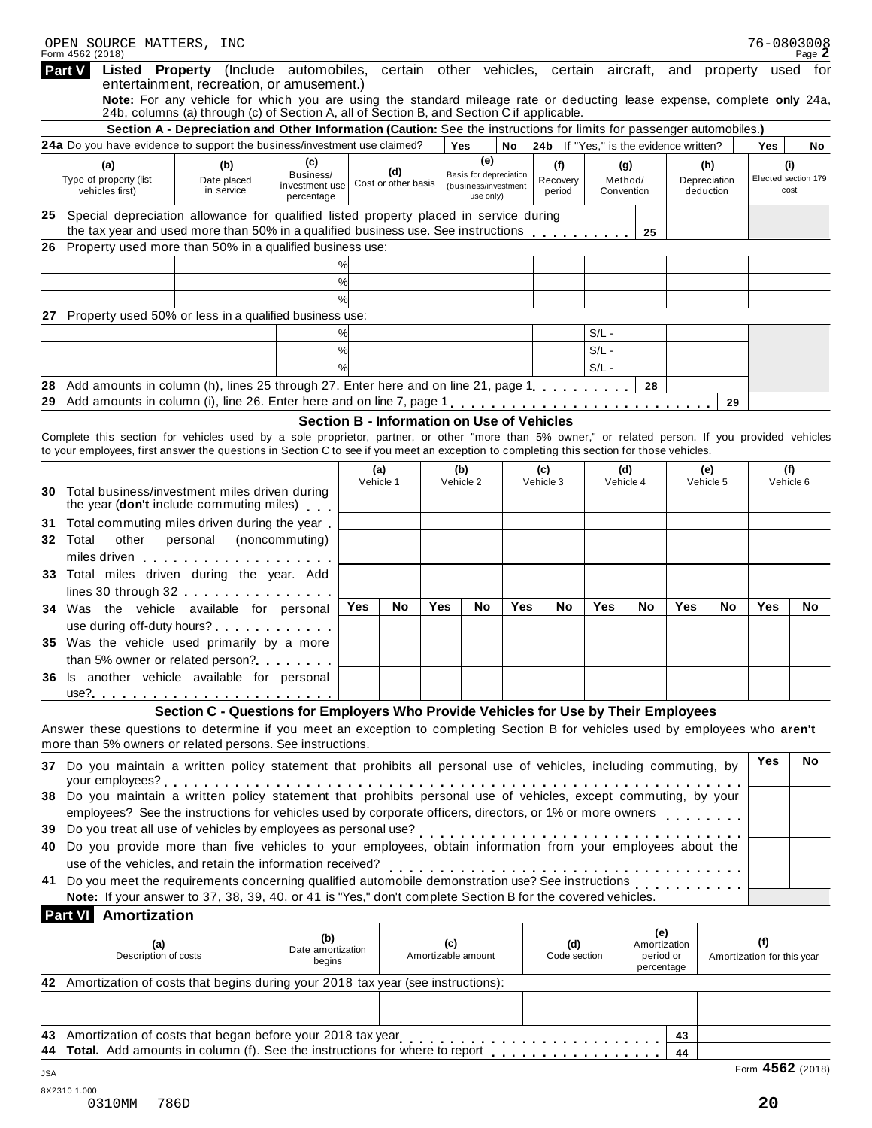| Listed Property (Include automobiles, certain other vehicles, certain aircraft,<br>and property<br>used for<br>entertainment, recreation, or amusement.)<br>Note: For any vehicle for which you are using the standard mileage rate or deducting lease expense, complete only 24a,<br>24b, columns (a) through (c) of Section A, all of Section B, and Section C if applicable.<br>Section A - Depreciation and Other Information (Caution: See the instructions for limits for passenger automobiles.)<br>24a Do you have evidence to support the business/investment use claimed?<br>Yes<br>No<br>24b If "Yes," is the evidence written?<br>Yes<br>(e)<br>(c)<br>(f)<br>(g)<br>(i)<br>(a)<br>(b)<br>(h)<br>(d)<br>Business/<br>Basis for depreciation<br>Elected section 179<br>Method/<br>Recovery<br>Depreciation<br>Date placed<br>Cost or other basis<br>investment use<br>(business/investment<br>vehicles first)<br>in service<br>deduction<br>period<br>Convention<br>cost<br>use only)<br>percentage<br>25 Special depreciation allowance for qualified listed property placed in service during<br>the tax year and used more than 50% in a qualified business use. See instructions<br>25<br>Property used more than 50% in a qualified business use:<br>%<br>%<br>$\frac{9}{6}$<br>Property used 50% or less in a qualified business use:<br>%<br>$S/L -$<br>%<br>$S/L -$<br>$\frac{1}{2}$<br>$S/L -$<br>Add amounts in column (h), lines 25 through 27. Enter here and on line 21, page 1, , ,<br>28<br>29<br>Section B - Information on Use of Vehicles<br>Complete this section for vehicles used by a sole proprietor, partner, or other "more than 5% owner," or related person. If you provided vehicles<br>to your employees, first answer the questions in Section C to see if you meet an exception to completing this section for those vehicles.<br>(f)<br>(a)<br>(b)<br>(c)<br>(d)<br>(e)<br>Vehicle 1<br>Vehicle 2<br>Vehicle 3<br>Vehicle 4<br>Vehicle 5<br>Vehicle 6<br><b>30</b> Total business/investment miles driven during<br>the year (don't include commuting miles)<br>Total commuting miles driven during the year.<br>personal (noncommuting)<br>other<br>miles driven expansion and<br>Total miles driven during the year. Add<br>lines 30 through 32<br>Yes<br>Yes<br>No<br>Yes<br>No<br>Yes<br>Yes<br>Yes<br><b>No</b><br>No<br><b>No</b><br>No<br>Was the vehicle available for personal<br>use during off-duty hours?<br>35 Was the vehicle used primarily by a more<br>than 5% owner or related person?<br>36 Is another vehicle available for personal<br>Section C - Questions for Employers Who Provide Vehicles for Use by Their Employees<br>Answer these questions to determine if you meet an exception to completing Section B for vehicles used by employees who aren't<br>more than 5% owners or related persons. See instructions.<br>Yes<br>No<br>37 Do you maintain a written policy statement that prohibits all personal use of vehicles, including commuting, by<br>your employees?<br>employees? See the instructions for vehicles used by corporate officers, directors, or 1% or more owners<br>39 Do you treat all use of vehicles by employees as personal use?<br>or bo you mean all use of verilicles by employees as personal use?<br>40 Do you provide more than five vehicles to your employees, obtain information from your employees about the<br>use of the vehicles, and retain the information received?<br>41 Do you meet the requirements concerning qualified automobile demonstration use? See instructions<br>Note: If your answer to 37, 38, 39, 40, or 41 is "Yes," don't complete Section B for the covered vehicles.<br><b>Part VI</b> Amortization<br>(e)<br>(b)<br>(f)<br>(c)<br>(a)<br>(d)<br>Amortization<br>Date amortization<br>Description of costs<br>Amortizable amount<br>Code section<br>period or<br>Amortization for this year<br>begins<br>percentage<br>42 Amortization of costs that begins during your 2018 tax year (see instructions):<br>43 Amortization of costs that began before your 2018 tax year<br>43<br>44 Total. Add amounts in column (f). See the instructions for where to report <b>content</b> | OPEN SOURCE MATTERS, INC<br>Form 4562 (2018) |  |  |  |  |  |    | 76-0803008 | Page $\mathbb Z$ |
|-----------------------------------------------------------------------------------------------------------------------------------------------------------------------------------------------------------------------------------------------------------------------------------------------------------------------------------------------------------------------------------------------------------------------------------------------------------------------------------------------------------------------------------------------------------------------------------------------------------------------------------------------------------------------------------------------------------------------------------------------------------------------------------------------------------------------------------------------------------------------------------------------------------------------------------------------------------------------------------------------------------------------------------------------------------------------------------------------------------------------------------------------------------------------------------------------------------------------------------------------------------------------------------------------------------------------------------------------------------------------------------------------------------------------------------------------------------------------------------------------------------------------------------------------------------------------------------------------------------------------------------------------------------------------------------------------------------------------------------------------------------------------------------------------------------------------------------------------------------------------------------------------------------------------------------------------------------------------------------------------------------------------------------------------------------------------------------------------------------------------------------------------------------------------------------------------------------------------------------------------------------------------------------------------------------------------------------------------------------------------------------------------------------------------------------------------------------------------------------------------------------------------------------------------------------------------------------------------------------------------------------------------------------------------------------------------------------------------------------------------------------------------------------------------------------------------------------------------------------------------------------------------------------------------------------------------------------------------------------------------------------------------------------------------------------------------------------------------------------------------------------------------------------------------------------------------------------------------------------------------------------------------------------------------------------------------------------------------------------------------------------------------------------------------------------------------------------------------------------------------------------------------------------------------------------------------------------------------------------------------------------------------------------------------------------------------------------------------------------------------------------------------------------------------------------------------------------------------------------------------------------------------------------------------------------------------------------------------------------------------------------------------------------------------------------------------------------------------------------------------------------------------------------------------------------------------------------------------|----------------------------------------------|--|--|--|--|--|----|------------|------------------|
|                                                                                                                                                                                                                                                                                                                                                                                                                                                                                                                                                                                                                                                                                                                                                                                                                                                                                                                                                                                                                                                                                                                                                                                                                                                                                                                                                                                                                                                                                                                                                                                                                                                                                                                                                                                                                                                                                                                                                                                                                                                                                                                                                                                                                                                                                                                                                                                                                                                                                                                                                                                                                                                                                                                                                                                                                                                                                                                                                                                                                                                                                                                                                                                                                                                                                                                                                                                                                                                                                                                                                                                                                                                                                                                                                                                                                                                                                                                                                                                                                                                                                                                                                                                                                       | Part V                                       |  |  |  |  |  |    |            |                  |
|                                                                                                                                                                                                                                                                                                                                                                                                                                                                                                                                                                                                                                                                                                                                                                                                                                                                                                                                                                                                                                                                                                                                                                                                                                                                                                                                                                                                                                                                                                                                                                                                                                                                                                                                                                                                                                                                                                                                                                                                                                                                                                                                                                                                                                                                                                                                                                                                                                                                                                                                                                                                                                                                                                                                                                                                                                                                                                                                                                                                                                                                                                                                                                                                                                                                                                                                                                                                                                                                                                                                                                                                                                                                                                                                                                                                                                                                                                                                                                                                                                                                                                                                                                                                                       |                                              |  |  |  |  |  |    |            |                  |
|                                                                                                                                                                                                                                                                                                                                                                                                                                                                                                                                                                                                                                                                                                                                                                                                                                                                                                                                                                                                                                                                                                                                                                                                                                                                                                                                                                                                                                                                                                                                                                                                                                                                                                                                                                                                                                                                                                                                                                                                                                                                                                                                                                                                                                                                                                                                                                                                                                                                                                                                                                                                                                                                                                                                                                                                                                                                                                                                                                                                                                                                                                                                                                                                                                                                                                                                                                                                                                                                                                                                                                                                                                                                                                                                                                                                                                                                                                                                                                                                                                                                                                                                                                                                                       |                                              |  |  |  |  |  |    |            | No               |
|                                                                                                                                                                                                                                                                                                                                                                                                                                                                                                                                                                                                                                                                                                                                                                                                                                                                                                                                                                                                                                                                                                                                                                                                                                                                                                                                                                                                                                                                                                                                                                                                                                                                                                                                                                                                                                                                                                                                                                                                                                                                                                                                                                                                                                                                                                                                                                                                                                                                                                                                                                                                                                                                                                                                                                                                                                                                                                                                                                                                                                                                                                                                                                                                                                                                                                                                                                                                                                                                                                                                                                                                                                                                                                                                                                                                                                                                                                                                                                                                                                                                                                                                                                                                                       |                                              |  |  |  |  |  |    |            |                  |
|                                                                                                                                                                                                                                                                                                                                                                                                                                                                                                                                                                                                                                                                                                                                                                                                                                                                                                                                                                                                                                                                                                                                                                                                                                                                                                                                                                                                                                                                                                                                                                                                                                                                                                                                                                                                                                                                                                                                                                                                                                                                                                                                                                                                                                                                                                                                                                                                                                                                                                                                                                                                                                                                                                                                                                                                                                                                                                                                                                                                                                                                                                                                                                                                                                                                                                                                                                                                                                                                                                                                                                                                                                                                                                                                                                                                                                                                                                                                                                                                                                                                                                                                                                                                                       | Type of property (list                       |  |  |  |  |  |    |            |                  |
|                                                                                                                                                                                                                                                                                                                                                                                                                                                                                                                                                                                                                                                                                                                                                                                                                                                                                                                                                                                                                                                                                                                                                                                                                                                                                                                                                                                                                                                                                                                                                                                                                                                                                                                                                                                                                                                                                                                                                                                                                                                                                                                                                                                                                                                                                                                                                                                                                                                                                                                                                                                                                                                                                                                                                                                                                                                                                                                                                                                                                                                                                                                                                                                                                                                                                                                                                                                                                                                                                                                                                                                                                                                                                                                                                                                                                                                                                                                                                                                                                                                                                                                                                                                                                       |                                              |  |  |  |  |  |    |            |                  |
|                                                                                                                                                                                                                                                                                                                                                                                                                                                                                                                                                                                                                                                                                                                                                                                                                                                                                                                                                                                                                                                                                                                                                                                                                                                                                                                                                                                                                                                                                                                                                                                                                                                                                                                                                                                                                                                                                                                                                                                                                                                                                                                                                                                                                                                                                                                                                                                                                                                                                                                                                                                                                                                                                                                                                                                                                                                                                                                                                                                                                                                                                                                                                                                                                                                                                                                                                                                                                                                                                                                                                                                                                                                                                                                                                                                                                                                                                                                                                                                                                                                                                                                                                                                                                       |                                              |  |  |  |  |  |    |            |                  |
|                                                                                                                                                                                                                                                                                                                                                                                                                                                                                                                                                                                                                                                                                                                                                                                                                                                                                                                                                                                                                                                                                                                                                                                                                                                                                                                                                                                                                                                                                                                                                                                                                                                                                                                                                                                                                                                                                                                                                                                                                                                                                                                                                                                                                                                                                                                                                                                                                                                                                                                                                                                                                                                                                                                                                                                                                                                                                                                                                                                                                                                                                                                                                                                                                                                                                                                                                                                                                                                                                                                                                                                                                                                                                                                                                                                                                                                                                                                                                                                                                                                                                                                                                                                                                       |                                              |  |  |  |  |  |    |            |                  |
|                                                                                                                                                                                                                                                                                                                                                                                                                                                                                                                                                                                                                                                                                                                                                                                                                                                                                                                                                                                                                                                                                                                                                                                                                                                                                                                                                                                                                                                                                                                                                                                                                                                                                                                                                                                                                                                                                                                                                                                                                                                                                                                                                                                                                                                                                                                                                                                                                                                                                                                                                                                                                                                                                                                                                                                                                                                                                                                                                                                                                                                                                                                                                                                                                                                                                                                                                                                                                                                                                                                                                                                                                                                                                                                                                                                                                                                                                                                                                                                                                                                                                                                                                                                                                       |                                              |  |  |  |  |  |    |            |                  |
|                                                                                                                                                                                                                                                                                                                                                                                                                                                                                                                                                                                                                                                                                                                                                                                                                                                                                                                                                                                                                                                                                                                                                                                                                                                                                                                                                                                                                                                                                                                                                                                                                                                                                                                                                                                                                                                                                                                                                                                                                                                                                                                                                                                                                                                                                                                                                                                                                                                                                                                                                                                                                                                                                                                                                                                                                                                                                                                                                                                                                                                                                                                                                                                                                                                                                                                                                                                                                                                                                                                                                                                                                                                                                                                                                                                                                                                                                                                                                                                                                                                                                                                                                                                                                       |                                              |  |  |  |  |  |    |            |                  |
|                                                                                                                                                                                                                                                                                                                                                                                                                                                                                                                                                                                                                                                                                                                                                                                                                                                                                                                                                                                                                                                                                                                                                                                                                                                                                                                                                                                                                                                                                                                                                                                                                                                                                                                                                                                                                                                                                                                                                                                                                                                                                                                                                                                                                                                                                                                                                                                                                                                                                                                                                                                                                                                                                                                                                                                                                                                                                                                                                                                                                                                                                                                                                                                                                                                                                                                                                                                                                                                                                                                                                                                                                                                                                                                                                                                                                                                                                                                                                                                                                                                                                                                                                                                                                       | 27.                                          |  |  |  |  |  |    |            |                  |
|                                                                                                                                                                                                                                                                                                                                                                                                                                                                                                                                                                                                                                                                                                                                                                                                                                                                                                                                                                                                                                                                                                                                                                                                                                                                                                                                                                                                                                                                                                                                                                                                                                                                                                                                                                                                                                                                                                                                                                                                                                                                                                                                                                                                                                                                                                                                                                                                                                                                                                                                                                                                                                                                                                                                                                                                                                                                                                                                                                                                                                                                                                                                                                                                                                                                                                                                                                                                                                                                                                                                                                                                                                                                                                                                                                                                                                                                                                                                                                                                                                                                                                                                                                                                                       |                                              |  |  |  |  |  |    |            |                  |
|                                                                                                                                                                                                                                                                                                                                                                                                                                                                                                                                                                                                                                                                                                                                                                                                                                                                                                                                                                                                                                                                                                                                                                                                                                                                                                                                                                                                                                                                                                                                                                                                                                                                                                                                                                                                                                                                                                                                                                                                                                                                                                                                                                                                                                                                                                                                                                                                                                                                                                                                                                                                                                                                                                                                                                                                                                                                                                                                                                                                                                                                                                                                                                                                                                                                                                                                                                                                                                                                                                                                                                                                                                                                                                                                                                                                                                                                                                                                                                                                                                                                                                                                                                                                                       |                                              |  |  |  |  |  |    |            |                  |
|                                                                                                                                                                                                                                                                                                                                                                                                                                                                                                                                                                                                                                                                                                                                                                                                                                                                                                                                                                                                                                                                                                                                                                                                                                                                                                                                                                                                                                                                                                                                                                                                                                                                                                                                                                                                                                                                                                                                                                                                                                                                                                                                                                                                                                                                                                                                                                                                                                                                                                                                                                                                                                                                                                                                                                                                                                                                                                                                                                                                                                                                                                                                                                                                                                                                                                                                                                                                                                                                                                                                                                                                                                                                                                                                                                                                                                                                                                                                                                                                                                                                                                                                                                                                                       |                                              |  |  |  |  |  |    |            |                  |
|                                                                                                                                                                                                                                                                                                                                                                                                                                                                                                                                                                                                                                                                                                                                                                                                                                                                                                                                                                                                                                                                                                                                                                                                                                                                                                                                                                                                                                                                                                                                                                                                                                                                                                                                                                                                                                                                                                                                                                                                                                                                                                                                                                                                                                                                                                                                                                                                                                                                                                                                                                                                                                                                                                                                                                                                                                                                                                                                                                                                                                                                                                                                                                                                                                                                                                                                                                                                                                                                                                                                                                                                                                                                                                                                                                                                                                                                                                                                                                                                                                                                                                                                                                                                                       |                                              |  |  |  |  |  |    |            |                  |
|                                                                                                                                                                                                                                                                                                                                                                                                                                                                                                                                                                                                                                                                                                                                                                                                                                                                                                                                                                                                                                                                                                                                                                                                                                                                                                                                                                                                                                                                                                                                                                                                                                                                                                                                                                                                                                                                                                                                                                                                                                                                                                                                                                                                                                                                                                                                                                                                                                                                                                                                                                                                                                                                                                                                                                                                                                                                                                                                                                                                                                                                                                                                                                                                                                                                                                                                                                                                                                                                                                                                                                                                                                                                                                                                                                                                                                                                                                                                                                                                                                                                                                                                                                                                                       |                                              |  |  |  |  |  |    |            |                  |
|                                                                                                                                                                                                                                                                                                                                                                                                                                                                                                                                                                                                                                                                                                                                                                                                                                                                                                                                                                                                                                                                                                                                                                                                                                                                                                                                                                                                                                                                                                                                                                                                                                                                                                                                                                                                                                                                                                                                                                                                                                                                                                                                                                                                                                                                                                                                                                                                                                                                                                                                                                                                                                                                                                                                                                                                                                                                                                                                                                                                                                                                                                                                                                                                                                                                                                                                                                                                                                                                                                                                                                                                                                                                                                                                                                                                                                                                                                                                                                                                                                                                                                                                                                                                                       |                                              |  |  |  |  |  |    |            |                  |
|                                                                                                                                                                                                                                                                                                                                                                                                                                                                                                                                                                                                                                                                                                                                                                                                                                                                                                                                                                                                                                                                                                                                                                                                                                                                                                                                                                                                                                                                                                                                                                                                                                                                                                                                                                                                                                                                                                                                                                                                                                                                                                                                                                                                                                                                                                                                                                                                                                                                                                                                                                                                                                                                                                                                                                                                                                                                                                                                                                                                                                                                                                                                                                                                                                                                                                                                                                                                                                                                                                                                                                                                                                                                                                                                                                                                                                                                                                                                                                                                                                                                                                                                                                                                                       |                                              |  |  |  |  |  |    |            |                  |
|                                                                                                                                                                                                                                                                                                                                                                                                                                                                                                                                                                                                                                                                                                                                                                                                                                                                                                                                                                                                                                                                                                                                                                                                                                                                                                                                                                                                                                                                                                                                                                                                                                                                                                                                                                                                                                                                                                                                                                                                                                                                                                                                                                                                                                                                                                                                                                                                                                                                                                                                                                                                                                                                                                                                                                                                                                                                                                                                                                                                                                                                                                                                                                                                                                                                                                                                                                                                                                                                                                                                                                                                                                                                                                                                                                                                                                                                                                                                                                                                                                                                                                                                                                                                                       |                                              |  |  |  |  |  |    |            |                  |
|                                                                                                                                                                                                                                                                                                                                                                                                                                                                                                                                                                                                                                                                                                                                                                                                                                                                                                                                                                                                                                                                                                                                                                                                                                                                                                                                                                                                                                                                                                                                                                                                                                                                                                                                                                                                                                                                                                                                                                                                                                                                                                                                                                                                                                                                                                                                                                                                                                                                                                                                                                                                                                                                                                                                                                                                                                                                                                                                                                                                                                                                                                                                                                                                                                                                                                                                                                                                                                                                                                                                                                                                                                                                                                                                                                                                                                                                                                                                                                                                                                                                                                                                                                                                                       |                                              |  |  |  |  |  |    |            |                  |
|                                                                                                                                                                                                                                                                                                                                                                                                                                                                                                                                                                                                                                                                                                                                                                                                                                                                                                                                                                                                                                                                                                                                                                                                                                                                                                                                                                                                                                                                                                                                                                                                                                                                                                                                                                                                                                                                                                                                                                                                                                                                                                                                                                                                                                                                                                                                                                                                                                                                                                                                                                                                                                                                                                                                                                                                                                                                                                                                                                                                                                                                                                                                                                                                                                                                                                                                                                                                                                                                                                                                                                                                                                                                                                                                                                                                                                                                                                                                                                                                                                                                                                                                                                                                                       |                                              |  |  |  |  |  |    |            |                  |
|                                                                                                                                                                                                                                                                                                                                                                                                                                                                                                                                                                                                                                                                                                                                                                                                                                                                                                                                                                                                                                                                                                                                                                                                                                                                                                                                                                                                                                                                                                                                                                                                                                                                                                                                                                                                                                                                                                                                                                                                                                                                                                                                                                                                                                                                                                                                                                                                                                                                                                                                                                                                                                                                                                                                                                                                                                                                                                                                                                                                                                                                                                                                                                                                                                                                                                                                                                                                                                                                                                                                                                                                                                                                                                                                                                                                                                                                                                                                                                                                                                                                                                                                                                                                                       |                                              |  |  |  |  |  |    |            |                  |
|                                                                                                                                                                                                                                                                                                                                                                                                                                                                                                                                                                                                                                                                                                                                                                                                                                                                                                                                                                                                                                                                                                                                                                                                                                                                                                                                                                                                                                                                                                                                                                                                                                                                                                                                                                                                                                                                                                                                                                                                                                                                                                                                                                                                                                                                                                                                                                                                                                                                                                                                                                                                                                                                                                                                                                                                                                                                                                                                                                                                                                                                                                                                                                                                                                                                                                                                                                                                                                                                                                                                                                                                                                                                                                                                                                                                                                                                                                                                                                                                                                                                                                                                                                                                                       | 32 Total                                     |  |  |  |  |  |    |            |                  |
|                                                                                                                                                                                                                                                                                                                                                                                                                                                                                                                                                                                                                                                                                                                                                                                                                                                                                                                                                                                                                                                                                                                                                                                                                                                                                                                                                                                                                                                                                                                                                                                                                                                                                                                                                                                                                                                                                                                                                                                                                                                                                                                                                                                                                                                                                                                                                                                                                                                                                                                                                                                                                                                                                                                                                                                                                                                                                                                                                                                                                                                                                                                                                                                                                                                                                                                                                                                                                                                                                                                                                                                                                                                                                                                                                                                                                                                                                                                                                                                                                                                                                                                                                                                                                       | 33.                                          |  |  |  |  |  |    |            |                  |
|                                                                                                                                                                                                                                                                                                                                                                                                                                                                                                                                                                                                                                                                                                                                                                                                                                                                                                                                                                                                                                                                                                                                                                                                                                                                                                                                                                                                                                                                                                                                                                                                                                                                                                                                                                                                                                                                                                                                                                                                                                                                                                                                                                                                                                                                                                                                                                                                                                                                                                                                                                                                                                                                                                                                                                                                                                                                                                                                                                                                                                                                                                                                                                                                                                                                                                                                                                                                                                                                                                                                                                                                                                                                                                                                                                                                                                                                                                                                                                                                                                                                                                                                                                                                                       | 34                                           |  |  |  |  |  |    |            |                  |
|                                                                                                                                                                                                                                                                                                                                                                                                                                                                                                                                                                                                                                                                                                                                                                                                                                                                                                                                                                                                                                                                                                                                                                                                                                                                                                                                                                                                                                                                                                                                                                                                                                                                                                                                                                                                                                                                                                                                                                                                                                                                                                                                                                                                                                                                                                                                                                                                                                                                                                                                                                                                                                                                                                                                                                                                                                                                                                                                                                                                                                                                                                                                                                                                                                                                                                                                                                                                                                                                                                                                                                                                                                                                                                                                                                                                                                                                                                                                                                                                                                                                                                                                                                                                                       |                                              |  |  |  |  |  |    |            |                  |
|                                                                                                                                                                                                                                                                                                                                                                                                                                                                                                                                                                                                                                                                                                                                                                                                                                                                                                                                                                                                                                                                                                                                                                                                                                                                                                                                                                                                                                                                                                                                                                                                                                                                                                                                                                                                                                                                                                                                                                                                                                                                                                                                                                                                                                                                                                                                                                                                                                                                                                                                                                                                                                                                                                                                                                                                                                                                                                                                                                                                                                                                                                                                                                                                                                                                                                                                                                                                                                                                                                                                                                                                                                                                                                                                                                                                                                                                                                                                                                                                                                                                                                                                                                                                                       |                                              |  |  |  |  |  |    |            |                  |
|                                                                                                                                                                                                                                                                                                                                                                                                                                                                                                                                                                                                                                                                                                                                                                                                                                                                                                                                                                                                                                                                                                                                                                                                                                                                                                                                                                                                                                                                                                                                                                                                                                                                                                                                                                                                                                                                                                                                                                                                                                                                                                                                                                                                                                                                                                                                                                                                                                                                                                                                                                                                                                                                                                                                                                                                                                                                                                                                                                                                                                                                                                                                                                                                                                                                                                                                                                                                                                                                                                                                                                                                                                                                                                                                                                                                                                                                                                                                                                                                                                                                                                                                                                                                                       |                                              |  |  |  |  |  |    |            |                  |
|                                                                                                                                                                                                                                                                                                                                                                                                                                                                                                                                                                                                                                                                                                                                                                                                                                                                                                                                                                                                                                                                                                                                                                                                                                                                                                                                                                                                                                                                                                                                                                                                                                                                                                                                                                                                                                                                                                                                                                                                                                                                                                                                                                                                                                                                                                                                                                                                                                                                                                                                                                                                                                                                                                                                                                                                                                                                                                                                                                                                                                                                                                                                                                                                                                                                                                                                                                                                                                                                                                                                                                                                                                                                                                                                                                                                                                                                                                                                                                                                                                                                                                                                                                                                                       |                                              |  |  |  |  |  |    |            |                  |
|                                                                                                                                                                                                                                                                                                                                                                                                                                                                                                                                                                                                                                                                                                                                                                                                                                                                                                                                                                                                                                                                                                                                                                                                                                                                                                                                                                                                                                                                                                                                                                                                                                                                                                                                                                                                                                                                                                                                                                                                                                                                                                                                                                                                                                                                                                                                                                                                                                                                                                                                                                                                                                                                                                                                                                                                                                                                                                                                                                                                                                                                                                                                                                                                                                                                                                                                                                                                                                                                                                                                                                                                                                                                                                                                                                                                                                                                                                                                                                                                                                                                                                                                                                                                                       |                                              |  |  |  |  |  |    |            |                  |
|                                                                                                                                                                                                                                                                                                                                                                                                                                                                                                                                                                                                                                                                                                                                                                                                                                                                                                                                                                                                                                                                                                                                                                                                                                                                                                                                                                                                                                                                                                                                                                                                                                                                                                                                                                                                                                                                                                                                                                                                                                                                                                                                                                                                                                                                                                                                                                                                                                                                                                                                                                                                                                                                                                                                                                                                                                                                                                                                                                                                                                                                                                                                                                                                                                                                                                                                                                                                                                                                                                                                                                                                                                                                                                                                                                                                                                                                                                                                                                                                                                                                                                                                                                                                                       |                                              |  |  |  |  |  |    |            |                  |
|                                                                                                                                                                                                                                                                                                                                                                                                                                                                                                                                                                                                                                                                                                                                                                                                                                                                                                                                                                                                                                                                                                                                                                                                                                                                                                                                                                                                                                                                                                                                                                                                                                                                                                                                                                                                                                                                                                                                                                                                                                                                                                                                                                                                                                                                                                                                                                                                                                                                                                                                                                                                                                                                                                                                                                                                                                                                                                                                                                                                                                                                                                                                                                                                                                                                                                                                                                                                                                                                                                                                                                                                                                                                                                                                                                                                                                                                                                                                                                                                                                                                                                                                                                                                                       |                                              |  |  |  |  |  |    |            |                  |
|                                                                                                                                                                                                                                                                                                                                                                                                                                                                                                                                                                                                                                                                                                                                                                                                                                                                                                                                                                                                                                                                                                                                                                                                                                                                                                                                                                                                                                                                                                                                                                                                                                                                                                                                                                                                                                                                                                                                                                                                                                                                                                                                                                                                                                                                                                                                                                                                                                                                                                                                                                                                                                                                                                                                                                                                                                                                                                                                                                                                                                                                                                                                                                                                                                                                                                                                                                                                                                                                                                                                                                                                                                                                                                                                                                                                                                                                                                                                                                                                                                                                                                                                                                                                                       |                                              |  |  |  |  |  |    |            |                  |
|                                                                                                                                                                                                                                                                                                                                                                                                                                                                                                                                                                                                                                                                                                                                                                                                                                                                                                                                                                                                                                                                                                                                                                                                                                                                                                                                                                                                                                                                                                                                                                                                                                                                                                                                                                                                                                                                                                                                                                                                                                                                                                                                                                                                                                                                                                                                                                                                                                                                                                                                                                                                                                                                                                                                                                                                                                                                                                                                                                                                                                                                                                                                                                                                                                                                                                                                                                                                                                                                                                                                                                                                                                                                                                                                                                                                                                                                                                                                                                                                                                                                                                                                                                                                                       |                                              |  |  |  |  |  |    |            |                  |
|                                                                                                                                                                                                                                                                                                                                                                                                                                                                                                                                                                                                                                                                                                                                                                                                                                                                                                                                                                                                                                                                                                                                                                                                                                                                                                                                                                                                                                                                                                                                                                                                                                                                                                                                                                                                                                                                                                                                                                                                                                                                                                                                                                                                                                                                                                                                                                                                                                                                                                                                                                                                                                                                                                                                                                                                                                                                                                                                                                                                                                                                                                                                                                                                                                                                                                                                                                                                                                                                                                                                                                                                                                                                                                                                                                                                                                                                                                                                                                                                                                                                                                                                                                                                                       |                                              |  |  |  |  |  |    |            |                  |
|                                                                                                                                                                                                                                                                                                                                                                                                                                                                                                                                                                                                                                                                                                                                                                                                                                                                                                                                                                                                                                                                                                                                                                                                                                                                                                                                                                                                                                                                                                                                                                                                                                                                                                                                                                                                                                                                                                                                                                                                                                                                                                                                                                                                                                                                                                                                                                                                                                                                                                                                                                                                                                                                                                                                                                                                                                                                                                                                                                                                                                                                                                                                                                                                                                                                                                                                                                                                                                                                                                                                                                                                                                                                                                                                                                                                                                                                                                                                                                                                                                                                                                                                                                                                                       |                                              |  |  |  |  |  |    |            |                  |
|                                                                                                                                                                                                                                                                                                                                                                                                                                                                                                                                                                                                                                                                                                                                                                                                                                                                                                                                                                                                                                                                                                                                                                                                                                                                                                                                                                                                                                                                                                                                                                                                                                                                                                                                                                                                                                                                                                                                                                                                                                                                                                                                                                                                                                                                                                                                                                                                                                                                                                                                                                                                                                                                                                                                                                                                                                                                                                                                                                                                                                                                                                                                                                                                                                                                                                                                                                                                                                                                                                                                                                                                                                                                                                                                                                                                                                                                                                                                                                                                                                                                                                                                                                                                                       |                                              |  |  |  |  |  |    |            |                  |
|                                                                                                                                                                                                                                                                                                                                                                                                                                                                                                                                                                                                                                                                                                                                                                                                                                                                                                                                                                                                                                                                                                                                                                                                                                                                                                                                                                                                                                                                                                                                                                                                                                                                                                                                                                                                                                                                                                                                                                                                                                                                                                                                                                                                                                                                                                                                                                                                                                                                                                                                                                                                                                                                                                                                                                                                                                                                                                                                                                                                                                                                                                                                                                                                                                                                                                                                                                                                                                                                                                                                                                                                                                                                                                                                                                                                                                                                                                                                                                                                                                                                                                                                                                                                                       |                                              |  |  |  |  |  |    |            |                  |
|                                                                                                                                                                                                                                                                                                                                                                                                                                                                                                                                                                                                                                                                                                                                                                                                                                                                                                                                                                                                                                                                                                                                                                                                                                                                                                                                                                                                                                                                                                                                                                                                                                                                                                                                                                                                                                                                                                                                                                                                                                                                                                                                                                                                                                                                                                                                                                                                                                                                                                                                                                                                                                                                                                                                                                                                                                                                                                                                                                                                                                                                                                                                                                                                                                                                                                                                                                                                                                                                                                                                                                                                                                                                                                                                                                                                                                                                                                                                                                                                                                                                                                                                                                                                                       |                                              |  |  |  |  |  |    |            |                  |
|                                                                                                                                                                                                                                                                                                                                                                                                                                                                                                                                                                                                                                                                                                                                                                                                                                                                                                                                                                                                                                                                                                                                                                                                                                                                                                                                                                                                                                                                                                                                                                                                                                                                                                                                                                                                                                                                                                                                                                                                                                                                                                                                                                                                                                                                                                                                                                                                                                                                                                                                                                                                                                                                                                                                                                                                                                                                                                                                                                                                                                                                                                                                                                                                                                                                                                                                                                                                                                                                                                                                                                                                                                                                                                                                                                                                                                                                                                                                                                                                                                                                                                                                                                                                                       |                                              |  |  |  |  |  |    |            |                  |
|                                                                                                                                                                                                                                                                                                                                                                                                                                                                                                                                                                                                                                                                                                                                                                                                                                                                                                                                                                                                                                                                                                                                                                                                                                                                                                                                                                                                                                                                                                                                                                                                                                                                                                                                                                                                                                                                                                                                                                                                                                                                                                                                                                                                                                                                                                                                                                                                                                                                                                                                                                                                                                                                                                                                                                                                                                                                                                                                                                                                                                                                                                                                                                                                                                                                                                                                                                                                                                                                                                                                                                                                                                                                                                                                                                                                                                                                                                                                                                                                                                                                                                                                                                                                                       |                                              |  |  |  |  |  |    |            |                  |
|                                                                                                                                                                                                                                                                                                                                                                                                                                                                                                                                                                                                                                                                                                                                                                                                                                                                                                                                                                                                                                                                                                                                                                                                                                                                                                                                                                                                                                                                                                                                                                                                                                                                                                                                                                                                                                                                                                                                                                                                                                                                                                                                                                                                                                                                                                                                                                                                                                                                                                                                                                                                                                                                                                                                                                                                                                                                                                                                                                                                                                                                                                                                                                                                                                                                                                                                                                                                                                                                                                                                                                                                                                                                                                                                                                                                                                                                                                                                                                                                                                                                                                                                                                                                                       |                                              |  |  |  |  |  |    |            |                  |
|                                                                                                                                                                                                                                                                                                                                                                                                                                                                                                                                                                                                                                                                                                                                                                                                                                                                                                                                                                                                                                                                                                                                                                                                                                                                                                                                                                                                                                                                                                                                                                                                                                                                                                                                                                                                                                                                                                                                                                                                                                                                                                                                                                                                                                                                                                                                                                                                                                                                                                                                                                                                                                                                                                                                                                                                                                                                                                                                                                                                                                                                                                                                                                                                                                                                                                                                                                                                                                                                                                                                                                                                                                                                                                                                                                                                                                                                                                                                                                                                                                                                                                                                                                                                                       |                                              |  |  |  |  |  |    |            |                  |
|                                                                                                                                                                                                                                                                                                                                                                                                                                                                                                                                                                                                                                                                                                                                                                                                                                                                                                                                                                                                                                                                                                                                                                                                                                                                                                                                                                                                                                                                                                                                                                                                                                                                                                                                                                                                                                                                                                                                                                                                                                                                                                                                                                                                                                                                                                                                                                                                                                                                                                                                                                                                                                                                                                                                                                                                                                                                                                                                                                                                                                                                                                                                                                                                                                                                                                                                                                                                                                                                                                                                                                                                                                                                                                                                                                                                                                                                                                                                                                                                                                                                                                                                                                                                                       |                                              |  |  |  |  |  |    |            |                  |
|                                                                                                                                                                                                                                                                                                                                                                                                                                                                                                                                                                                                                                                                                                                                                                                                                                                                                                                                                                                                                                                                                                                                                                                                                                                                                                                                                                                                                                                                                                                                                                                                                                                                                                                                                                                                                                                                                                                                                                                                                                                                                                                                                                                                                                                                                                                                                                                                                                                                                                                                                                                                                                                                                                                                                                                                                                                                                                                                                                                                                                                                                                                                                                                                                                                                                                                                                                                                                                                                                                                                                                                                                                                                                                                                                                                                                                                                                                                                                                                                                                                                                                                                                                                                                       |                                              |  |  |  |  |  |    |            |                  |
|                                                                                                                                                                                                                                                                                                                                                                                                                                                                                                                                                                                                                                                                                                                                                                                                                                                                                                                                                                                                                                                                                                                                                                                                                                                                                                                                                                                                                                                                                                                                                                                                                                                                                                                                                                                                                                                                                                                                                                                                                                                                                                                                                                                                                                                                                                                                                                                                                                                                                                                                                                                                                                                                                                                                                                                                                                                                                                                                                                                                                                                                                                                                                                                                                                                                                                                                                                                                                                                                                                                                                                                                                                                                                                                                                                                                                                                                                                                                                                                                                                                                                                                                                                                                                       |                                              |  |  |  |  |  |    |            |                  |
|                                                                                                                                                                                                                                                                                                                                                                                                                                                                                                                                                                                                                                                                                                                                                                                                                                                                                                                                                                                                                                                                                                                                                                                                                                                                                                                                                                                                                                                                                                                                                                                                                                                                                                                                                                                                                                                                                                                                                                                                                                                                                                                                                                                                                                                                                                                                                                                                                                                                                                                                                                                                                                                                                                                                                                                                                                                                                                                                                                                                                                                                                                                                                                                                                                                                                                                                                                                                                                                                                                                                                                                                                                                                                                                                                                                                                                                                                                                                                                                                                                                                                                                                                                                                                       |                                              |  |  |  |  |  | 44 |            |                  |

Form **4562** (2018) JSA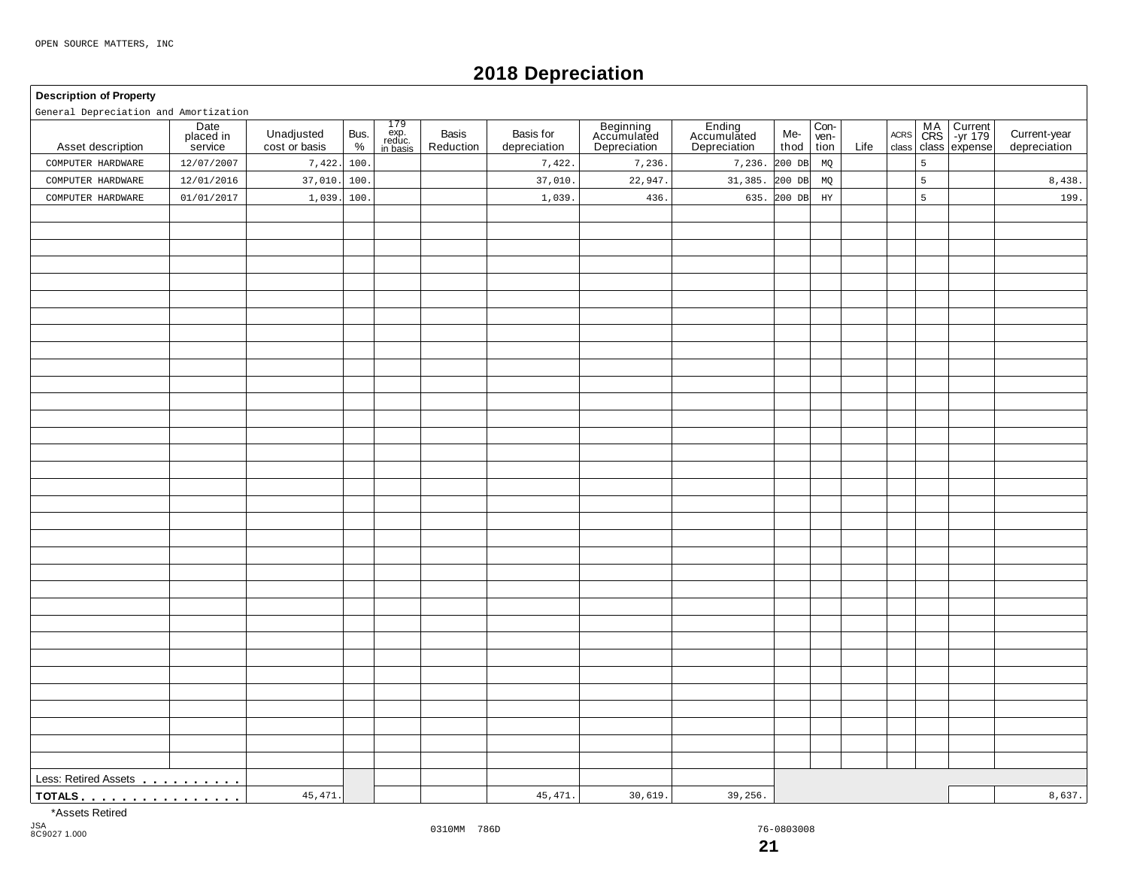# **2018 Depreciation**

#### **Description of Property**

General Depreciation and Amortization

| General Depreciation and Amortization                         |                              |                             |              |                                                                                        |                    |                           |                                          |                                       |             |                      |      |                |                                                              |                              |
|---------------------------------------------------------------|------------------------------|-----------------------------|--------------|----------------------------------------------------------------------------------------|--------------------|---------------------------|------------------------------------------|---------------------------------------|-------------|----------------------|------|----------------|--------------------------------------------------------------|------------------------------|
| Asset description                                             | Date<br>placed in<br>service | Unadjusted<br>cost or basis | Bus.<br>$\%$ | $\begin{array}{c} 179 \\ \text{exp.} \\ \text{reduce.} \\ \text{in basis} \end{array}$ | Basis<br>Reduction | Basis for<br>depreciation | Beginning<br>Accumulated<br>Depreciation | Ending<br>Accumulated<br>Depreciation | Me-<br>thod | Con-<br>ven-<br>tion | Life |                | Current<br>-yr 179<br>ACRS MA Current<br>class class expense | Current-year<br>depreciation |
| COMPUTER HARDWARE                                             | 12/07/2007                   | 7,422.                      | 100          |                                                                                        |                    | 7,422.                    | 7,236.                                   | 7,236.                                | 200 DB      | MQ                   |      | $\overline{5}$ |                                                              |                              |
| COMPUTER HARDWARE                                             | 12/01/2016                   | 37,010.                     | 100          |                                                                                        |                    | 37,010.                   | 22,947                                   | 31,385.                               | 200 DB      | MQ                   |      | 5              |                                                              | 8,438.                       |
| COMPUTER HARDWARE                                             | 01/01/2017                   | 1,039.                      | 100          |                                                                                        |                    | 1,039.                    | 436.                                     | 635.                                  | 200 DB      | $_{\rm HY}$          |      | 5              |                                                              | 199.                         |
|                                                               |                              |                             |              |                                                                                        |                    |                           |                                          |                                       |             |                      |      |                |                                                              |                              |
|                                                               |                              |                             |              |                                                                                        |                    |                           |                                          |                                       |             |                      |      |                |                                                              |                              |
|                                                               |                              |                             |              |                                                                                        |                    |                           |                                          |                                       |             |                      |      |                |                                                              |                              |
|                                                               |                              |                             |              |                                                                                        |                    |                           |                                          |                                       |             |                      |      |                |                                                              |                              |
|                                                               |                              |                             |              |                                                                                        |                    |                           |                                          |                                       |             |                      |      |                |                                                              |                              |
|                                                               |                              |                             |              |                                                                                        |                    |                           |                                          |                                       |             |                      |      |                |                                                              |                              |
|                                                               |                              |                             |              |                                                                                        |                    |                           |                                          |                                       |             |                      |      |                |                                                              |                              |
|                                                               |                              |                             |              |                                                                                        |                    |                           |                                          |                                       |             |                      |      |                |                                                              |                              |
|                                                               |                              |                             |              |                                                                                        |                    |                           |                                          |                                       |             |                      |      |                |                                                              |                              |
|                                                               |                              |                             |              |                                                                                        |                    |                           |                                          |                                       |             |                      |      |                |                                                              |                              |
|                                                               |                              |                             |              |                                                                                        |                    |                           |                                          |                                       |             |                      |      |                |                                                              |                              |
|                                                               |                              |                             |              |                                                                                        |                    |                           |                                          |                                       |             |                      |      |                |                                                              |                              |
|                                                               |                              |                             |              |                                                                                        |                    |                           |                                          |                                       |             |                      |      |                |                                                              |                              |
|                                                               |                              |                             |              |                                                                                        |                    |                           |                                          |                                       |             |                      |      |                |                                                              |                              |
|                                                               |                              |                             |              |                                                                                        |                    |                           |                                          |                                       |             |                      |      |                |                                                              |                              |
|                                                               |                              |                             |              |                                                                                        |                    |                           |                                          |                                       |             |                      |      |                |                                                              |                              |
|                                                               |                              |                             |              |                                                                                        |                    |                           |                                          |                                       |             |                      |      |                |                                                              |                              |
|                                                               |                              |                             |              |                                                                                        |                    |                           |                                          |                                       |             |                      |      |                |                                                              |                              |
|                                                               |                              |                             |              |                                                                                        |                    |                           |                                          |                                       |             |                      |      |                |                                                              |                              |
|                                                               |                              |                             |              |                                                                                        |                    |                           |                                          |                                       |             |                      |      |                |                                                              |                              |
|                                                               |                              |                             |              |                                                                                        |                    |                           |                                          |                                       |             |                      |      |                |                                                              |                              |
|                                                               |                              |                             |              |                                                                                        |                    |                           |                                          |                                       |             |                      |      |                |                                                              |                              |
|                                                               |                              |                             |              |                                                                                        |                    |                           |                                          |                                       |             |                      |      |                |                                                              |                              |
|                                                               |                              |                             |              |                                                                                        |                    |                           |                                          |                                       |             |                      |      |                |                                                              |                              |
|                                                               |                              |                             |              |                                                                                        |                    |                           |                                          |                                       |             |                      |      |                |                                                              |                              |
|                                                               |                              |                             |              |                                                                                        |                    |                           |                                          |                                       |             |                      |      |                |                                                              |                              |
|                                                               |                              |                             |              |                                                                                        |                    |                           |                                          |                                       |             |                      |      |                |                                                              |                              |
|                                                               |                              |                             |              |                                                                                        |                    |                           |                                          |                                       |             |                      |      |                |                                                              |                              |
|                                                               |                              |                             |              |                                                                                        |                    |                           |                                          |                                       |             |                      |      |                |                                                              |                              |
|                                                               |                              |                             |              |                                                                                        |                    |                           |                                          |                                       |             |                      |      |                |                                                              |                              |
|                                                               |                              |                             |              |                                                                                        |                    |                           |                                          |                                       |             |                      |      |                |                                                              |                              |
|                                                               |                              |                             |              |                                                                                        |                    |                           |                                          |                                       |             |                      |      |                |                                                              |                              |
|                                                               |                              |                             |              |                                                                                        |                    |                           |                                          |                                       |             |                      |      |                |                                                              |                              |
| TOTALS <u>.</u><br>45, 471.<br>45, 471.<br>30,619.<br>39,256. |                              |                             |              |                                                                                        |                    |                           |                                          |                                       |             | 8,637.               |      |                |                                                              |                              |
|                                                               |                              |                             |              |                                                                                        |                    |                           |                                          |                                       |             |                      |      |                |                                                              |                              |

\*Assets Retired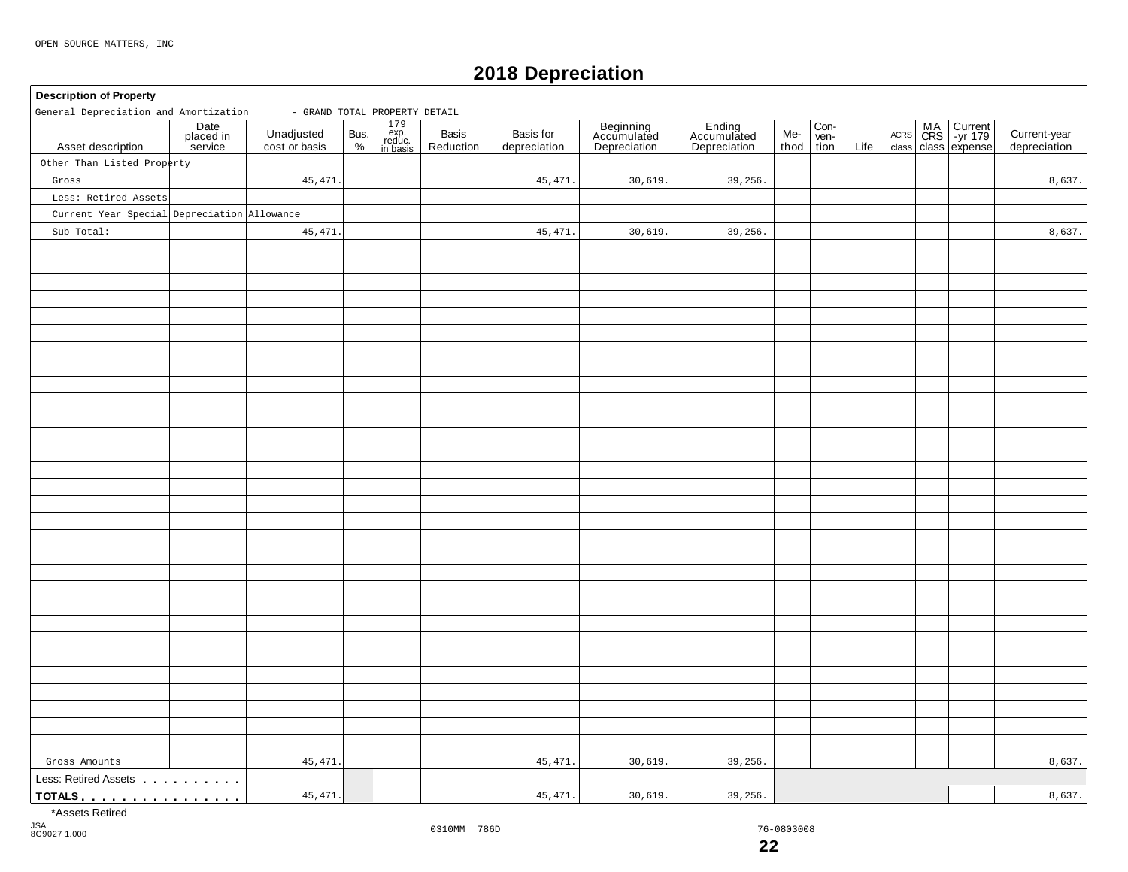# **2018 Depreciation**

#### **Description of Property** 179<br>exp. exp. reduc. in basis Date placed in service **Beginning** Accumulated Depreciation Basis | Basis for | Beginning | Ending | Me-<br>Reduction depreciation | Depreciation | Depreciation | thoc Con-<br>ven-<br>tion MA Current |<br>CRS | -yr 179 | Unadjusted Bus. exp. Basis Basis Basis for Accumulated Accumulated Me- wen- Acres CRS -yr 179 |<br>
cost or basis % | reduction | depreciation | Depreciation | Depreciation | thod tion Life class class expense Unadjusted Bus.<br>cost or basis  $\begin{array}{c} \circ \\ \circ \circ \end{array}$ Basis<br>Reduction thod ACRS Asset description | placed in Unadjusted Bus. exp. Basis Basis Current-year Accumulated Accumulated Me- Ven- Accumulated Accumulated Accumulated Me- Ven- Accumulated Accumulated Accumulated Accumulated Me- Ven- Accumulated Gross Amounts<br>Less: Retired Assets . . . . . . . . . **TOTALS matures** and **m m**  $\frac{1}{2}$  **m**  $\frac{1}{2}$  **m**  $\frac{1}{2}$  **m**  $\frac{1}{2}$  **m**  $\frac{1}{2}$  **m**  $\frac{1}{2}$  **m**  $\frac{1}{2}$  **m**  $\frac{1}{2}$  **m**  $\frac{1}{2}$  **m**  $\frac{1}{2}$  **m**  $\frac{1}{2}$  **m**  $\frac{1}{2}$  **m**  $\frac{1}{2}$  **m**  $\frac{1}{2}$ General Depreciation and Amortization - GRAND TOTAL PROPERTY DETAIL Other Than Listed Property Gross Less: Retired Assets Current Year Special Depreciation Allowance Sub Total: 45,471. 45,471. 45,471. 45,471. 30,619. 30,619. 39,256. 39,256. 8,637. 8,637. Gross Amounts | 45,471.| | | 45,471.| 30,619.| 39,256.| | | | | 8,637. 45,471. 45,471. 45,471. 30,619. 30,619. 39,256. 39,256.  $\begin{vmatrix} 3 & 3 & 3 \end{vmatrix}$  8,637.

\*Assets Retired

JSA 8C9027 1.000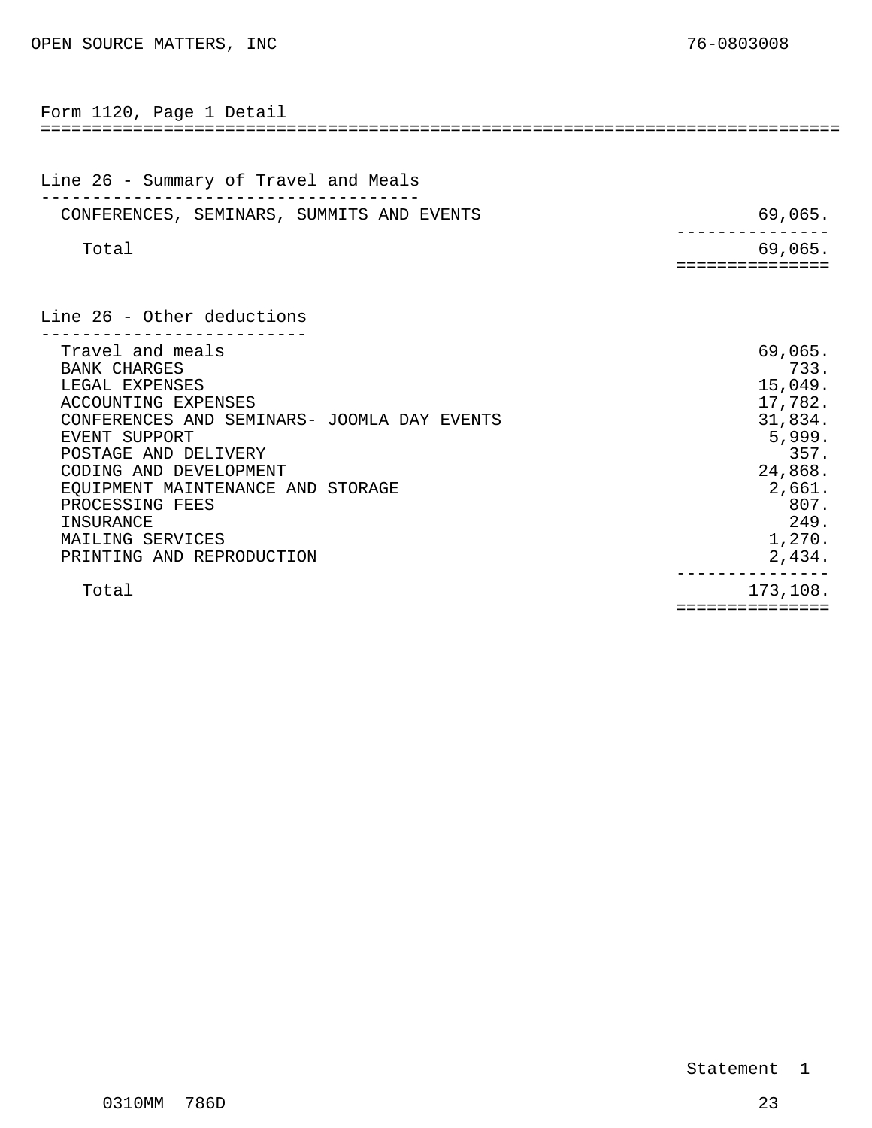<span id="page-10-0"></span>

| Form 1120, Page 1 Detail                                                                                                                                                                                                                                                                                                        |                                                                                                                             |
|---------------------------------------------------------------------------------------------------------------------------------------------------------------------------------------------------------------------------------------------------------------------------------------------------------------------------------|-----------------------------------------------------------------------------------------------------------------------------|
| Line 26 - Summary of Travel and Meals                                                                                                                                                                                                                                                                                           |                                                                                                                             |
| CONFERENCES, SEMINARS, SUMMITS AND EVENTS                                                                                                                                                                                                                                                                                       | 69,065.                                                                                                                     |
| Total                                                                                                                                                                                                                                                                                                                           | 69,065.<br>==============                                                                                                   |
| Line 26 - Other deductions                                                                                                                                                                                                                                                                                                      |                                                                                                                             |
| Travel and meals<br><b>BANK CHARGES</b><br>LEGAL EXPENSES<br>ACCOUNTING EXPENSES<br>CONFERENCES AND SEMINARS- JOOMLA DAY EVENTS<br><b>EVENT SUPPORT</b><br>POSTAGE AND DELIVERY<br>CODING AND DEVELOPMENT<br>EQUIPMENT MAINTENANCE AND STORAGE<br>PROCESSING FEES<br>INSURANCE<br>MAILING SERVICES<br>PRINTING AND REPRODUCTION | 69,065.<br>733.<br>15,049.<br>17,782.<br>31,834.<br>5,999.<br>357.<br>24,868.<br>2,661.<br>807.<br>249.<br>1,270.<br>2,434. |
| Total                                                                                                                                                                                                                                                                                                                           | 173,108.<br>:==============                                                                                                 |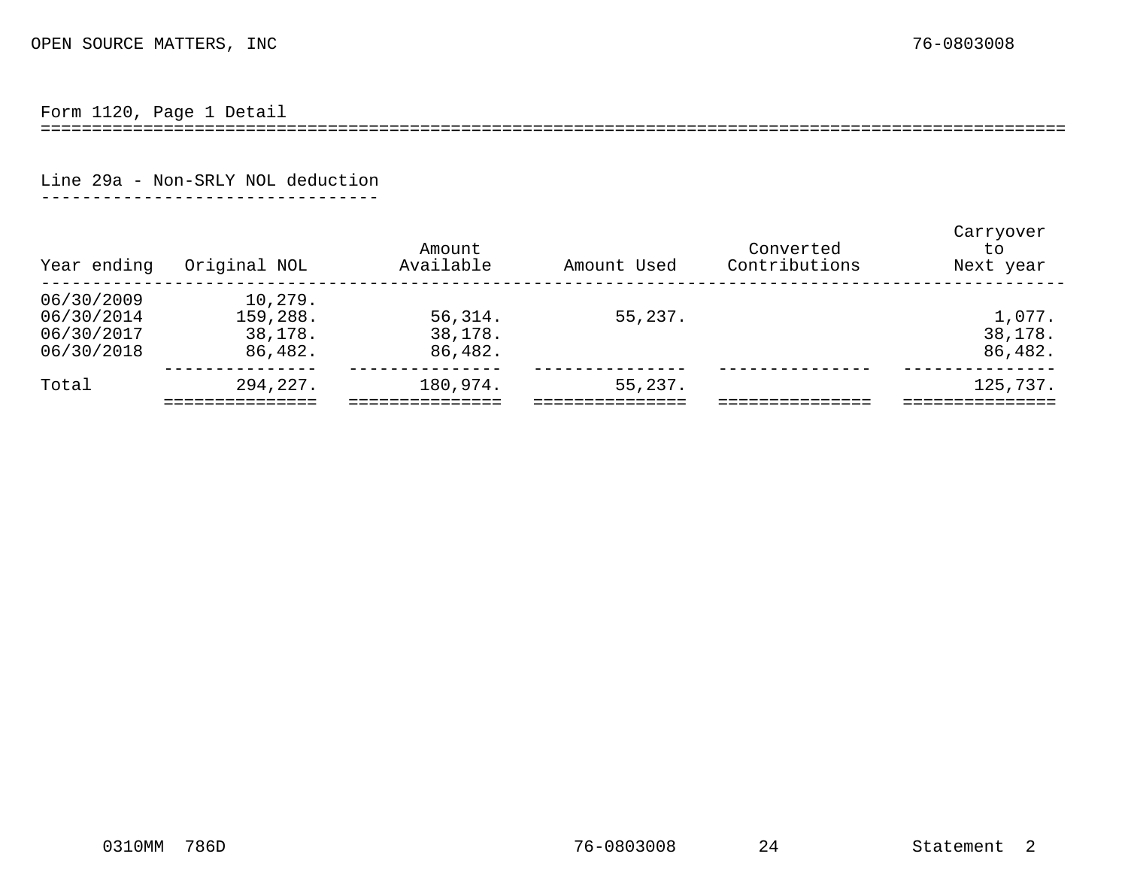Form 1120, Page 1 Detail

====================================================================================================

Line 29a - Non-SRLY NOL deduction

---------------------------------

<span id="page-11-0"></span>

| Year ending                                          | Original NOL                              | Amount<br>Available            | Amount Used | Converted<br>Contributions | Carryover<br>to<br>Next year |
|------------------------------------------------------|-------------------------------------------|--------------------------------|-------------|----------------------------|------------------------------|
| 06/30/2009<br>06/30/2014<br>06/30/2017<br>06/30/2018 | 10,279.<br>159,288.<br>38,178.<br>86,482. | 56, 314.<br>38,178.<br>86,482. | 55,237.     |                            | 1,077.<br>38,178.<br>86,482. |
| Total                                                | 294,227.                                  | 180,974.                       | 55,237.     |                            | 125,737.                     |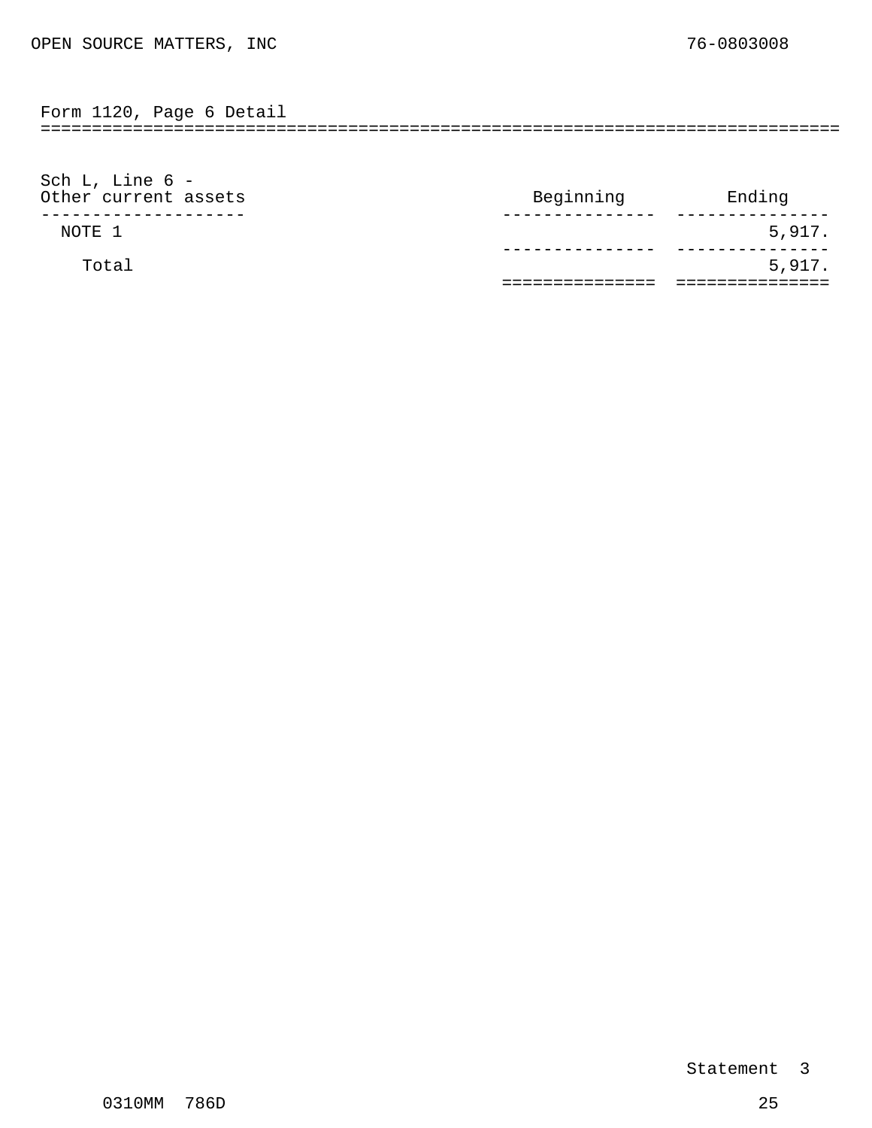<span id="page-12-0"></span>Form 1120, Page 6 Detail

==============================================================================

| Sch L, Line $6 -$    |           |        |
|----------------------|-----------|--------|
| Other current assets | Beginning | Ending |
|                      |           |        |
| NOTE 1               |           | 5,917. |
|                      |           |        |
| Total                |           | 5,917. |
|                      |           |        |
|                      |           |        |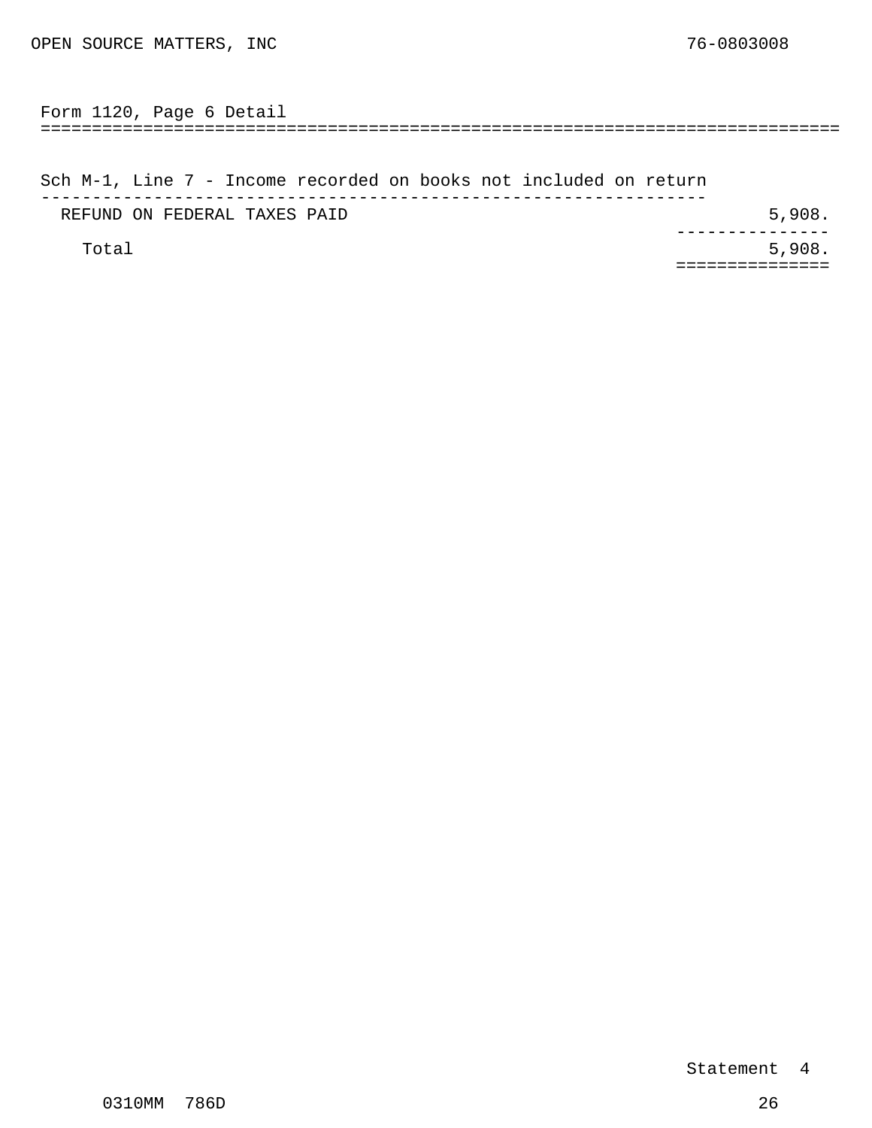<span id="page-13-0"></span>============================================================================== Form 1120, Page 6 Detail

Sch M-1, Line 7 - Income recorded on books not included on return ----------------------------------------------------------------- REFUND ON FEDERAL TAXES PAID **5,908.**  $Total$  5,908. --------------- ===============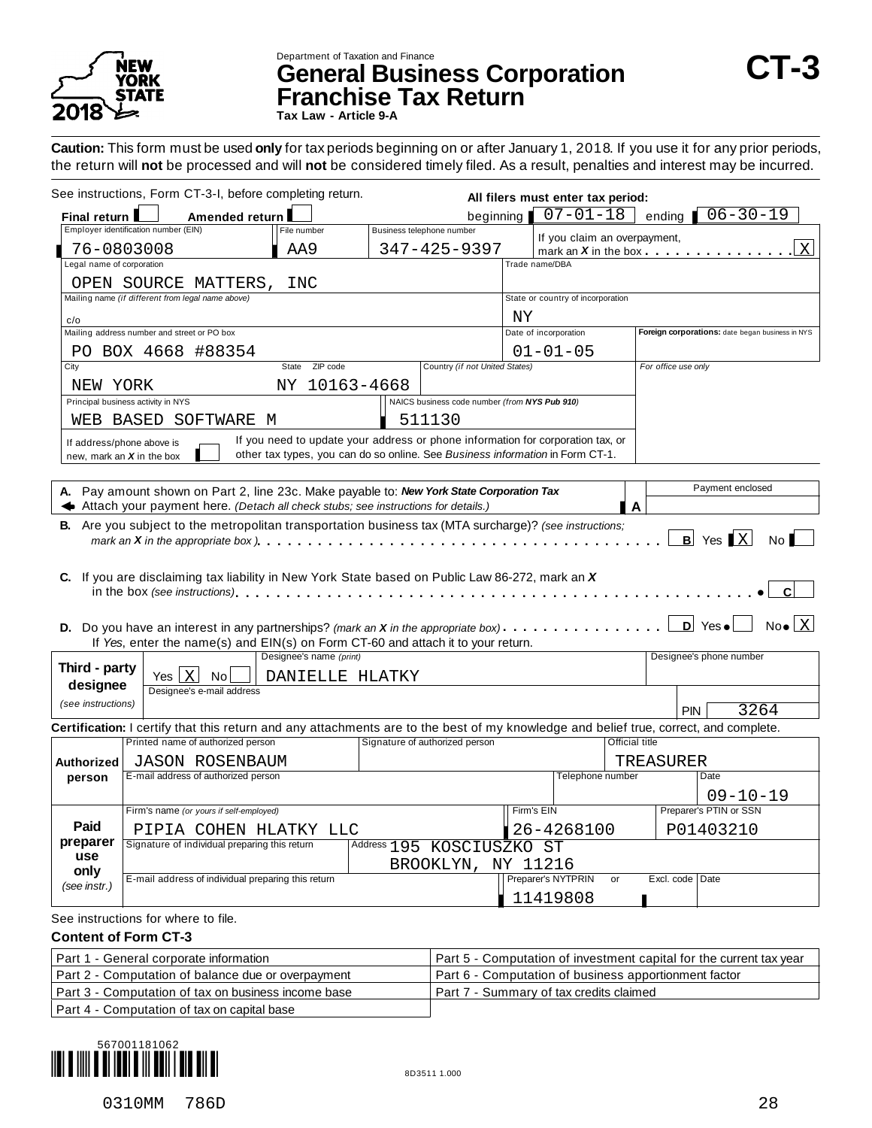

# Department of Taxation and Finance **General Business Corporation CT-3 Franchise Tax Return**

**Tax Law - Article 9-A**

**Caution:** This form must be used **only** for tax periods beginning on or after January 1, 2018. If you use it for any prior periods, the return will **not** be processed and will **not** be considered timely filed. As a result, penalties and interest may be incurred.

|                          | See instructions, Form CT-3-I, before completing return.                                                                                                                                                                                      |                                                                                 |                           |                                               |                       | All filers must enter tax period: |                                          |                                                  |
|--------------------------|-----------------------------------------------------------------------------------------------------------------------------------------------------------------------------------------------------------------------------------------------|---------------------------------------------------------------------------------|---------------------------|-----------------------------------------------|-----------------------|-----------------------------------|------------------------------------------|--------------------------------------------------|
| Final return I           | Amended return                                                                                                                                                                                                                                |                                                                                 |                           | beginning                                     |                       | $07 - 01 - 18$                    | ending                                   | $06 - 30 - 19$                                   |
|                          | Employer identification number (EIN)                                                                                                                                                                                                          | File number                                                                     | Business telephone number |                                               |                       |                                   | If you claim an overpayment,             |                                                  |
|                          | 76-0803008                                                                                                                                                                                                                                    | AA9                                                                             |                           | 347-425-9397                                  |                       |                                   | mark an $X$ in the box $\cdots$ $\cdots$ | $\overline{\mathrm{X}}$                          |
| egal name of corporation |                                                                                                                                                                                                                                               |                                                                                 |                           |                                               | Trade name/DBA        |                                   |                                          |                                                  |
|                          | OPEN SOURCE MATTERS,                                                                                                                                                                                                                          | INC                                                                             |                           |                                               |                       |                                   |                                          |                                                  |
|                          | Mailing name (if different from legal name above)                                                                                                                                                                                             |                                                                                 |                           |                                               |                       | State or country of incorporation |                                          |                                                  |
| c/o                      |                                                                                                                                                                                                                                               |                                                                                 |                           |                                               | ΝY                    |                                   |                                          |                                                  |
|                          | Mailing address number and street or PO box                                                                                                                                                                                                   |                                                                                 |                           |                                               | Date of incorporation |                                   |                                          | Foreign corporations: date began business in NYS |
|                          | PO BOX 4668 #88354                                                                                                                                                                                                                            |                                                                                 |                           |                                               |                       | $01 - 01 - 05$                    |                                          |                                                  |
| City                     |                                                                                                                                                                                                                                               | State ZIP code                                                                  |                           | Country (if not United States)                |                       |                                   |                                          | For office use only                              |
| NEW YORK                 |                                                                                                                                                                                                                                               | NY 10163-4668                                                                   |                           |                                               |                       |                                   |                                          |                                                  |
|                          | Principal business activity in NYS                                                                                                                                                                                                            |                                                                                 |                           | NAICS business code number (from NYS Pub 910) |                       |                                   |                                          |                                                  |
|                          | WEB BASED SOFTWARE M                                                                                                                                                                                                                          |                                                                                 |                           | 511130                                        |                       |                                   |                                          |                                                  |
|                          | If address/phone above is                                                                                                                                                                                                                     | If you need to update your address or phone information for corporation tax, or |                           |                                               |                       |                                   |                                          |                                                  |
|                          | new, mark an $X$ in the box                                                                                                                                                                                                                   | other tax types, you can do so online. See Business information in Form CT-1.   |                           |                                               |                       |                                   |                                          |                                                  |
|                          |                                                                                                                                                                                                                                               |                                                                                 |                           |                                               |                       |                                   |                                          |                                                  |
|                          | A. Pay amount shown on Part 2, line 23c. Make payable to: New York State Corporation Tax                                                                                                                                                      |                                                                                 |                           |                                               |                       |                                   |                                          | Payment enclosed                                 |
|                          | $\blacktriangleleft$ Attach your payment here. (Detach all check stubs; see instructions for details.)                                                                                                                                        |                                                                                 |                           |                                               |                       |                                   | I A                                      |                                                  |
|                          | <b>B.</b> Are you subject to the metropolitan transportation business tax (MTA surcharge)? (see instructions;                                                                                                                                 |                                                                                 |                           |                                               |                       |                                   |                                          |                                                  |
|                          | C. If you are disclaiming tax liability in New York State based on Public Law 86-272, mark an X<br>in the box (see instructions). $\ldots$ , $\ldots$ , $\ldots$ , $\ldots$ , $\ldots$ , $\ldots$ , $\ldots$ , $\ldots$ , $\ldots$ , $\ldots$ |                                                                                 |                           |                                               |                       |                                   |                                          | $No \bullet   X$                                 |
|                          | <b>D.</b> Do you have an interest in any partnerships? (mark an <b>X</b> in the appropriate box) $\cdots$                                                                                                                                     |                                                                                 |                           |                                               |                       |                                   |                                          | $D$ Yes $\bullet$                                |
|                          | If Yes, enter the name(s) and EIN(s) on Form CT-60 and attach it to your return.                                                                                                                                                              | Designee's name (print)                                                         |                           |                                               |                       |                                   |                                          | Designee's phone number                          |
| Third - party            | Yes $ X $<br>No                                                                                                                                                                                                                               |                                                                                 |                           |                                               |                       |                                   |                                          |                                                  |
| designee                 | Designee's e-mail address                                                                                                                                                                                                                     | DANIELLE HLATKY                                                                 |                           |                                               |                       |                                   |                                          |                                                  |
| (see instructions)       |                                                                                                                                                                                                                                               |                                                                                 |                           |                                               |                       |                                   |                                          | 3264<br><b>PIN</b>                               |
|                          | Certification: I certify that this return and any attachments are to the best of my knowledge and belief true, correct, and complete.                                                                                                         |                                                                                 |                           |                                               |                       |                                   |                                          |                                                  |
|                          | Printed name of authorized person                                                                                                                                                                                                             |                                                                                 |                           | Signature of authorized person                |                       |                                   | Official title                           |                                                  |
| <b>Authorized</b>        | JASON ROSENBAUM                                                                                                                                                                                                                               |                                                                                 |                           |                                               |                       |                                   | TREASURER                                |                                                  |
| person                   | E-mail address of authorized person                                                                                                                                                                                                           |                                                                                 |                           |                                               |                       | Telephone number                  |                                          | Date                                             |
|                          |                                                                                                                                                                                                                                               |                                                                                 |                           |                                               |                       |                                   |                                          | $09 - 10 - 19$                                   |
|                          | Firm's name (or yours if self-employed)                                                                                                                                                                                                       |                                                                                 |                           |                                               | Firm's EIN            |                                   |                                          | Preparer's PTIN or SSN                           |
| Paid                     |                                                                                                                                                                                                                                               |                                                                                 |                           |                                               |                       | 26-4268100                        |                                          | P01403210                                        |
| preparer                 | PIPIA COHEN HLATKY LLC<br>Signature of individual preparing this return                                                                                                                                                                       |                                                                                 |                           | Address 195 KOSCIUSZKO ST                     |                       |                                   |                                          |                                                  |
| use                      |                                                                                                                                                                                                                                               |                                                                                 |                           |                                               |                       |                                   |                                          |                                                  |
| only                     | E-mail address of individual preparing this return                                                                                                                                                                                            |                                                                                 |                           | BROOKLYN, NY 11216                            |                       | Preparer's NYTPRIN                | or                                       | Excl. code Date                                  |
|                          |                                                                                                                                                                                                                                               |                                                                                 |                           |                                               |                       |                                   |                                          |                                                  |
| (see instr.)             |                                                                                                                                                                                                                                               |                                                                                 |                           |                                               |                       |                                   |                                          |                                                  |
|                          | See instructions for where to file.                                                                                                                                                                                                           |                                                                                 |                           |                                               |                       | 11419808                          |                                          |                                                  |

**Content of Form CT-3**

| Part 1 - General corporate information              | Part 5 - Computation of investment capital for the current tax year |
|-----------------------------------------------------|---------------------------------------------------------------------|
| Part 2 - Computation of balance due or overpayment  | Part 6 - Computation of business apportionment factor               |
| Part 3 - Computation of tax on business income base | l Part 7 - Summary of tax credits claimed                           |
| Part 4 - Computation of tax on capital base         |                                                                     |

567001181062 {Yg"3+\_} 8D3511 1.000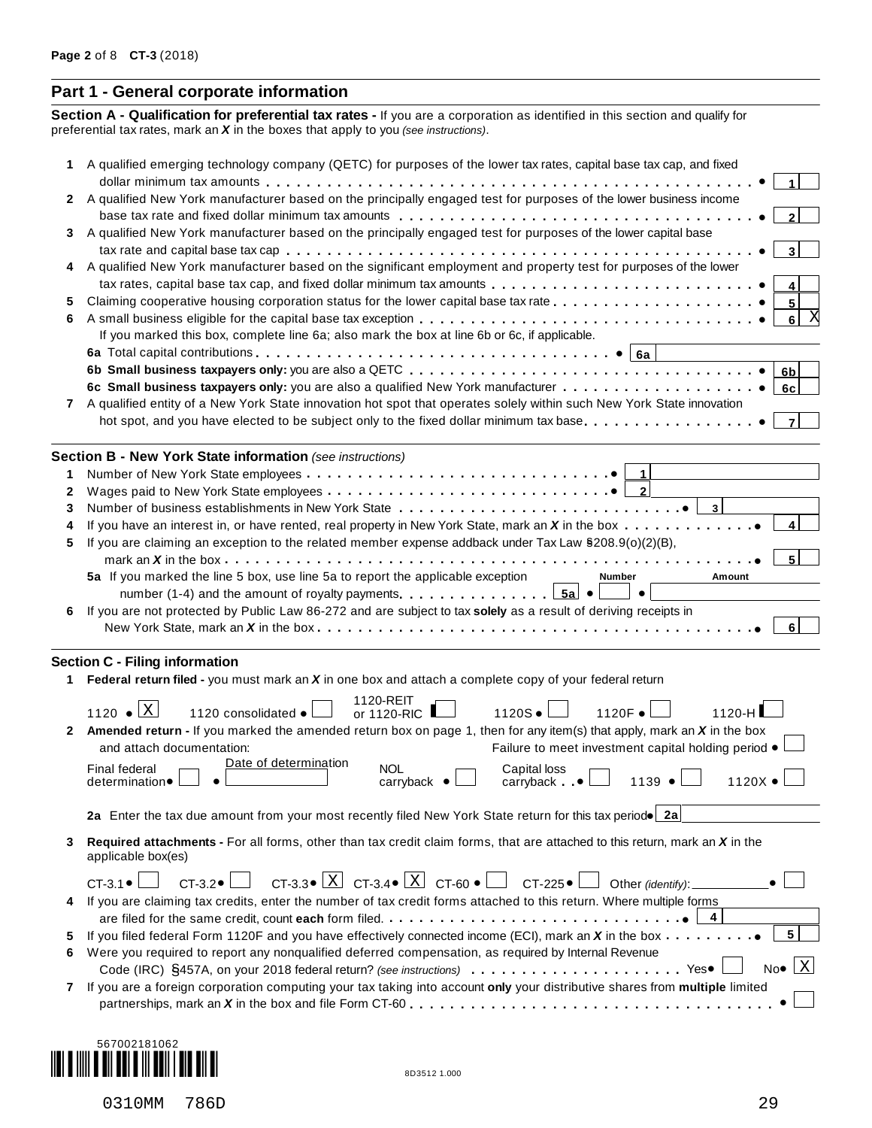#### **Part 1 - General corporate information**

**Section A - Qualification for preferential tax rates -** If you are a corporation as identified in this section and qualify for preferential tax rates, mark an *X* in the boxes that apply to you *(see instructions)*.

|              | A qualified emerging technology company (QETC) for purposes of the lower tax rates, capital base tax cap, and fixed                                                                                     |
|--------------|---------------------------------------------------------------------------------------------------------------------------------------------------------------------------------------------------------|
| $\mathbf{2}$ | A qualified New York manufacturer based on the principally engaged test for purposes of the lower business income                                                                                       |
|              |                                                                                                                                                                                                         |
| 3            | A qualified New York manufacturer based on the principally engaged test for purposes of the lower capital base                                                                                          |
| 4            | A qualified New York manufacturer based on the significant employment and property test for purposes of the lower<br>tax rates, capital base tax cap, and fixed dollar minimum tax amounts              |
| 5            | 5                                                                                                                                                                                                       |
| 6            | X<br>6 <br>If you marked this box, complete line 6a; also mark the box at line 6b or 6c, if applicable.                                                                                                 |
|              |                                                                                                                                                                                                         |
|              | 6b                                                                                                                                                                                                      |
|              | 6c                                                                                                                                                                                                      |
|              | A qualified entity of a New York State innovation hot spot that operates solely within such New York State innovation                                                                                   |
|              | hot spot, and you have elected to be subject only to the fixed dollar minimum tax base                                                                                                                  |
|              | <b>Section B - New York State information (see instructions)</b>                                                                                                                                        |
| 1            | $\vert$ 1                                                                                                                                                                                               |
| 2            |                                                                                                                                                                                                         |
| 3            |                                                                                                                                                                                                         |
| 4            | If you have an interest in, or have rented, real property in New York State, mark an X in the box                                                                                                       |
| 5            | If you are claiming an exception to the related member expense addback under Tax Law §208.9(o)(2)(B),                                                                                                   |
|              | mark an <b>X</b> in the box $\ldots$ $\ldots$ $\ldots$ $\ldots$ $\ldots$ $\ldots$ $\ldots$ $\ldots$ $\ldots$ $\ldots$ $\ldots$ $\ldots$ $\ldots$ $\ldots$ $\ldots$ $\ldots$                             |
|              | 5a If you marked the line 5 box, use line 5a to report the applicable exception<br>Number<br>Amount                                                                                                     |
|              | $\bullet$                                                                                                                                                                                               |
| 6            | If you are not protected by Public Law 86-272 and are subject to tax solely as a result of deriving receipts in                                                                                         |
|              |                                                                                                                                                                                                         |
|              | <b>Section C - Filing information</b>                                                                                                                                                                   |
| 1            | Federal return filed - you must mark an $X$ in one box and attach a complete copy of your federal return                                                                                                |
|              | 1120-REIT<br>1120 $\bullet$ X<br>$1120S \bullet$<br>1120F ·<br>1120 consolidated •<br>or 1120-RIC<br>$1120-H$                                                                                           |
| $\mathbf{2}$ | Amended return - If you marked the amended return box on page 1, then for any item(s) that apply, mark an $X$ in the box                                                                                |
|              | Failure to meet investment capital holding period .<br>and attach documentation:                                                                                                                        |
|              | Date of determination<br><b>Final federal</b><br><b>NOL</b><br>Capital loss<br>$1120X \bullet$<br>1139<br>carryback $\bullet$<br>$carryback$ $\bullet$<br>determination •                               |
|              | 2a Enter the tax due amount from your most recently filed New York State return for this tax periodo 2a                                                                                                 |
| 3            | Required attachments - For all forms, other than tax credit claim forms, that are attached to this return, mark an X in the<br>applicable box(es)                                                       |
|              | CT-3.3 $\mathbb{E} \times \mathbb{E}$ CT-3.4 $\mathbb{E} \times \mathbb{E}$ CT-60 $\mathbb{E} \times \mathbb{E}$ CT-225 $\mathbb{E} \times \mathbb{E}$<br>$CT-3.1$ $\bullet$<br>$CT-3.2 \bullet$ $\Box$ |
| 4            | If you are claiming tax credits, enter the number of tax credit forms attached to this return. Where multiple forms                                                                                     |
|              | 4                                                                                                                                                                                                       |
| 5            | 5 <br>If you filed federal Form 1120F and you have effectively connected income (ECI), mark an X in the box                                                                                             |
| 6            | Were you required to report any nonqualified deferred compensation, as required by Internal Revenue                                                                                                     |
|              | $No \bullet \mid X$                                                                                                                                                                                     |
|              | If you are a foreign corporation computing your tax taking into account only your distributive shares from multiple limited                                                                             |

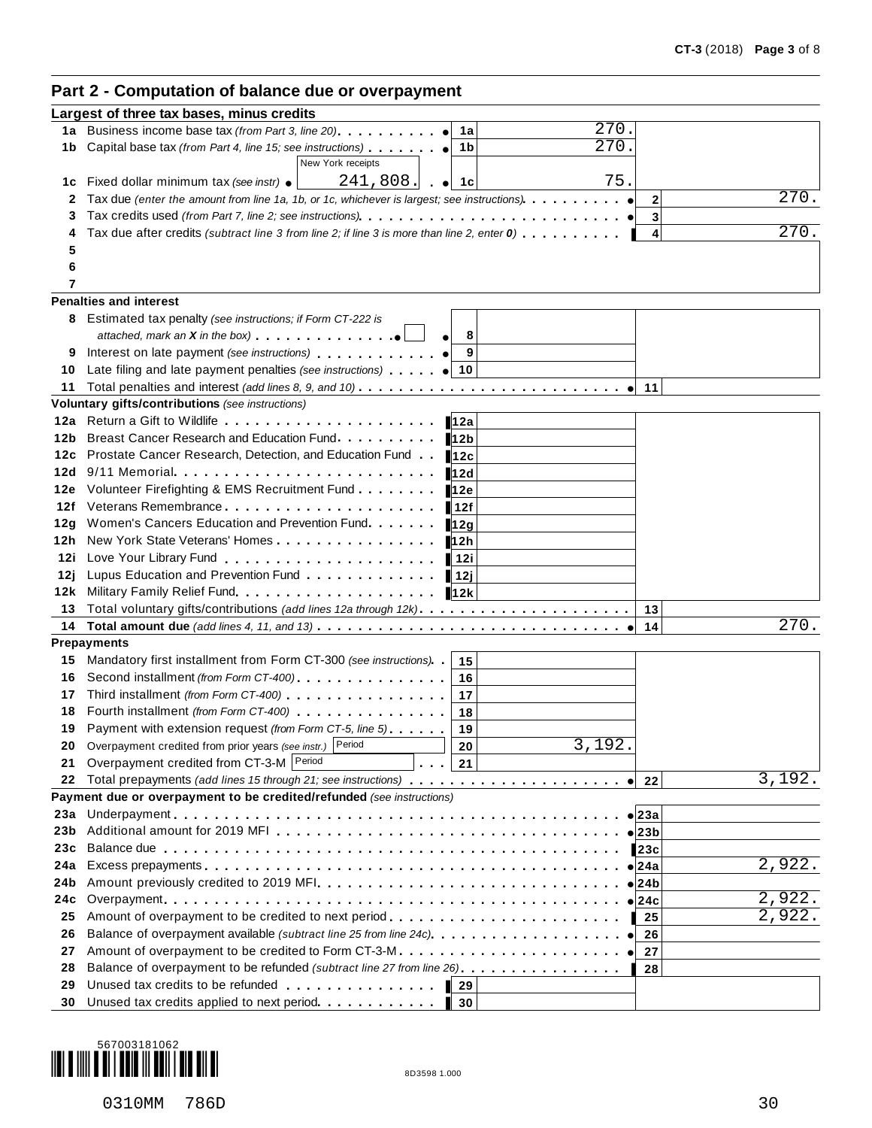# **Part 2 - Computation of balance due or overpayment**

|      | Largest of three tax bases, minus credits                                                                                                                                                                                                                                                       |                             |
|------|-------------------------------------------------------------------------------------------------------------------------------------------------------------------------------------------------------------------------------------------------------------------------------------------------|-----------------------------|
| 1a   | 270.<br>Business income base tax (from Part 3, line 20)<br>1a                                                                                                                                                                                                                                   |                             |
| 1b   | $\overline{270}$ .<br>Capital base tax (from Part 4, line 15; see instructions)<br>1b                                                                                                                                                                                                           |                             |
|      | New York receipts                                                                                                                                                                                                                                                                               |                             |
| 1c   | 75.<br>241,808.<br>Fixed dollar minimum tax (see instr) ●<br>$\bullet$ 1 1 c                                                                                                                                                                                                                    |                             |
| 2    | Tax due (enter the amount from line 1a, 1b, or 1c, whichever is largest; see instructions)                                                                                                                                                                                                      | 270.<br>$\mathbf{2}$        |
| 3    |                                                                                                                                                                                                                                                                                                 | 3                           |
|      | Tax due after credits (subtract line 3 from line 2; if line 3 is more than line 2, enter $0$ ).                                                                                                                                                                                                 | 270.<br>4                   |
| 5    |                                                                                                                                                                                                                                                                                                 |                             |
| 6    |                                                                                                                                                                                                                                                                                                 |                             |
| 7    |                                                                                                                                                                                                                                                                                                 |                             |
|      | <b>Penalties and interest</b>                                                                                                                                                                                                                                                                   |                             |
|      | 8 Estimated tax penalty (see instructions; if Form CT-222 is                                                                                                                                                                                                                                    |                             |
|      | 8                                                                                                                                                                                                                                                                                               |                             |
| 9    | 9<br>Interest on late payment (see instructions) entitled and the control of the control of the control of the control of the control of the control of the control of the control of the control of the control of the control of                                                              |                             |
| 10   | Late filing and late payment penalties (see instructions) $\bullet$ 10                                                                                                                                                                                                                          |                             |
| 11   | Total penalties and interest (add lines 8, 9, and 10)                                                                                                                                                                                                                                           | 11                          |
| 12a  | Voluntary gifts/contributions (see instructions)<br>Return a Gift to Wildlife <b>Constant of the Constant of Constantine Constant of Constantine Constant Constant Constantine Constant Constant Constant Constant Constant Constant Constant Constant Constant Constant Constant Co</b><br>12a |                             |
| 12b  | Breast Cancer Research and Education Fund.<br>12 <sub>b</sub>                                                                                                                                                                                                                                   |                             |
| 12c  | Prostate Cancer Research, Detection, and Education Fund<br>12c                                                                                                                                                                                                                                  |                             |
| 12d  | $9/11$ Memorial $\ldots$<br>12d                                                                                                                                                                                                                                                                 |                             |
| 12e  | Volunteer Firefighting & EMS Recruitment Fund<br>12e                                                                                                                                                                                                                                            |                             |
| 12f  | Veterans Remembrance<br>12f                                                                                                                                                                                                                                                                     |                             |
| 12g  | Women's Cancers Education and Prevention Fund<br>12g                                                                                                                                                                                                                                            |                             |
| 12h  | New York State Veterans' Homes<br>12h                                                                                                                                                                                                                                                           |                             |
| 12i  | 12i                                                                                                                                                                                                                                                                                             |                             |
| 12 ј | Lupus Education and Prevention Fund<br>12j                                                                                                                                                                                                                                                      |                             |
| 12k  | 12k                                                                                                                                                                                                                                                                                             |                             |
| 13   |                                                                                                                                                                                                                                                                                                 | 13                          |
| 14   |                                                                                                                                                                                                                                                                                                 | 270.<br>14                  |
|      | <b>Prepayments</b>                                                                                                                                                                                                                                                                              |                             |
| 15   | Mandatory first installment from Form CT-300 (see instructions)<br>15                                                                                                                                                                                                                           |                             |
| 16   | Second installment (from Form CT-400).<br>16                                                                                                                                                                                                                                                    |                             |
| 17   | Third installment (from Form CT-400)<br>17                                                                                                                                                                                                                                                      |                             |
| 18   | Fourth installment (from Form CT-400) [19] [19] COLLECT FOUR DETAILS<br>18                                                                                                                                                                                                                      |                             |
| 19   | Payment with extension request (from Form CT-5, line 5)<br>19                                                                                                                                                                                                                                   |                             |
|      | Overpayment credited from prior years (see instr.) Period<br>3,192.<br>20                                                                                                                                                                                                                       |                             |
| 21   | Overpayment credited from CT-3-M Period<br>21                                                                                                                                                                                                                                                   |                             |
| 22   | Payment due or overpayment to be credited/refunded (see instructions)                                                                                                                                                                                                                           | 3,192.<br>22                |
| 23a  |                                                                                                                                                                                                                                                                                                 | $\bullet$ 23a               |
| 23b  |                                                                                                                                                                                                                                                                                                 | $\bullet$ 23b               |
| 23c  |                                                                                                                                                                                                                                                                                                 | 23c                         |
| 24a  |                                                                                                                                                                                                                                                                                                 | 2,922.<br>24a               |
| 24b  |                                                                                                                                                                                                                                                                                                 | 24b                         |
| 24с  |                                                                                                                                                                                                                                                                                                 | 2,922.<br>24c               |
| 25   | Amount of overpayment to be credited to next period                                                                                                                                                                                                                                             | $\overline{2}$ , 922.<br>25 |
| 26   | Balance of overpayment available (subtract line 25 from line 24c)                                                                                                                                                                                                                               | 26                          |
| 27   | Amount of overpayment to be credited to Form CT-3-M                                                                                                                                                                                                                                             | 27                          |
| 28   | Balance of overpayment to be refunded (subtract line 27 from line 26).                                                                                                                                                                                                                          | 28                          |
| 29   | Unused tax credits to be refunded entitled and success of the set of the set of the set of the set of the set of the set of the set of the set of the set of the set of the set of the set of the set of the set of the set of<br>29                                                            |                             |
| 30   | Unused tax credits applied to next period.<br>30                                                                                                                                                                                                                                                |                             |
|      |                                                                                                                                                                                                                                                                                                 |                             |

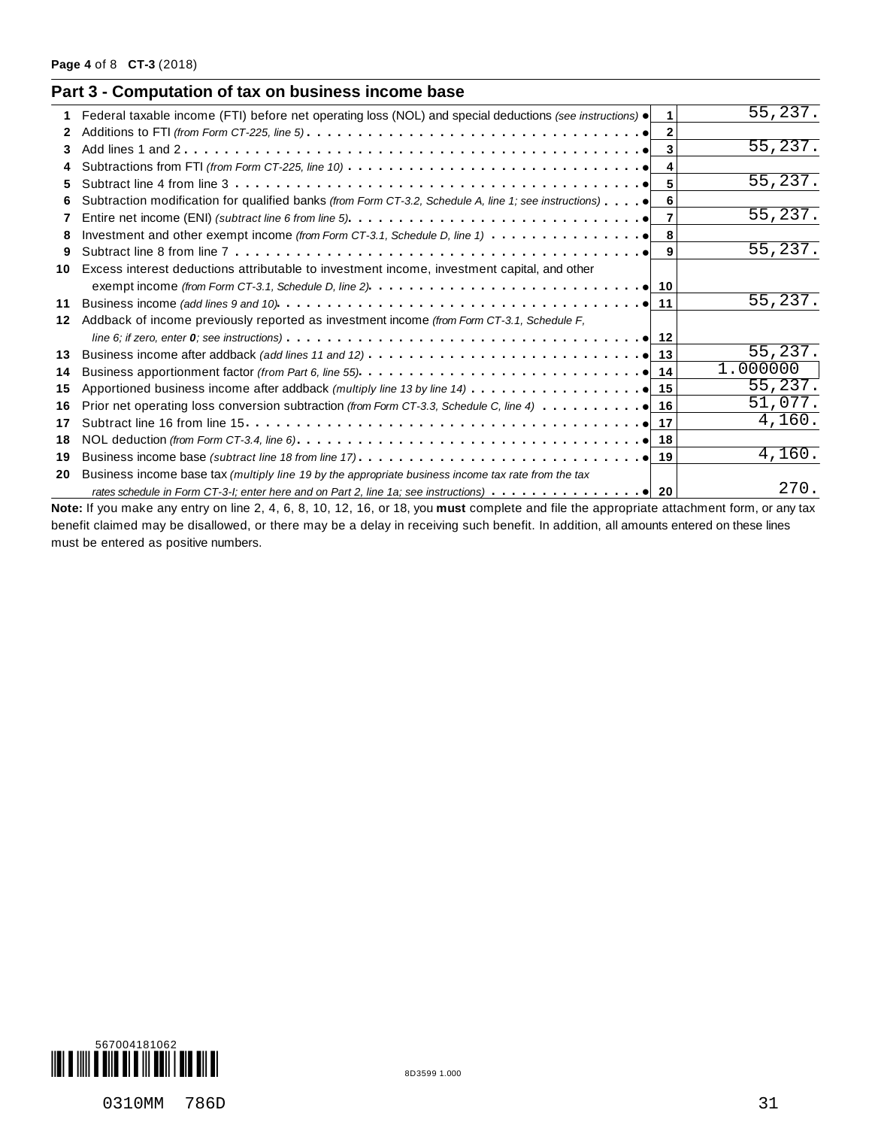| 1. | Federal taxable income (FTI) before net operating loss (NOL) and special deductions (see instructions) $\bullet$                   | $\mathbf 1$ | 55,237.              |
|----|------------------------------------------------------------------------------------------------------------------------------------|-------------|----------------------|
| 2  |                                                                                                                                    |             |                      |
| 3  |                                                                                                                                    | 3           | 55,237.              |
|    | Subtractions from FTI (from Form CT-225, line 10) $\ldots \ldots \ldots \ldots \ldots \ldots \ldots \ldots \ldots \ldots$          | 4           |                      |
| 5  |                                                                                                                                    | 5           | 55,237.              |
| 6  | Subtraction modification for qualified banks (from Form CT-3.2, Schedule A, line 1; see instructions) $\bullet$                    | 6           |                      |
|    |                                                                                                                                    | 7           | 55,237.              |
| 8  | Investment and other exempt income (from Form CT-3.1, Schedule D, line 1) $\cdots$ $\cdots$ $\cdots$ $\cdots$ $\cdots$ $\bullet$ 8 |             |                      |
| 9  |                                                                                                                                    | 9           | 55,237.              |
| 10 | Excess interest deductions attributable to investment income, investment capital, and other                                        |             |                      |
|    |                                                                                                                                    |             |                      |
| 11 |                                                                                                                                    |             | 55,237.              |
| 12 | Addback of income previously reported as investment income (from Form CT-3.1, Schedule F,                                          |             |                      |
|    |                                                                                                                                    |             |                      |
| 13 | Business income after addback (add lines 11 and 12) $\ldots \ldots \ldots \ldots \ldots \ldots \ldots \ldots \ldots$               |             | 55,237.              |
| 14 |                                                                                                                                    |             | 1.000000             |
| 15 | Apportioned business income after addback (multiply line 13 by line 14) $\ldots \ldots \ldots \ldots$                              |             | 55,237.              |
| 16 |                                                                                                                                    |             | 51,077.              |
| 17 |                                                                                                                                    |             | 4,160.               |
| 18 |                                                                                                                                    |             |                      |
| 19 |                                                                                                                                    |             | $\overline{4,160}$ . |
| 20 | Business income base tax (multiply line 19 by the appropriate business income tax rate from the tax                                |             |                      |
|    |                                                                                                                                    |             | 270.                 |

benefit claimed may be disallowed, or there may be a delay in receiving such benefit. In addition, all amounts entered on these lines must be entered as positive numbers.

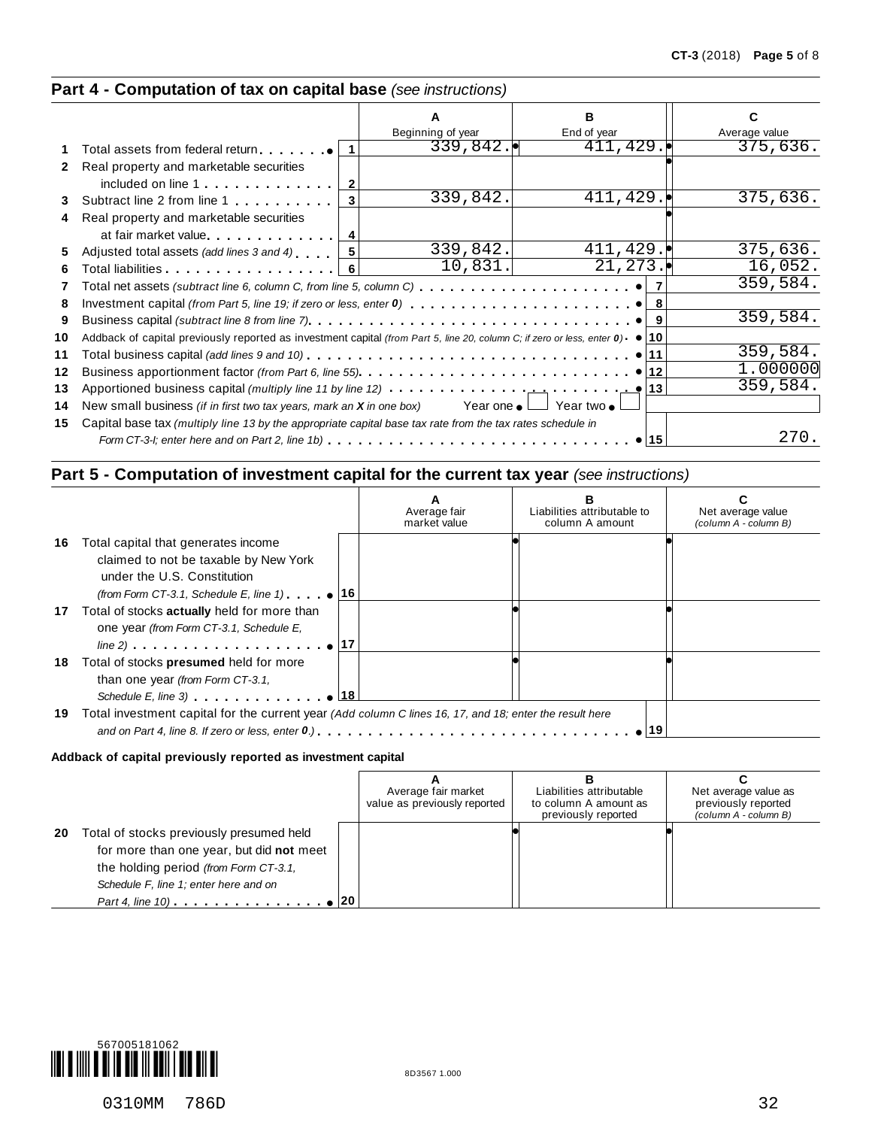## **Part 4 - Computation of tax on capital base** *(see instructions)*

|              |                                                                                                                                          |                   | в           |               |
|--------------|------------------------------------------------------------------------------------------------------------------------------------------|-------------------|-------------|---------------|
|              |                                                                                                                                          | Beginning of year | End of year | Average value |
|              | Total assets from federal return $ 1 $                                                                                                   | 339,842.          | 411, 429.   | 375,636.      |
| $\mathbf{2}$ | Real property and marketable securities                                                                                                  |                   |             |               |
|              |                                                                                                                                          |                   |             |               |
| 3            | Subtract line 2 from line 1<br>3 <sup>1</sup>                                                                                            | 339,842.          | 411, 429.   | 375,636.      |
| 4            | Real property and marketable securities                                                                                                  |                   |             |               |
|              | at fair market value                                                                                                                     |                   |             |               |
| 5            | Adjusted total assets (add lines 3 and 4)                                                                                                | 339,842.          | 411, 429.   | 375,636.      |
| 6            | Total liabilities   6                                                                                                                    | 10,831.           | 21, 273.    | 16,052.       |
|              |                                                                                                                                          |                   |             | 359,584.      |
| 7            | Total net assets (subtract line 6, column C, from line 5, column C) $\ldots\ldots\ldots\ldots\ldots\ldots\ldots\ldots\bullet\vert$       |                   |             |               |
| 8            |                                                                                                                                          |                   |             |               |
| 9            |                                                                                                                                          |                   |             | 359,584.      |
| 10           | Addback of capital previously reported as investment capital (from Part 5, line 20, column C; if zero or less, enter $0$ ) $\bullet$ 10  |                   |             |               |
| 11           | Total business capital <i>(add lines 9 and 10)</i> ................................ <b>e</b> 11                                          |                   |             | 359,584.      |
| 12           |                                                                                                                                          |                   |             | 1.000000      |
| 13           | Apportioned business capital (multiply line 11 by line 12) $\cdots \cdots \cdots \cdots$ $\cdots$ $\cdots$ $\cdots$ $\cdots$ $\qquad$ 13 |                   |             | 359,584.      |
| 14           | New small business <i>(if in first two tax years, mark an X in one box)</i> Year one $\bullet$ Year two $\bullet$                        |                   |             |               |
|              |                                                                                                                                          |                   |             |               |
| 15           | Capital base tax (multiply line 13 by the appropriate capital base tax rate from the tax rates schedule in                               |                   |             | 270.          |
|              |                                                                                                                                          |                   | 15          |               |

## **Part 5 - Computation of investment capital for the current tax year** *(see instructions)*

|     |                                                                                                         | Average fair<br>market value | Liabilities attributable to<br>column A amount | Net average value<br>(column A - column B) |
|-----|---------------------------------------------------------------------------------------------------------|------------------------------|------------------------------------------------|--------------------------------------------|
| 16. | Total capital that generates income                                                                     |                              |                                                |                                            |
|     | claimed to not be taxable by New York                                                                   |                              |                                                |                                            |
|     | under the U.S. Constitution                                                                             |                              |                                                |                                            |
|     | (from Form CT-3.1, Schedule E, line 1) $\bullet$ 16<br>17 Total of stocks actually held for more than   |                              |                                                |                                            |
|     | one year (from Form CT-3.1, Schedule E,                                                                 |                              |                                                |                                            |
|     |                                                                                                         |                              |                                                |                                            |
| 18  | Total of stocks <b>presumed</b> held for more                                                           |                              |                                                |                                            |
|     | than one year (from Form CT-3.1,                                                                        |                              |                                                |                                            |
|     | Schedule E, line 3) $\qquad \qquad \bullet$ 18                                                          |                              |                                                |                                            |
| 19  | Total investment capital for the current year (Add column C lines 16, 17, and 18; enter the result here |                              |                                                |                                            |
|     |                                                                                                         |                              |                                                |                                            |

#### **Addback of capital previously reported as investment capital**

|    |                                                                                                                                                                                                                                                               | Average fair market<br>value as previously reported | Liabilities attributable<br>to column A amount as<br>previously reported | Net average value as<br>previously reported<br>(column A - column B) |
|----|---------------------------------------------------------------------------------------------------------------------------------------------------------------------------------------------------------------------------------------------------------------|-----------------------------------------------------|--------------------------------------------------------------------------|----------------------------------------------------------------------|
| 20 | Total of stocks previously presumed held<br>for more than one year, but did not meet<br>the holding period (from Form CT-3.1,<br>Schedule F, line 1; enter here and on<br>Part 4, line 10) $\ldots$ $\ldots$ $\ldots$ $\ldots$ $\ldots$ $\ldots$ $\bullet$ 20 |                                                     |                                                                          |                                                                      |

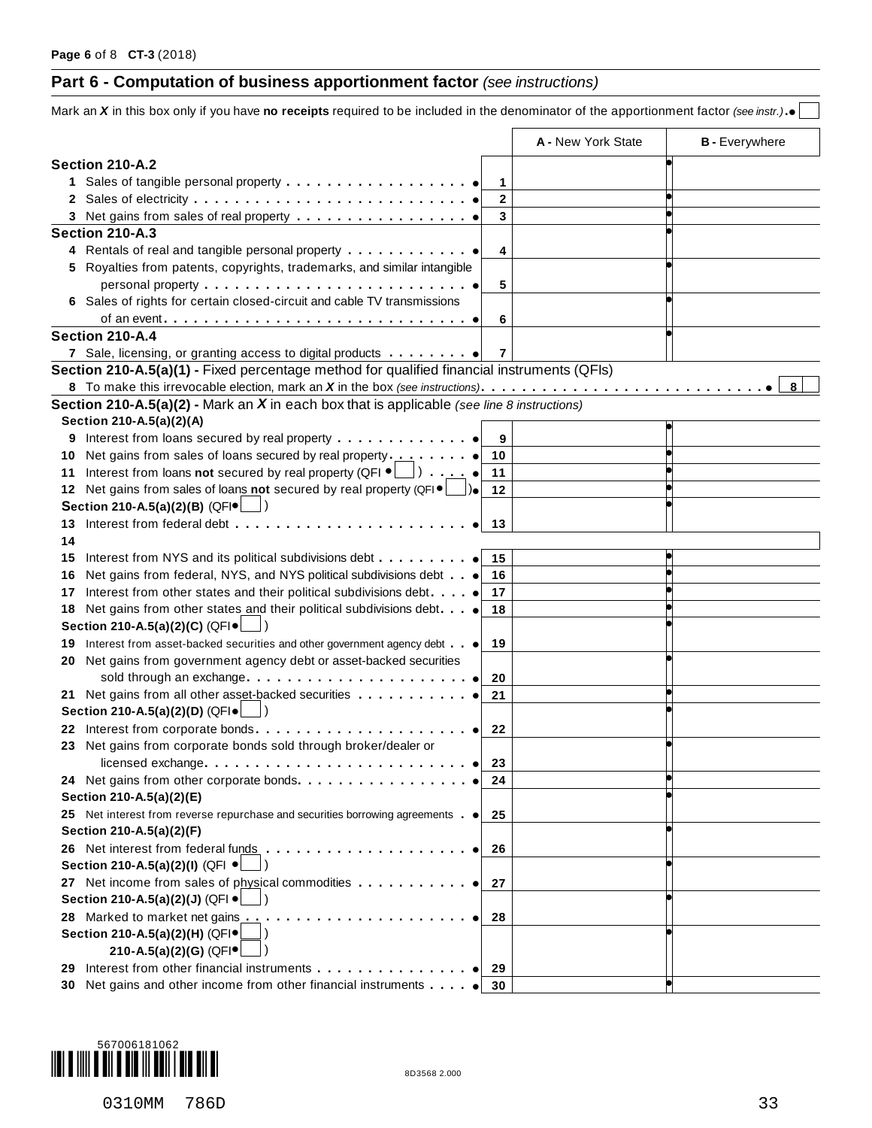# **Part 6 - Computation of business apportionment factor** *(see instructions)*

|    |                                                                                                       |                | A - New York State | <b>B</b> - Everywhere |
|----|-------------------------------------------------------------------------------------------------------|----------------|--------------------|-----------------------|
|    | Section 210-A.2                                                                                       |                |                    |                       |
|    |                                                                                                       | 1              |                    |                       |
|    |                                                                                                       | $\mathbf{2}$   |                    |                       |
|    |                                                                                                       | 3              |                    |                       |
|    | Section 210-A.3                                                                                       |                |                    |                       |
|    | 4 Rentals of real and tangible personal property                                                      | 4              |                    |                       |
|    | 5 Royalties from patents, copyrights, trademarks, and similar intangible                              |                |                    |                       |
|    |                                                                                                       | 5              |                    |                       |
|    | 6 Sales of rights for certain closed-circuit and cable TV transmissions                               |                |                    |                       |
|    |                                                                                                       | 6              |                    |                       |
|    | Section 210-A.4                                                                                       |                |                    |                       |
|    |                                                                                                       | $\overline{7}$ |                    |                       |
|    | Section 210-A.5(a)(1) - Fixed percentage method for qualified financial instruments (QFIs)            |                |                    |                       |
|    |                                                                                                       |                |                    | 8                     |
|    | <b>Section 210-A.5(a)(2) - Mark an X in each box that is applicable</b> (see line 8 instructions)     |                |                    |                       |
|    | Section 210-A.5(a)(2)(A)                                                                              |                |                    |                       |
| 9  | Interest from loans secured by real property                                                          | 9              |                    |                       |
| 10 |                                                                                                       | 10             |                    |                       |
| 11 | Interest from loans not secured by real property (QFI $\bullet$ $\Box$ ) $\bullet$                    | 11             |                    |                       |
|    | 12 Net gains from sales of loans not secured by real property (QFI $\bullet$ $\Box$ ).                | 12             |                    |                       |
|    | Section 210-A.5(a)(2)(B) (QFI · _                                                                     |                |                    |                       |
|    | 13 Interest from federal debt                                                                         | 13             |                    |                       |
| 14 |                                                                                                       |                |                    |                       |
|    | Interest from NYS and its political subdivisions debt                                                 | 15             |                    |                       |
| 15 | Net gains from federal, NYS, and NYS political subdivisions debt                                      | 16             |                    |                       |
| 16 | Interest from other states and their political subdivisions debt.                                     | 17             |                    |                       |
| 17 |                                                                                                       | 18             |                    |                       |
| 18 | Net gains from other states and their political subdivisions debt.<br>Section 210-A.5(a)(2)(C) (QFI ● |                |                    |                       |
|    |                                                                                                       |                |                    |                       |
|    | 19 Interest from asset-backed securities and other government agency debt                             | 19             |                    |                       |
| 20 | Net gains from government agency debt or asset-backed securities                                      |                |                    |                       |
|    | sold through an exchange                                                                              | 20             |                    |                       |
|    | 21 Net gains from all other asset-backed securities                                                   | 21             |                    |                       |
|    | Section 210-A.5(a)(2)(D) (QFI ●                                                                       |                |                    |                       |
|    | 22 Interest from corporate bonds                                                                      | 22             |                    |                       |
|    | 23 Net gains from corporate bonds sold through broker/dealer or                                       |                |                    |                       |
|    |                                                                                                       | 23             |                    |                       |
|    |                                                                                                       | 24             |                    |                       |
|    | Section 210-A.5(a)(2)(E)                                                                              |                |                    |                       |
|    | 25 Net interest from reverse repurchase and securities borrowing agreements . $\bullet$               | 25             |                    |                       |
|    | Section 210-A.5(a)(2)(F)                                                                              |                |                    |                       |
|    |                                                                                                       | 26             |                    |                       |
|    | Section 210-A.5(a)(2)(I) (QFI $\bullet$   )                                                           |                |                    |                       |
|    | 27 Net income from sales of physical commodities                                                      | 27             |                    |                       |
|    | Section 210-A.5(a)(2)(J) (QFI $\bullet$   )                                                           |                |                    |                       |
|    | 28 Marked to market net gains<br>. <b>.</b>                                                           | 28             |                    |                       |
|    | Section 210-A.5(a)(2)(H) (QFI $\bullet$                                                               |                |                    |                       |
|    | 210-A.5(a)(2)(G) (QFI $\bullet$                                                                       |                |                    |                       |
| 29 |                                                                                                       | 29             |                    |                       |
|    | 30 Net gains and other income from other financial instruments                                        | -30            |                    |                       |

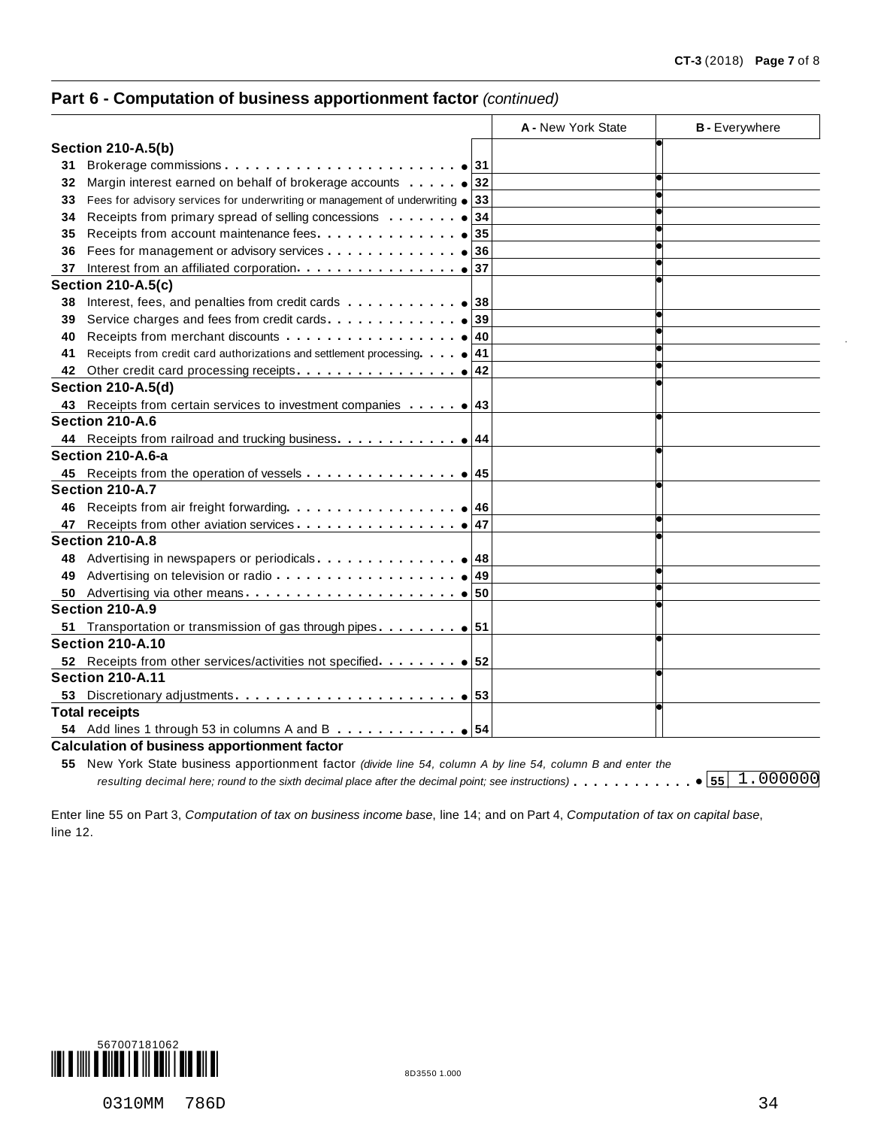# **Part 6 - Computation of business apportionment factor** *(continued)*

|     |                                                                                                              |    | A - New York State | <b>B</b> - Everywhere              |
|-----|--------------------------------------------------------------------------------------------------------------|----|--------------------|------------------------------------|
|     | <b>Section 210-A.5(b)</b>                                                                                    |    |                    |                                    |
| 31  |                                                                                                              |    |                    |                                    |
| 32  | Margin interest earned on behalf of brokerage accounts $\cdots$ $\cdots$ $\bullet$ 32                        |    |                    |                                    |
| 33  | Fees for advisory services for underwriting or management of underwriting $\bullet$ 33                       |    |                    |                                    |
| 34  |                                                                                                              | 34 |                    |                                    |
| 35  | Receipts from account maintenance fees.                                                                      | 35 |                    |                                    |
| 36  |                                                                                                              |    |                    |                                    |
| 37  |                                                                                                              |    |                    |                                    |
|     | <b>Section 210-A.5(c)</b>                                                                                    |    |                    |                                    |
| 38  | Interest, fees, and penalties from credit cards $\ldots \ldots \ldots \cdot$ .                               |    |                    |                                    |
| 39  |                                                                                                              |    |                    |                                    |
| 40  |                                                                                                              |    |                    |                                    |
| 41  | Receipts from credit card authorizations and settlement processing. $ 41 $                                   |    |                    |                                    |
| 42  |                                                                                                              |    |                    |                                    |
|     | <b>Section 210-A.5(d)</b>                                                                                    |    |                    |                                    |
|     | 43 Receipts from certain services to investment companies 43                                                 |    |                    |                                    |
|     | Section 210-A.6                                                                                              |    |                    |                                    |
|     | 44 Receipts from railroad and trucking business. 1                                                           |    |                    |                                    |
|     | Section 210-A.6-a                                                                                            |    |                    |                                    |
|     |                                                                                                              |    |                    |                                    |
|     | Section 210-A.7                                                                                              |    |                    |                                    |
| 46  |                                                                                                              |    |                    |                                    |
| 47  |                                                                                                              |    |                    |                                    |
|     | Section 210-A.8                                                                                              |    |                    |                                    |
| 48. |                                                                                                              |    |                    |                                    |
| 49  |                                                                                                              |    |                    |                                    |
| 50  |                                                                                                              |    |                    |                                    |
|     | Section 210-A.9                                                                                              |    |                    |                                    |
|     |                                                                                                              |    |                    |                                    |
|     | <b>Section 210-A.10</b>                                                                                      |    |                    |                                    |
|     |                                                                                                              |    |                    |                                    |
|     | <b>Section 210-A.11</b>                                                                                      |    |                    |                                    |
| 53  |                                                                                                              |    |                    |                                    |
|     | <b>Total receipts</b>                                                                                        |    |                    |                                    |
|     |                                                                                                              |    |                    |                                    |
|     | <b>Calculation of business apportionment factor</b>                                                          |    |                    |                                    |
|     | 55 New York State business apportionment factor (divide line 54, column A by line 54, column B and enter the |    |                    |                                    |
|     | resulting decimal here; round to the sixth decimal place after the decimal point; see instructions)          |    |                    | $\bullet$ 55 $\overline{1.000000}$ |

Enter line 55 on Part 3, *Computation of tax on business income base*, line 14; and on Part 4, *Computation of tax on capital base*, line 12.

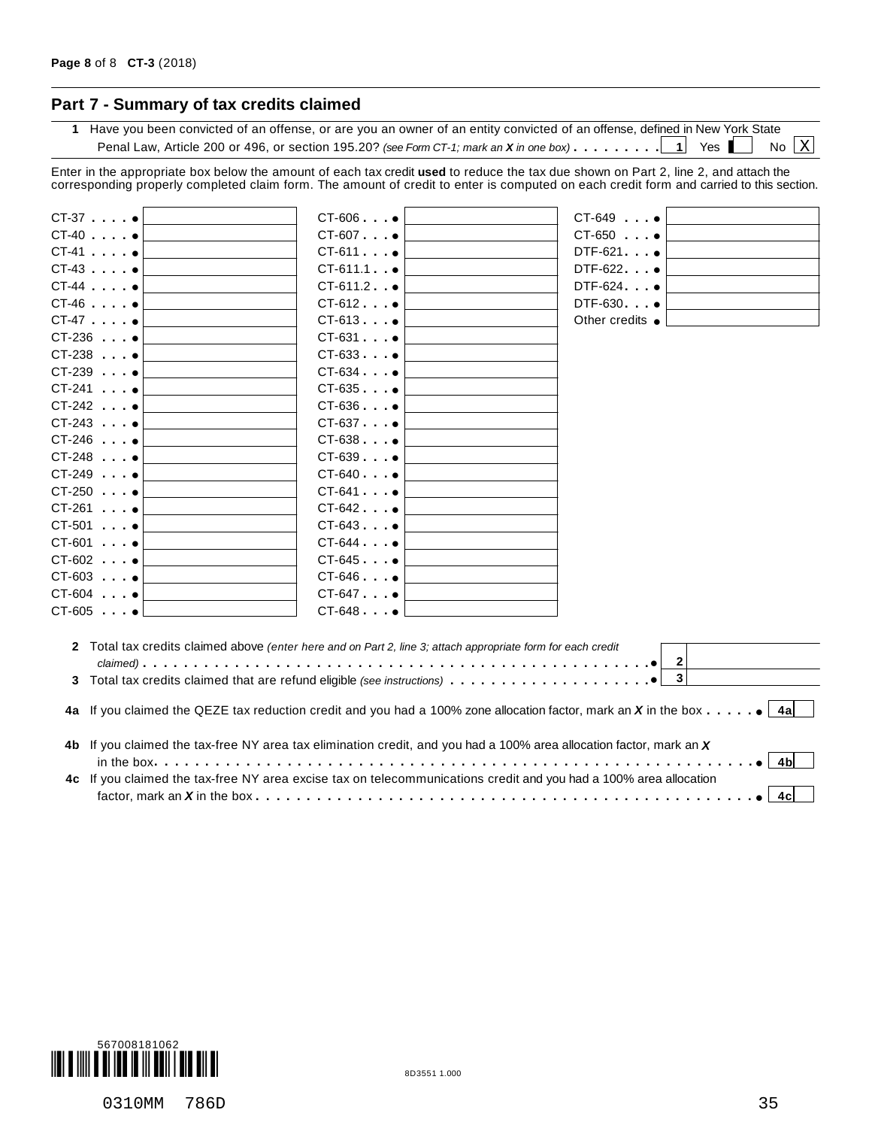# **Part 7 - Summary of tax credits claimed**

**1** Have you been convicted of an offense, or are you an owner of an entity convicted of an offense, defined in New York State Penal Law, Article 200 or 496, or section 195.20? *(see Form CT-1; mark an* **X** *in one box*)  $\dots \dots \dots \dots 1$  Yes No  $X$ 

Enter in the appropriate box below the amount of each tax credit **used** to reduce the tax due shown on Part 2, line 2, and attach the corresponding properly completed claim form. The amount of credit to enter is computed on each credit form and carried to this section.

| $CT-37$ $•$          | $CT-606$ $\bullet$                                                                                                                               | CT-649 •                |
|----------------------|--------------------------------------------------------------------------------------------------------------------------------------------------|-------------------------|
| $CT-40$              | $CT-607$ $•$                                                                                                                                     | $CT-650$ $\bullet$      |
| $CT-41$ . $•$        | $CT-611$                                                                                                                                         | DTF-621 •               |
| $CT-43$ . $•$        | $CT-611.1$ $\bullet$                                                                                                                             | $DTF-622$ $\bullet$     |
| $CT-44$              | $CT-611.2$ $\bullet$                                                                                                                             | DTF-624 •               |
| $CT-46$              | $CT-612$ $\bullet$                                                                                                                               | DTF-630 •               |
| $CT-47$ $\bullet$    | $CT-613$ $•$                                                                                                                                     | Other credits $\bullet$ |
| $CT-236$ $\bullet$   | $CT-631$ $•$                                                                                                                                     |                         |
| $CT-238$ $•$         | $CT-633$                                                                                                                                         |                         |
| $CT-239$ $•$         | $CT-634$ $\bullet$                                                                                                                               |                         |
| $CT-241$ $•$         | $CT-635$ $\bullet$                                                                                                                               |                         |
| $CT-242$ $\bullet$   | $CT-636$ $\bullet$                                                                                                                               |                         |
| $CT-243$             | $CT-637$ $\bullet$                                                                                                                               |                         |
| $CT-246$ $\bullet$   | $CT-638$ $\bullet$                                                                                                                               |                         |
| $CT-248$ $\bullet$   | $CT-639$ $\bullet$                                                                                                                               |                         |
| $CT-249$ $•$         | $CT-640$                                                                                                                                         |                         |
| $CT-250$ $•$         | $CT-641$ $\bullet$                                                                                                                               |                         |
| $CT-261$ . $•$       | $CT-642$ $\bullet$                                                                                                                               |                         |
| $CT-501$ $\bullet$   | $CT-643$                                                                                                                                         |                         |
| $CT-601$ .           | $CT-644$ $\bullet$                                                                                                                               |                         |
| $CT-602$ . $\bullet$ | $CT-645$ $\bullet$                                                                                                                               |                         |
| $CT-603$             | $CT-646$ $\bullet$                                                                                                                               |                         |
| $CT-604$ $•$         | $CT-647$ $\bullet$                                                                                                                               |                         |
| $CT-605$ $•$         | $CT-648$ $\bullet$                                                                                                                               |                         |
|                      |                                                                                                                                                  |                         |
|                      | 2 Total tax credits claimed above (enter here and on Part 2, line 3; attach appropriate form for each credit                                     | $2 \vert$               |
|                      |                                                                                                                                                  | $\overline{\mathbf{3}}$ |
|                      |                                                                                                                                                  |                         |
|                      | 4a If you claimed the QEZE tax reduction credit and you had a 100% zone allocation factor, mark an X in the box $\cdots$ $\cdots$ $\bullet$ [4a] |                         |
|                      | 4b If you claimed the tax-free NY area tax elimination credit, and you had a 100% area allocation factor, mark an X                              |                         |
|                      |                                                                                                                                                  | 4bl                     |
|                      | 4c If you claimed the tax-free NY area excise tax on telecommunications credit and you had a 100% area allocation                                | 4cl                     |
|                      |                                                                                                                                                  |                         |

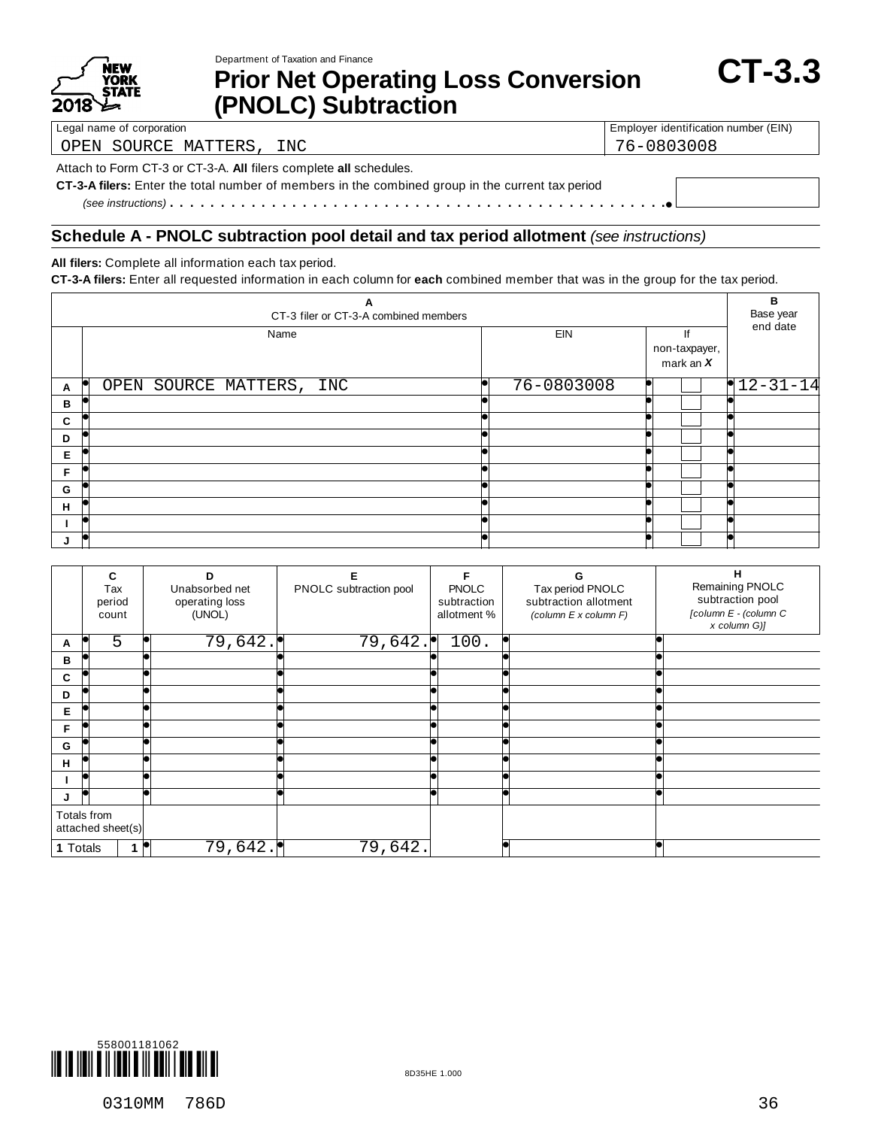

Department of Taxation and Finance

# **Pepartment of Taxation and Finance**<br> **Prior Net Operating Loss Conversion** CT-3.3 **(PNOLC) Subtraction**

OPEN SOURCE MATTERS, INC 76-0803008

Legal name of corporation **Employer identification number (EIN)** Employer identification number (EIN)

Attach to Form CT-3 or CT-3-A. **All** filers complete **all** schedules.

**CT-3-A filers:** Enter the total number of members in the combined group in the current tax period *(see instructions)* mm m m m m m m m m m m m m m m m m m m m m m m m m m m m m m m m m m m m m m m m m m m m m m m m%

#### **Schedule A - PNOLC subtraction pool detail and tax period allotment** *(see instructions)*

**All filers:** Complete all information each tax period.

**CT-3-A filers:** Enter all requested information in each column for **each** combined member that was in the group for the tax period.

| А<br>CT-3 filer or CT-3-A combined members |                                  |            |                                    |            |  |  |  |
|--------------------------------------------|----------------------------------|------------|------------------------------------|------------|--|--|--|
|                                            | Name                             | <b>EIN</b> | lf<br>non-taxpayer,<br>mark an $X$ | end date   |  |  |  |
| A                                          | p<br>OPEN SOURCE MATTERS,<br>INC | 76-0803008 |                                    | $12-31-14$ |  |  |  |
| В                                          |                                  |            |                                    |            |  |  |  |
| C                                          |                                  |            |                                    |            |  |  |  |
| D                                          |                                  |            |                                    |            |  |  |  |
| Е                                          |                                  |            |                                    |            |  |  |  |
| F                                          |                                  |            |                                    |            |  |  |  |
| G                                          |                                  |            |                                    |            |  |  |  |
| H                                          |                                  |            |                                    |            |  |  |  |
|                                            |                                  |            |                                    |            |  |  |  |
|                                            |                                  |            |                                    |            |  |  |  |

|          | C<br>Tax<br>period<br>count      | D<br>Unabsorbed net<br>operating loss<br>(UNOL) | Е<br>PNOLC subtraction pool | F<br><b>PNOLC</b><br>subtraction<br>allotment % | G<br>Tax period PNOLC<br>subtraction allotment<br>(column E x column F) | н<br>Remaining PNOLC<br>subtraction pool<br>[column E - (column C<br>x column G)] |
|----------|----------------------------------|-------------------------------------------------|-----------------------------|-------------------------------------------------|-------------------------------------------------------------------------|-----------------------------------------------------------------------------------|
| A        | $\overline{5}$                   | 79,642.                                         | 79,642.                     | 100.                                            |                                                                         |                                                                                   |
| в        |                                  |                                                 |                             |                                                 |                                                                         |                                                                                   |
| C        |                                  |                                                 |                             |                                                 |                                                                         |                                                                                   |
| D        |                                  |                                                 |                             |                                                 |                                                                         |                                                                                   |
| Е        |                                  |                                                 |                             |                                                 |                                                                         |                                                                                   |
| F        |                                  |                                                 |                             |                                                 |                                                                         |                                                                                   |
| G        |                                  |                                                 |                             |                                                 |                                                                         |                                                                                   |
| н        |                                  |                                                 |                             |                                                 |                                                                         |                                                                                   |
|          | k                                |                                                 |                             |                                                 |                                                                         |                                                                                   |
| J        | le                               |                                                 |                             |                                                 |                                                                         |                                                                                   |
|          | Totals from<br>attached sheet(s) |                                                 |                             |                                                 |                                                                         |                                                                                   |
| 1 Totals |                                  | 79,642.                                         | 79,642.                     |                                                 |                                                                         |                                                                                   |

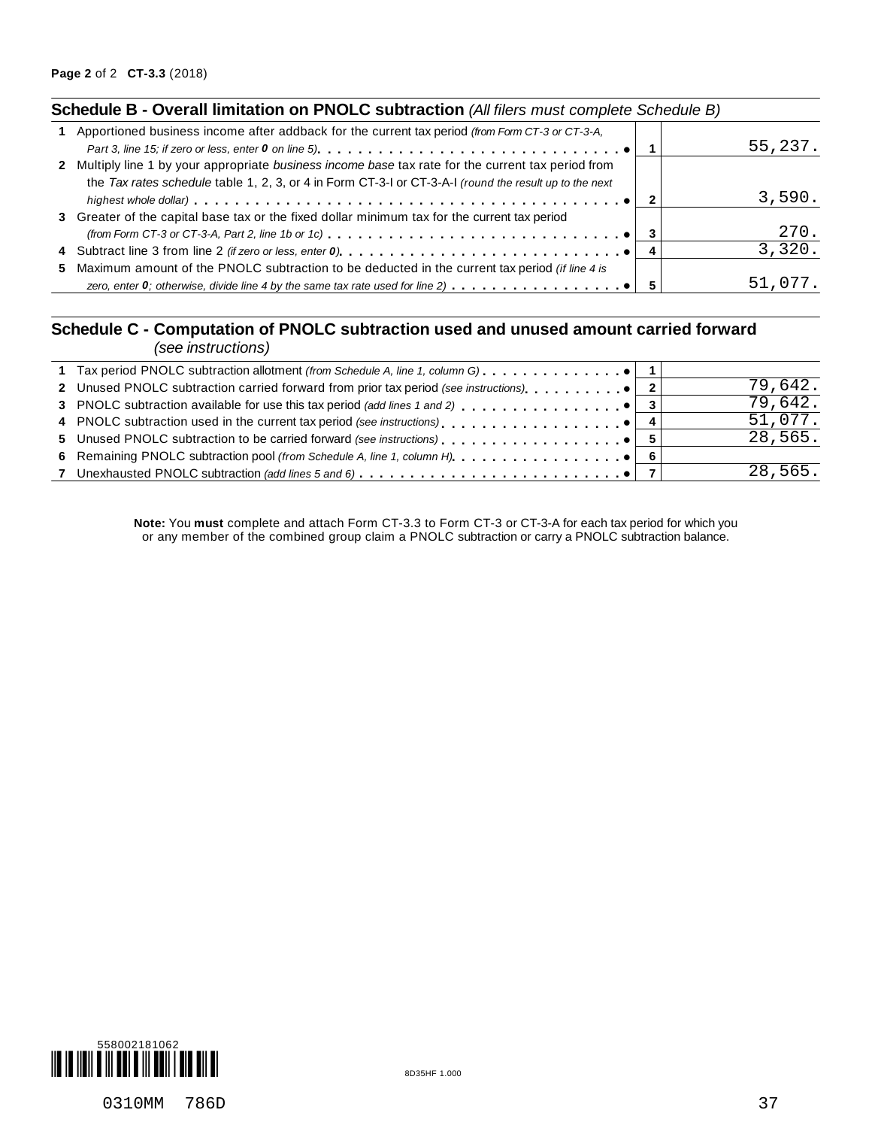## **Schedule B - Overall limitation on PNOLC subtraction** *(All filers must complete Schedule B)*

| 1 Apportioned business income after addback for the current tax period (from Form CT-3 or CT-3-A,                                                    |         |
|------------------------------------------------------------------------------------------------------------------------------------------------------|---------|
|                                                                                                                                                      | 55,237. |
| 2 Multiply line 1 by your appropriate business income base tax rate for the current tax period from                                                  |         |
| the Tax rates schedule table 1, 2, 3, or 4 in Form CT-3-1 or CT-3-A-1 (round the result up to the next                                               |         |
|                                                                                                                                                      | 3,590.  |
| 3 Greater of the capital base tax or the fixed dollar minimum tax for the current tax period                                                         |         |
| (from Form CT-3 or CT-3-A, Part 2, line 1b or 1c) $\dots \dots \dots \dots \dots \dots \dots \dots \dots \dots \dots \dots \dots \bullet \vert \; 3$ | 270.    |
|                                                                                                                                                      | 3,320.  |
| 5 Maximum amount of the PNOLC subtraction to be deducted in the current tax period (if line 4 is                                                     |         |
| zero, enter 0; otherwise, divide line 4 by the same tax rate used for line 2) $\ldots$ , , , , $\bullet$                                             | 51,077. |
|                                                                                                                                                      |         |

#### **Schedule C - Computation of PNOLC subtraction used and unused amount carried forward** *(see instructions)*

| $1000$ $1100$ $100$                                                                   |  |         |
|---------------------------------------------------------------------------------------|--|---------|
|                                                                                       |  |         |
| 2 Unused PNOLC subtraction carried forward from prior tax period (see instructions) 0 |  | 79,642. |
|                                                                                       |  | 79,642. |
|                                                                                       |  | 51,077. |
|                                                                                       |  | 28,565. |
|                                                                                       |  |         |
|                                                                                       |  | 28,565. |
|                                                                                       |  |         |

**Note:** You **must** complete and attach Form CT-3.3 to Form CT-3 or CT-3-A for each tax period for which you or any member of the combined group claim a PNOLC subtraction or carry a PNOLC subtraction balance.

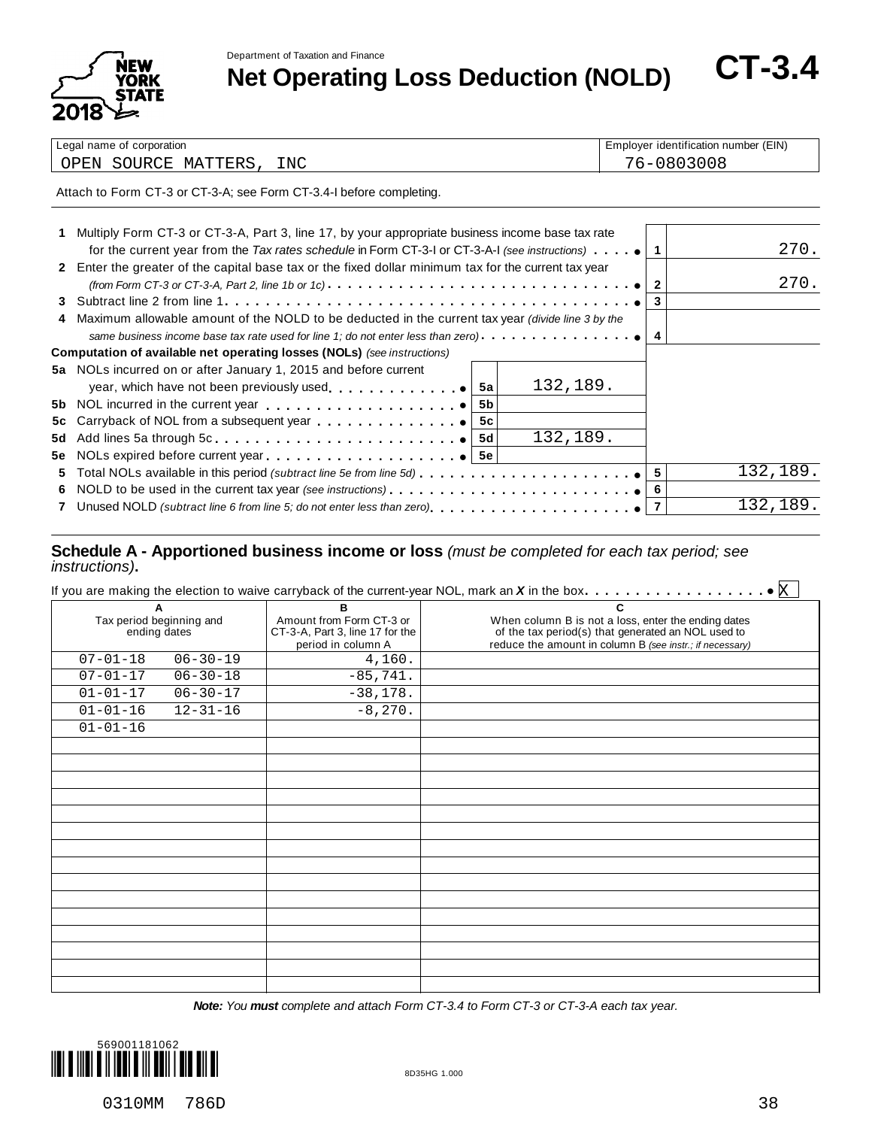Department of Taxation and Finance



**Net Operatment of Taxation and Finance**<br> **Net Operating Loss Deduction (NOLD)** CT-3.4

| Legal                                                 | r identification number (EIN) |
|-------------------------------------------------------|-------------------------------|
| I name of corporation                                 | ⊨mplover                      |
| INC<br>SOIIRC<br>MATTERS<br>)PEN<br>ᄀᅚ<br>- - - - - - | $\sim$ $-$                    |

Attach to Form CT-3 or CT-3-A; see Form CT-3.4-I before completing.

|    | Multiply Form CT-3 or CT-3-A, Part 3, line 17, by your appropriate business income base tax rate                                           |    |          |              |          |
|----|--------------------------------------------------------------------------------------------------------------------------------------------|----|----------|--------------|----------|
|    | for the current year from the Tax rates schedule in Form CT-3-1 or CT-3-A-1 (see instructions) $\cdots$ .                                  |    |          |              | 270.     |
|    | 2 Enter the greater of the capital base tax or the fixed dollar minimum tax for the current tax year                                       |    |          |              |          |
|    | (from Form CT-3 or CT-3-A, Part 2, line 1b or 1c) $\cdots \cdots \cdots \cdots \cdots \cdots \cdots \cdots \cdots \cdots \cdots \bullet  $ |    |          | $\mathbf{2}$ | 270.     |
|    |                                                                                                                                            |    |          | 3            |          |
|    | Maximum allowable amount of the NOLD to be deducted in the current tax year (divide line 3 by the                                          |    |          |              |          |
|    | same business income base tax rate used for line 1; do not enter less than zero). $\ldots$ , $\ldots$ , $\ldots$                           |    |          | 4            |          |
|    | <b>Computation of available net operating losses (NOLs)</b> (see instructions)                                                             |    |          |              |          |
|    | 5a NOLs incurred on or after January 1, 2015 and before current                                                                            |    |          |              |          |
|    | year, which have not been previously used $\bullet$                                                                                        | 5а | 132,189. |              |          |
|    |                                                                                                                                            | 5b |          |              |          |
|    |                                                                                                                                            | 5c |          |              |          |
|    |                                                                                                                                            |    | 132,189. |              |          |
|    |                                                                                                                                            |    |          |              |          |
| 5. |                                                                                                                                            |    |          |              | 132,189. |
| 6. | NOLD to be used in the current tax year (see instructions) $\ldots \ldots \ldots \ldots \ldots \ldots \ldots$                              |    |          |              |          |
|    |                                                                                                                                            |    |          |              | 132,189. |
|    |                                                                                                                                            |    |          |              |          |

#### **Schedule A - Apportioned business income or loss** *(must be completed for each tax period; see instructions)***.**

| A                                        |                | B                                                                                 | C                                                                                                                                                                     |
|------------------------------------------|----------------|-----------------------------------------------------------------------------------|-----------------------------------------------------------------------------------------------------------------------------------------------------------------------|
| Tax period beginning and<br>ending dates |                | Amount from Form CT-3 or<br>CT-3-A, Part 3, line 17 for the<br>period in column A | When column B is not a loss, enter the ending dates<br>of the tax period(s) that generated an NOL used to<br>reduce the amount in column B (see instr.; if necessary) |
| $07 - 01 - 18$                           | $06 - 30 - 19$ | 4,160.                                                                            |                                                                                                                                                                       |
| $07 - 01 - 17$                           | $06 - 30 - 18$ | $-85,741.$                                                                        |                                                                                                                                                                       |
| $01 - 01 - 17$                           | $06 - 30 - 17$ | $-38,178.$                                                                        |                                                                                                                                                                       |
| $01 - 01 - 16$                           | $12 - 31 - 16$ | $-8,270.$                                                                         |                                                                                                                                                                       |
| $01 - 01 - 16$                           |                |                                                                                   |                                                                                                                                                                       |
|                                          |                |                                                                                   |                                                                                                                                                                       |
|                                          |                |                                                                                   |                                                                                                                                                                       |
|                                          |                |                                                                                   |                                                                                                                                                                       |
|                                          |                |                                                                                   |                                                                                                                                                                       |
|                                          |                |                                                                                   |                                                                                                                                                                       |
|                                          |                |                                                                                   |                                                                                                                                                                       |
|                                          |                |                                                                                   |                                                                                                                                                                       |
|                                          |                |                                                                                   |                                                                                                                                                                       |
|                                          |                |                                                                                   |                                                                                                                                                                       |
|                                          |                |                                                                                   |                                                                                                                                                                       |
|                                          |                |                                                                                   |                                                                                                                                                                       |
|                                          |                |                                                                                   |                                                                                                                                                                       |
|                                          |                |                                                                                   |                                                                                                                                                                       |

*Note: You must complete and attach Form CT-3.4 to Form CT-3 or CT-3-A each tax year.*

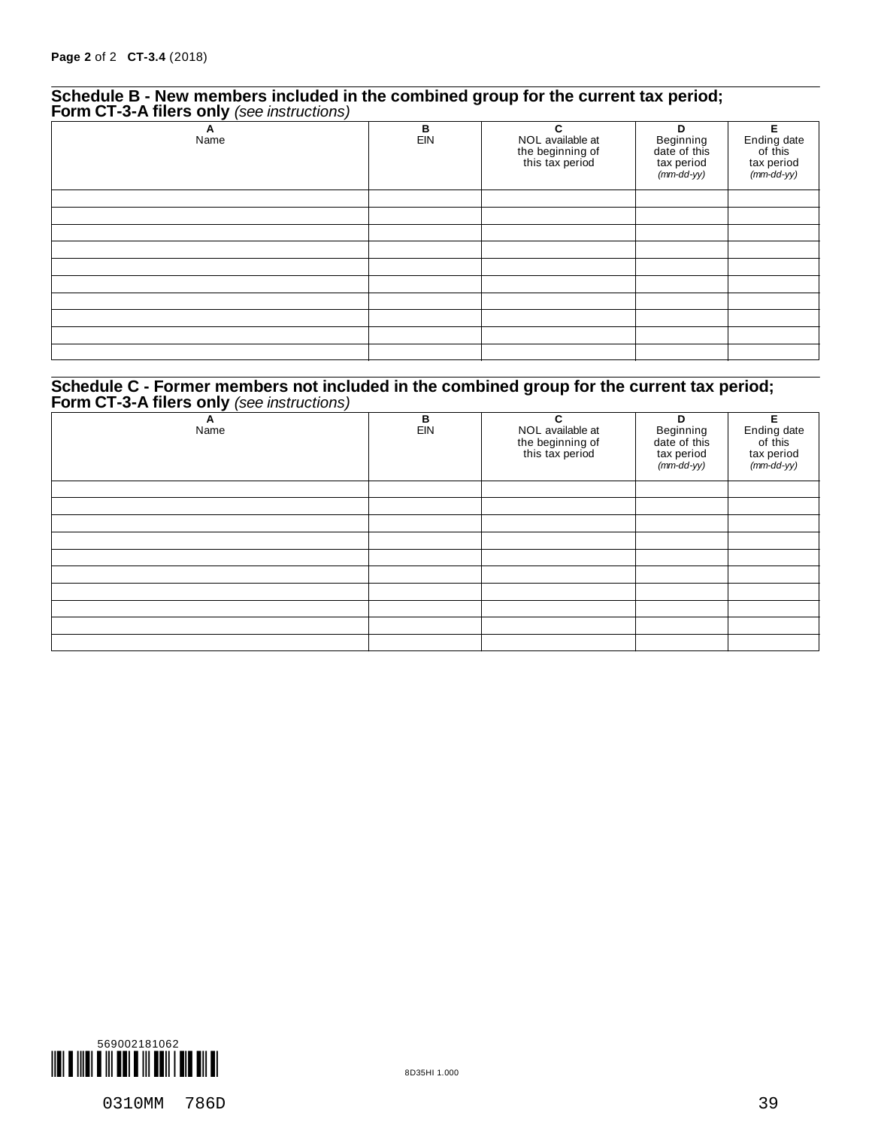#### **Schedule B - New members included in the combined group for the current tax period; Form CT-3-A filers only** *(see instructions)*

| . .<br>$\epsilon$<br>A<br>Name | $\frac{B}{EIN}$ | C<br>NOL available at<br>the beginning of<br>this tax period | D<br>Beginning<br>date of this<br>tax period<br>(mm-dd-yy) | Е<br>Ending date<br>of this<br>tax period<br>(mm-dd-yy) |
|--------------------------------|-----------------|--------------------------------------------------------------|------------------------------------------------------------|---------------------------------------------------------|
|                                |                 |                                                              |                                                            |                                                         |
|                                |                 |                                                              |                                                            |                                                         |
|                                |                 |                                                              |                                                            |                                                         |
|                                |                 |                                                              |                                                            |                                                         |
|                                |                 |                                                              |                                                            |                                                         |
|                                |                 |                                                              |                                                            |                                                         |

#### **Schedule C - Former members not included in the combined group for the current tax period; Form CT-3-A filers only** *(see instructions)*

| A<br>Name | В<br>EIN | C<br>NOL available at<br>the beginning of<br>this tax period | D<br>Beginning<br>date of this<br>tax period<br>(mm-dd-yy) | Е<br>Ending date<br>of this<br>tax period<br>(mm-dd-yy) |
|-----------|----------|--------------------------------------------------------------|------------------------------------------------------------|---------------------------------------------------------|
|           |          |                                                              |                                                            |                                                         |
|           |          |                                                              |                                                            |                                                         |
|           |          |                                                              |                                                            |                                                         |
|           |          |                                                              |                                                            |                                                         |
|           |          |                                                              |                                                            |                                                         |
|           |          |                                                              |                                                            |                                                         |
|           |          |                                                              |                                                            |                                                         |
|           |          |                                                              |                                                            |                                                         |
|           |          |                                                              |                                                            |                                                         |
|           |          |                                                              |                                                            |                                                         |

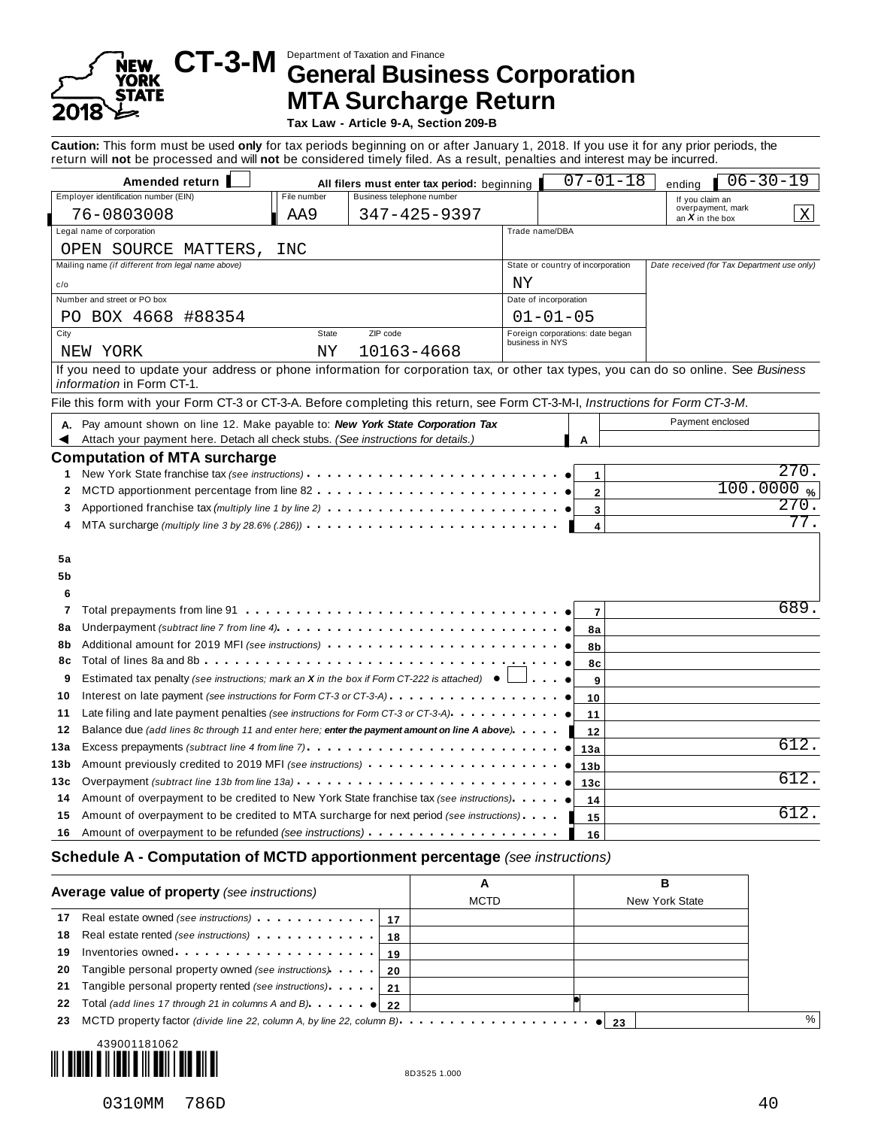# 8

# Department of Taxation and Finance **CT-3-M General Business Corporation MTA Surcharge Return**

**Tax Law - Article 9-A, Section 209-B**

**Caution:** This form must be used **only** for tax periods beginning on or after January 1, 2018. If you use it for any prior periods, the return will **not** be processed and will **not** be considered timely filed. As a result, penalties and interest may be incurred.

| Amended return                                                                                                                                                       |             | All filers must enter tax period: beginning                                                                                        |                       | $07 - 01 - 18$                                      | $06 - 30 - 19$<br>ending                            |
|----------------------------------------------------------------------------------------------------------------------------------------------------------------------|-------------|------------------------------------------------------------------------------------------------------------------------------------|-----------------------|-----------------------------------------------------|-----------------------------------------------------|
| Employer identification number (EIN)                                                                                                                                 | File number | Business telephone number                                                                                                          |                       |                                                     | If you claim an                                     |
| 76-0803008                                                                                                                                                           | AA9         | $347 - 425 - 9397$                                                                                                                 |                       |                                                     | overpayment, mark<br>an $\boldsymbol{X}$ in the box |
| Legal name of corporation                                                                                                                                            |             |                                                                                                                                    | Trade name/DBA        |                                                     |                                                     |
| OPEN SOURCE MATTERS,                                                                                                                                                 | INC         |                                                                                                                                    |                       |                                                     |                                                     |
| Mailing name (if different from legal name above)                                                                                                                    |             |                                                                                                                                    |                       | State or country of incorporation                   | Date received (for Tax Department use only)         |
| c/o                                                                                                                                                                  |             |                                                                                                                                    | ΝY                    |                                                     |                                                     |
| Number and street or PO box                                                                                                                                          |             |                                                                                                                                    | Date of incorporation |                                                     |                                                     |
| PO BOX 4668 #88354                                                                                                                                                   |             |                                                                                                                                    | $01 - 01 - 05$        |                                                     |                                                     |
| City                                                                                                                                                                 | State       | ZIP code                                                                                                                           |                       | Foreign corporations: date began<br>business in NYS |                                                     |
| NEW YORK                                                                                                                                                             | ΝY          | 10163-4668                                                                                                                         |                       |                                                     |                                                     |
| If you need to update your address or phone information for corporation tax, or other tax types, you can do so online. See Business                                  |             |                                                                                                                                    |                       |                                                     |                                                     |
| <i>information</i> in Form CT-1.                                                                                                                                     |             |                                                                                                                                    |                       |                                                     |                                                     |
| File this form with your Form CT-3 or CT-3-A. Before completing this return, see Form CT-3-M-I, Instructions for Form CT-3-M.                                        |             |                                                                                                                                    |                       |                                                     |                                                     |
| Pay amount shown on line 12. Make payable to: New York State Corporation Tax<br>А.                                                                                   |             |                                                                                                                                    |                       |                                                     | Payment enclosed                                    |
| Attach your payment here. Detach all check stubs. (See instructions for details.)                                                                                    |             |                                                                                                                                    |                       | A                                                   |                                                     |
| 2<br>Apportioned franchise tax (multiply line 1 by line 2)<br>3<br>MTA surcharge (multiply line 3 by 28.6% (.286)) $\cdots$ $\cdots$ $\cdots$ $\cdots$ $\cdots$<br>4 |             |                                                                                                                                    |                       | $\overline{2}$<br>3<br>4                            | 100.0000%<br>270.<br>77.                            |
| 5a<br>5b<br>6                                                                                                                                                        |             |                                                                                                                                    |                       |                                                     |                                                     |
| 7                                                                                                                                                                    |             |                                                                                                                                    |                       |                                                     |                                                     |
|                                                                                                                                                                      |             |                                                                                                                                    |                       | $\overline{7}$                                      | 689                                                 |
| 8а                                                                                                                                                                   |             | Underpayment <i>(subtract line 7 from line 4)</i> $\cdots$ $\cdots$ $\cdots$ $\cdots$ $\cdots$ $\cdots$ $\cdots$ $\cdots$ $\cdots$ |                       | 8a                                                  |                                                     |
| Additional amount for 2019 MFI (see instructions)<br>8b                                                                                                              |             |                                                                                                                                    |                       | 8b                                                  |                                                     |
| 8с                                                                                                                                                                   |             |                                                                                                                                    |                       | 8c                                                  |                                                     |
| Estimated tax penalty (see instructions; mark an $X$ in the box if Form CT-222 is attached) $\bullet$<br>9                                                           |             |                                                                                                                                    |                       | $\overline{9}$                                      |                                                     |
| 10                                                                                                                                                                   |             |                                                                                                                                    |                       | 10                                                  |                                                     |
| Late filing and late payment penalties (see instructions for Form CT-3 or CT-3-A)<br>11                                                                              |             |                                                                                                                                    |                       | 11                                                  |                                                     |
| Balance due (add lines 8c through 11 and enter here; enter the payment amount on line A above)<br>12                                                                 |             |                                                                                                                                    |                       | 12                                                  |                                                     |
| Excess prepayments (subtract line 4 from line 7)                                                                                                                     |             |                                                                                                                                    |                       | 13a                                                 | 612                                                 |
| Amount previously credited to 2019 MFI (see instructions)                                                                                                            |             |                                                                                                                                    |                       | 13 <sub>b</sub>                                     |                                                     |
| 13а<br>13b<br>Overpayment (subtract line 13b from line 13a) $\ldots$ $\ldots$ $\ldots$ $\ldots$ $\ldots$ $\ldots$ $\ldots$ $\ldots$<br>13с                           |             |                                                                                                                                    |                       | 13c                                                 | 612.                                                |
| Amount of overpayment to be credited to New York State franchise tax (see instructions).<br>14                                                                       |             |                                                                                                                                    |                       | 14                                                  |                                                     |
| Amount of overpayment to be credited to MTA surcharge for next period (see instructions)<br>15                                                                       |             |                                                                                                                                    |                       | 15                                                  | 612                                                 |

#### **Schedule A - Computation of MCTD apportionment percentage** *(see instructions)*

|    | Average value of property (see instructions)               | A<br><b>MCTD</b> | в<br>New York State |  |
|----|------------------------------------------------------------|------------------|---------------------|--|
| 17 |                                                            |                  |                     |  |
|    |                                                            |                  |                     |  |
|    |                                                            |                  |                     |  |
| 20 | Tangible personal property owned (see instructions)   20   |                  |                     |  |
| 21 | Tangible personal property rented (see instructions).   21 |                  |                     |  |
| 22 |                                                            |                  |                     |  |
| 23 |                                                            |                  |                     |  |
|    |                                                            |                  |                     |  |

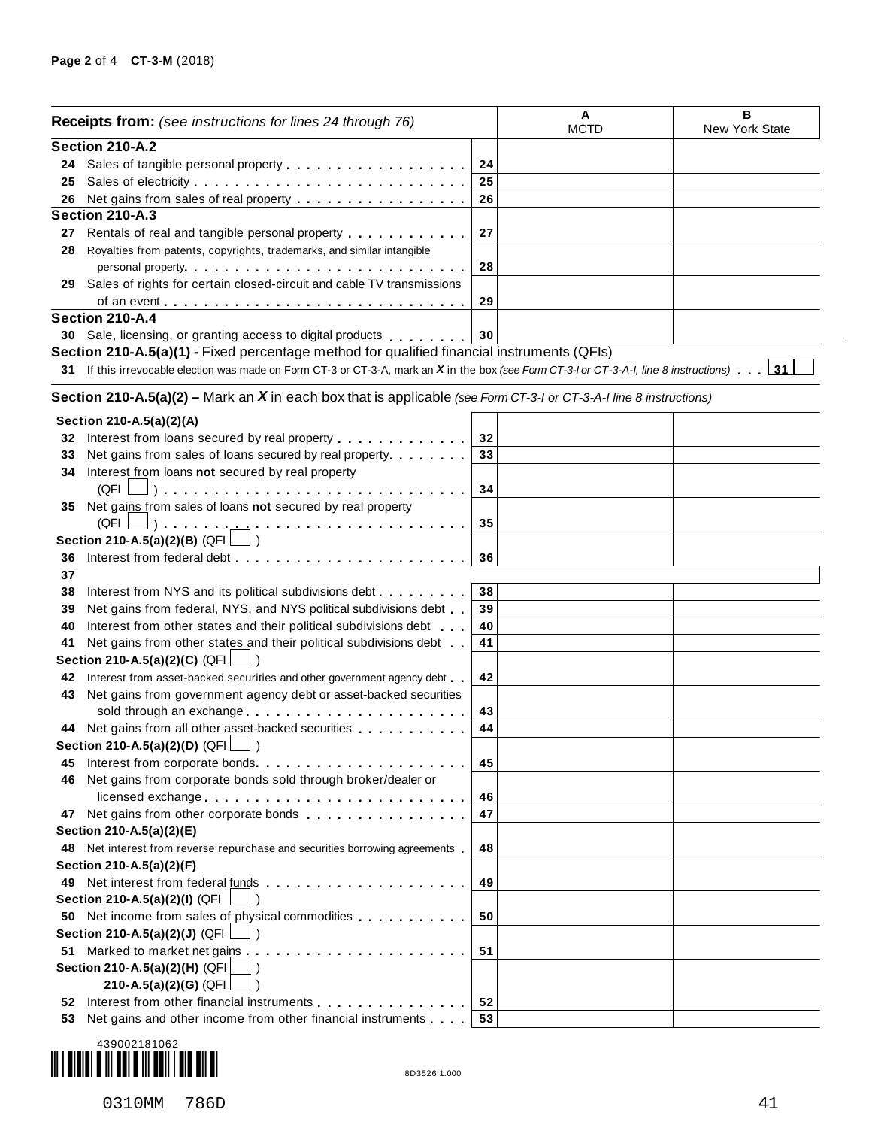|     | <b>Receipts from:</b> (see instructions for lines 24 through 76)                                                                                                                                                              | Α<br><b>MCTD</b> | B<br>New York State |  |
|-----|-------------------------------------------------------------------------------------------------------------------------------------------------------------------------------------------------------------------------------|------------------|---------------------|--|
|     | Section 210-A.2                                                                                                                                                                                                               |                  |                     |  |
|     | 24 Sales of tangible personal property                                                                                                                                                                                        | 24               |                     |  |
| 25  |                                                                                                                                                                                                                               | 25               |                     |  |
| 26  | Net gains from sales of real property <u>.</u>                                                                                                                                                                                | 26               |                     |  |
|     | Section 210-A.3                                                                                                                                                                                                               |                  |                     |  |
| 27  | Rentals of real and tangible personal property entitled as a set of real and tangible personal property                                                                                                                       | 27               |                     |  |
| 28  | Royalties from patents, copyrights, trademarks, and similar intangible                                                                                                                                                        |                  |                     |  |
|     | personal property entering the set of the set of the set of the set of the set of the set of the set of the set of the set of the set of the set of the set of the set of the set of the set of the set of the set of the set | 28               |                     |  |
| 29  | Sales of rights for certain closed-circuit and cable TV transmissions                                                                                                                                                         |                  |                     |  |
|     | of an event                                                                                                                                                                                                                   | 29               |                     |  |
|     | Section 210-A.4                                                                                                                                                                                                               |                  |                     |  |
|     | 30 Sale, licensing, or granting access to digital products                                                                                                                                                                    | 30               |                     |  |
|     | Section 210-A.5(a)(1) - Fixed percentage method for qualified financial instruments (QFIs)                                                                                                                                    |                  |                     |  |
|     | 31 If this irrevocable election was made on Form CT-3 or CT-3-A, mark an X in the box (see Form CT-3-I or CT-3-A-I, line 8 instructions)                                                                                      |                  |                     |  |
|     |                                                                                                                                                                                                                               |                  |                     |  |
|     | Section 210-A.5(a)(2) – Mark an X in each box that is applicable (see Form CT-3-I or CT-3-A-I line 8 instructions)                                                                                                            |                  |                     |  |
|     | Section 210-A.5(a)(2)(A)                                                                                                                                                                                                      |                  |                     |  |
|     | 32 Interest from loans secured by real property                                                                                                                                                                               | 32               |                     |  |
| 33  | Net gains from sales of loans secured by real property                                                                                                                                                                        | 33               |                     |  |
| 34  | Interest from loans not secured by real property                                                                                                                                                                              |                  |                     |  |
|     | $(QFI \bigsqcup)$                                                                                                                                                                                                             | 34               |                     |  |
| 35  | Net gains from sales of loans not secured by real property                                                                                                                                                                    |                  |                     |  |
|     |                                                                                                                                                                                                                               | 35               |                     |  |
|     | Section 210-A.5(a)(2)(B) (QFI [                                                                                                                                                                                               |                  |                     |  |
| 36  |                                                                                                                                                                                                                               | 36               |                     |  |
| 37  |                                                                                                                                                                                                                               |                  |                     |  |
|     |                                                                                                                                                                                                                               |                  |                     |  |
| 38  | Interest from NYS and its political subdivisions debt                                                                                                                                                                         | 38               |                     |  |
| 39  | Net gains from federal, NYS, and NYS political subdivisions debt                                                                                                                                                              | 39               |                     |  |
| 40  | Interest from other states and their political subdivisions debt                                                                                                                                                              | 40               |                     |  |
| 41  | Net gains from other states and their political subdivisions debt                                                                                                                                                             | 41               |                     |  |
|     | Section 210-A.5(a)(2)(C) (QFI                                                                                                                                                                                                 |                  |                     |  |
| 42  | Interest from asset-backed securities and other government agency debt.                                                                                                                                                       | 42               |                     |  |
| 43  | Net gains from government agency debt or asset-backed securities                                                                                                                                                              |                  |                     |  |
|     | sold through an exchange                                                                                                                                                                                                      | 43               |                     |  |
|     | 44 Net gains from all other asset-backed securities                                                                                                                                                                           | 44               |                     |  |
|     | Section 210-A.5(a)(2)(D) $(QFI$ $\Box$ )                                                                                                                                                                                      |                  |                     |  |
| 45  |                                                                                                                                                                                                                               | 45               |                     |  |
| 46  | Net gains from corporate bonds sold through broker/dealer or                                                                                                                                                                  |                  |                     |  |
|     | licensed exchange                                                                                                                                                                                                             | 46               |                     |  |
|     |                                                                                                                                                                                                                               | 47               |                     |  |
|     | Section 210-A.5(a)(2)(E)                                                                                                                                                                                                      |                  |                     |  |
|     | 48 Net interest from reverse repurchase and securities borrowing agreements                                                                                                                                                   | 48               |                     |  |
|     | Section 210-A.5(a)(2)(F)                                                                                                                                                                                                      |                  |                     |  |
|     |                                                                                                                                                                                                                               | 49               |                     |  |
|     | Section 210-A.5(a)(2)(I) (QFI                                                                                                                                                                                                 |                  |                     |  |
|     | 50 Net income from sales of physical commodities                                                                                                                                                                              | 50               |                     |  |
|     | Section 210-A.5(a)(2)(J) (QFI                                                                                                                                                                                                 |                  |                     |  |
|     | 51 Marked to market net gains entertainment and a series and a series and a series and a series area                                                                                                                          | 51               |                     |  |
|     | Section 210-A.5(a)(2)(H) (QFI                                                                                                                                                                                                 |                  |                     |  |
|     | 210-A.5(a)(2)(G) (QFI                                                                                                                                                                                                         |                  |                     |  |
| 52  | Interest from other financial instruments [1] [1] Interest from other financial instruments                                                                                                                                   | 52               |                     |  |
| 53. | Net gains and other income from other financial instruments                                                                                                                                                                   | 53               |                     |  |
|     |                                                                                                                                                                                                                               |                  |                     |  |



 $\bar{z}$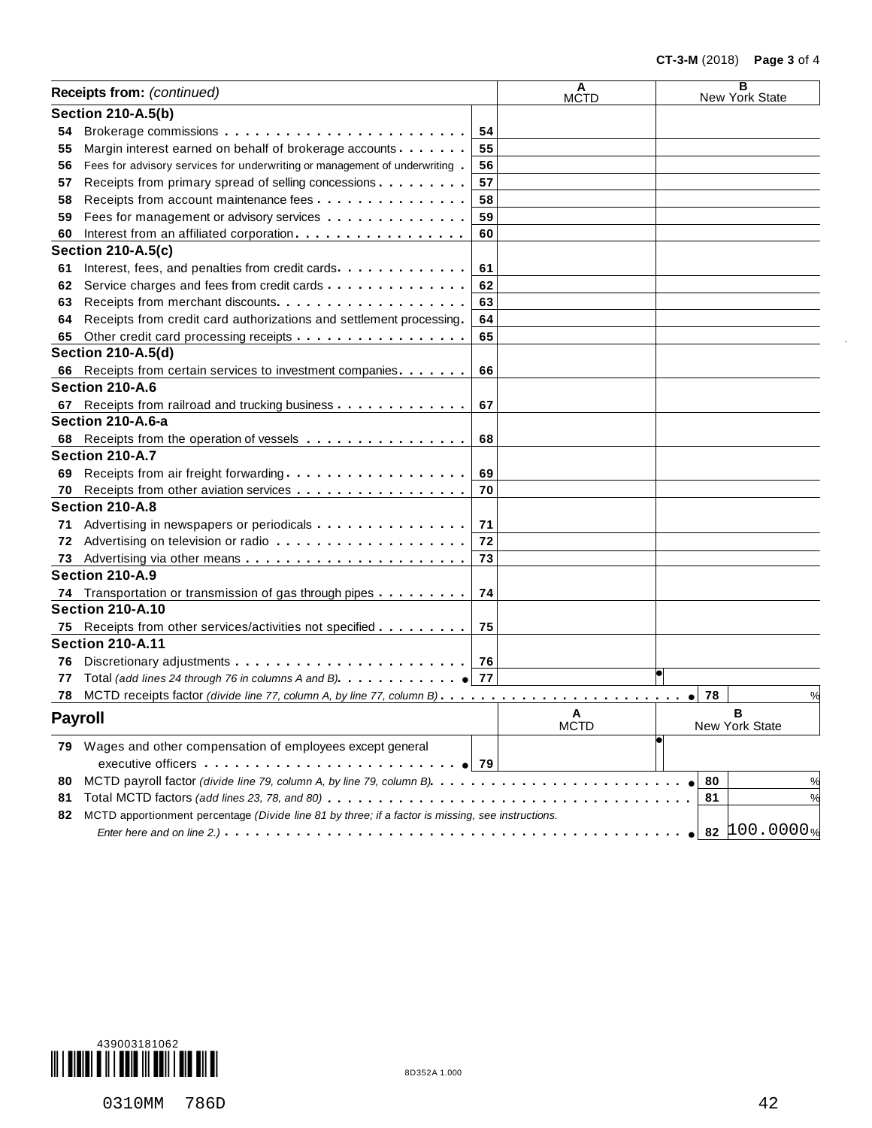|    | Receipts from: (continued)                                                                        |    | A<br><b>MCTD</b> |    | в<br>New York State |
|----|---------------------------------------------------------------------------------------------------|----|------------------|----|---------------------|
|    | <b>Section 210-A.5(b)</b>                                                                         |    |                  |    |                     |
| 54 |                                                                                                   | 54 |                  |    |                     |
| 55 | Margin interest earned on behalf of brokerage accounts                                            | 55 |                  |    |                     |
| 56 | Fees for advisory services for underwriting or management of underwriting                         | 56 |                  |    |                     |
| 57 | Receipts from primary spread of selling concessions                                               | 57 |                  |    |                     |
| 58 | Receipts from account maintenance fees                                                            | 58 |                  |    |                     |
| 59 | Fees for management or advisory services                                                          | 59 |                  |    |                     |
| 60 | Interest from an affiliated corporation.                                                          | 60 |                  |    |                     |
|    | <b>Section 210-A.5(c)</b>                                                                         |    |                  |    |                     |
| 61 | Interest, fees, and penalties from credit cards                                                   | 61 |                  |    |                     |
| 62 | Service charges and fees from credit cards                                                        | 62 |                  |    |                     |
| 63 |                                                                                                   | 63 |                  |    |                     |
| 64 | Receipts from credit card authorizations and settlement processing.                               | 64 |                  |    |                     |
| 65 | Other credit card processing receipts                                                             | 65 |                  |    |                     |
|    | <b>Section 210-A.5(d)</b>                                                                         |    |                  |    |                     |
| 66 | Receipts from certain services to investment companies.                                           | 66 |                  |    |                     |
|    | Section 210-A.6                                                                                   |    |                  |    |                     |
| 67 | Receipts from railroad and trucking business                                                      | 67 |                  |    |                     |
|    | Section 210-A.6-a                                                                                 |    |                  |    |                     |
| 68 |                                                                                                   | 68 |                  |    |                     |
|    | Section 210-A.7                                                                                   |    |                  |    |                     |
| 69 | Receipts from air freight forwarding                                                              | 69 |                  |    |                     |
| 70 | Receipts from other aviation services                                                             | 70 |                  |    |                     |
|    | Section 210-A.8                                                                                   |    |                  |    |                     |
| 71 | Advertising in newspapers or periodicals                                                          | 71 |                  |    |                     |
| 72 |                                                                                                   | 72 |                  |    |                     |
| 73 |                                                                                                   | 73 |                  |    |                     |
|    | Section 210-A.9                                                                                   |    |                  |    |                     |
|    | 74 Transportation or transmission of gas through pipes                                            | 74 |                  |    |                     |
|    | <b>Section 210-A.10</b>                                                                           |    |                  |    |                     |
| 75 | Receipts from other services/activities not specified                                             | 75 |                  |    |                     |
|    | <b>Section 210-A.11</b>                                                                           |    |                  |    |                     |
| 76 |                                                                                                   |    |                  |    |                     |
| 77 | Total (add lines 24 through 76 in columns A and B). $\ldots$ , $\ldots$ , $\bullet$ 77            |    |                  |    |                     |
| 78 |                                                                                                   |    |                  | 78 | %                   |
|    | <b>Payroll</b>                                                                                    |    | A<br><b>MCTD</b> |    | в<br>New York State |
|    | 79 Wages and other compensation of employees except general                                       |    |                  |    |                     |
|    |                                                                                                   |    |                  |    |                     |
|    |                                                                                                   |    |                  |    |                     |
| 80 |                                                                                                   |    |                  | 80 | %                   |
| 81 |                                                                                                   |    |                  | 81 |                     |
| 82 | MCTD apportionment percentage (Divide line 81 by three; if a factor is missing, see instructions. |    |                  |    |                     |
|    |                                                                                                   |    |                  |    | 82 $100.0000%$      |